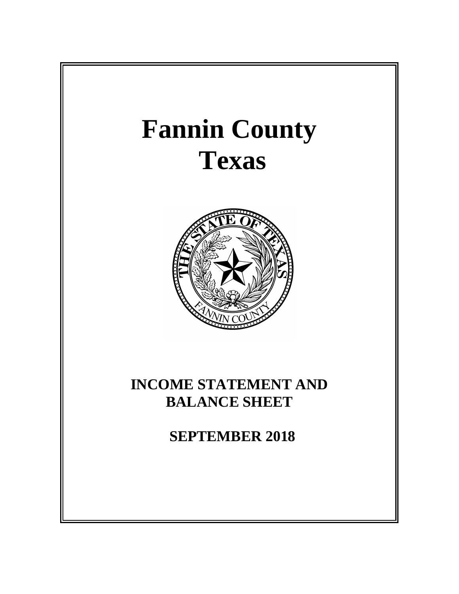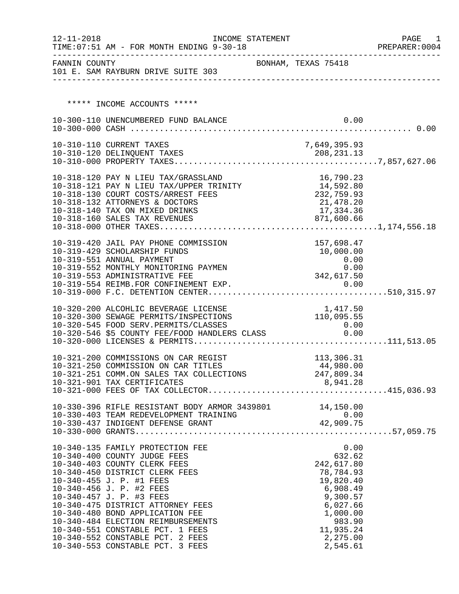| FANNIN COUNTY<br>BONHAM, TEXAS 75418<br>101 E. SAM RAYBURN DRIVE SUITE 303<br>***** INCOME ACCOUNTS *****<br>0.00<br>10-300-110 UNENCUMBERED FUND BALANCE<br>7,649,395.93<br>10-310-110 CURRENT TAXES<br>10-318-120 PAY N LIEU TAX/GRASSLAND<br>16,790.23<br>10-318-121 PAY N LIEU TAX/UPPER TRINITY 14,592.80<br>10-318-130 COURT COSTS/ARREST FEES<br>232,759.93<br>10-318-132 ATTORNEYS & DOCTORS<br>21,478.20<br>10-318-140 TAX ON MIXED DRINKS<br>17,334.36<br>10-318-160 SALES TAX REVENUES<br>871,600.66<br>157,698.47<br>10-319-420 JAIL PAY PHONE COMMISSION<br>10,000.00<br>10-319-429 SCHOLARSHIP FUNDS<br>10-319-551 ANNUAL PAYMENT<br>0.00<br>0.00<br>10-319-552 MONTHLY MONITORING PAYMEN<br>342,617.50<br>10-319-553 ADMINISTRATIVE FEE<br>0.00<br>10-319-554 REIMB.FOR CONFINEMENT EXP.<br>10-320-200 ALCOHLIC BEVERAGE LICENSE<br>1,417.50<br>110,095.55<br>10-320-300 SEWAGE PERMITS/INSPECTIONS<br>10-320-545 FOOD SERV.PERMITS/CLASSES<br>0.00<br>10-320-546 \$5 COUNTY FEE/FOOD HANDLERS CLASS 0.00<br>113,306.31<br>10-321-200 COMMISSIONS ON CAR REGIST<br>10-321-250 COMMISSION ON CAR TITLES<br>44,980.00<br>10-321-251 COMM.ON SALES TAX COLLECTIONS 247,809.34<br>8,941.28<br>10-321-901 TAX CERTIFICATES<br>10-330-396 RIFLE RESISTANT BODY ARMOR 3439801 14,150.00<br>0.00<br>10-340-135 FAMILY PROTECTION FEE<br>632.62<br>10-340-400 COUNTY JUDGE FEES<br>10-340-403 COUNTY CLERK FEES<br>242,617.80<br>78,784.93<br>10-340-450 DISTRICT CLERK FEES<br>19,820.40<br>10-340-455 J. P. #1 FEES<br>6,908.49<br>10-340-456 J. P. #2 FEES<br>10-340-457 J. P. #3 FEES<br>9,300.57<br>10-340-475 DISTRICT ATTORNEY FEES<br>6,027.66<br>10-340-480 BOND APPLICATION FEE<br>1,000.00<br>983.90<br>10-340-484 ELECTION REIMBURSEMENTS<br>11,935.24<br>10-340-551 CONSTABLE PCT. 1 FEES<br>10-340-552 CONSTABLE PCT. 2 FEES<br>2,275.00<br>10-340-553 CONSTABLE PCT. 3 FEES<br>2,545.61 | $12 - 11 - 2018$ | TIME: 07:51 AM - FOR MONTH ENDING 9-30-18 | INCOME STATEMENT |  |  | PAGE<br>1<br>PREPARER: 0004 |
|--------------------------------------------------------------------------------------------------------------------------------------------------------------------------------------------------------------------------------------------------------------------------------------------------------------------------------------------------------------------------------------------------------------------------------------------------------------------------------------------------------------------------------------------------------------------------------------------------------------------------------------------------------------------------------------------------------------------------------------------------------------------------------------------------------------------------------------------------------------------------------------------------------------------------------------------------------------------------------------------------------------------------------------------------------------------------------------------------------------------------------------------------------------------------------------------------------------------------------------------------------------------------------------------------------------------------------------------------------------------------------------------------------------------------------------------------------------------------------------------------------------------------------------------------------------------------------------------------------------------------------------------------------------------------------------------------------------------------------------------------------------------------------------------------------------------------------------------------------------------------------------------------------------|------------------|-------------------------------------------|------------------|--|--|-----------------------------|
|                                                                                                                                                                                                                                                                                                                                                                                                                                                                                                                                                                                                                                                                                                                                                                                                                                                                                                                                                                                                                                                                                                                                                                                                                                                                                                                                                                                                                                                                                                                                                                                                                                                                                                                                                                                                                                                                                                              |                  |                                           |                  |  |  |                             |
|                                                                                                                                                                                                                                                                                                                                                                                                                                                                                                                                                                                                                                                                                                                                                                                                                                                                                                                                                                                                                                                                                                                                                                                                                                                                                                                                                                                                                                                                                                                                                                                                                                                                                                                                                                                                                                                                                                              |                  |                                           |                  |  |  |                             |
|                                                                                                                                                                                                                                                                                                                                                                                                                                                                                                                                                                                                                                                                                                                                                                                                                                                                                                                                                                                                                                                                                                                                                                                                                                                                                                                                                                                                                                                                                                                                                                                                                                                                                                                                                                                                                                                                                                              |                  |                                           |                  |  |  |                             |
|                                                                                                                                                                                                                                                                                                                                                                                                                                                                                                                                                                                                                                                                                                                                                                                                                                                                                                                                                                                                                                                                                                                                                                                                                                                                                                                                                                                                                                                                                                                                                                                                                                                                                                                                                                                                                                                                                                              |                  |                                           |                  |  |  |                             |
|                                                                                                                                                                                                                                                                                                                                                                                                                                                                                                                                                                                                                                                                                                                                                                                                                                                                                                                                                                                                                                                                                                                                                                                                                                                                                                                                                                                                                                                                                                                                                                                                                                                                                                                                                                                                                                                                                                              |                  |                                           |                  |  |  |                             |
|                                                                                                                                                                                                                                                                                                                                                                                                                                                                                                                                                                                                                                                                                                                                                                                                                                                                                                                                                                                                                                                                                                                                                                                                                                                                                                                                                                                                                                                                                                                                                                                                                                                                                                                                                                                                                                                                                                              |                  |                                           |                  |  |  |                             |
|                                                                                                                                                                                                                                                                                                                                                                                                                                                                                                                                                                                                                                                                                                                                                                                                                                                                                                                                                                                                                                                                                                                                                                                                                                                                                                                                                                                                                                                                                                                                                                                                                                                                                                                                                                                                                                                                                                              |                  |                                           |                  |  |  |                             |
|                                                                                                                                                                                                                                                                                                                                                                                                                                                                                                                                                                                                                                                                                                                                                                                                                                                                                                                                                                                                                                                                                                                                                                                                                                                                                                                                                                                                                                                                                                                                                                                                                                                                                                                                                                                                                                                                                                              |                  |                                           |                  |  |  |                             |
|                                                                                                                                                                                                                                                                                                                                                                                                                                                                                                                                                                                                                                                                                                                                                                                                                                                                                                                                                                                                                                                                                                                                                                                                                                                                                                                                                                                                                                                                                                                                                                                                                                                                                                                                                                                                                                                                                                              |                  |                                           |                  |  |  |                             |
|                                                                                                                                                                                                                                                                                                                                                                                                                                                                                                                                                                                                                                                                                                                                                                                                                                                                                                                                                                                                                                                                                                                                                                                                                                                                                                                                                                                                                                                                                                                                                                                                                                                                                                                                                                                                                                                                                                              |                  |                                           |                  |  |  |                             |
|                                                                                                                                                                                                                                                                                                                                                                                                                                                                                                                                                                                                                                                                                                                                                                                                                                                                                                                                                                                                                                                                                                                                                                                                                                                                                                                                                                                                                                                                                                                                                                                                                                                                                                                                                                                                                                                                                                              |                  |                                           |                  |  |  |                             |
|                                                                                                                                                                                                                                                                                                                                                                                                                                                                                                                                                                                                                                                                                                                                                                                                                                                                                                                                                                                                                                                                                                                                                                                                                                                                                                                                                                                                                                                                                                                                                                                                                                                                                                                                                                                                                                                                                                              |                  |                                           |                  |  |  |                             |
|                                                                                                                                                                                                                                                                                                                                                                                                                                                                                                                                                                                                                                                                                                                                                                                                                                                                                                                                                                                                                                                                                                                                                                                                                                                                                                                                                                                                                                                                                                                                                                                                                                                                                                                                                                                                                                                                                                              |                  |                                           |                  |  |  |                             |
|                                                                                                                                                                                                                                                                                                                                                                                                                                                                                                                                                                                                                                                                                                                                                                                                                                                                                                                                                                                                                                                                                                                                                                                                                                                                                                                                                                                                                                                                                                                                                                                                                                                                                                                                                                                                                                                                                                              |                  |                                           |                  |  |  |                             |
|                                                                                                                                                                                                                                                                                                                                                                                                                                                                                                                                                                                                                                                                                                                                                                                                                                                                                                                                                                                                                                                                                                                                                                                                                                                                                                                                                                                                                                                                                                                                                                                                                                                                                                                                                                                                                                                                                                              |                  |                                           |                  |  |  |                             |
|                                                                                                                                                                                                                                                                                                                                                                                                                                                                                                                                                                                                                                                                                                                                                                                                                                                                                                                                                                                                                                                                                                                                                                                                                                                                                                                                                                                                                                                                                                                                                                                                                                                                                                                                                                                                                                                                                                              |                  |                                           |                  |  |  |                             |
|                                                                                                                                                                                                                                                                                                                                                                                                                                                                                                                                                                                                                                                                                                                                                                                                                                                                                                                                                                                                                                                                                                                                                                                                                                                                                                                                                                                                                                                                                                                                                                                                                                                                                                                                                                                                                                                                                                              |                  |                                           |                  |  |  |                             |
|                                                                                                                                                                                                                                                                                                                                                                                                                                                                                                                                                                                                                                                                                                                                                                                                                                                                                                                                                                                                                                                                                                                                                                                                                                                                                                                                                                                                                                                                                                                                                                                                                                                                                                                                                                                                                                                                                                              |                  |                                           |                  |  |  |                             |
|                                                                                                                                                                                                                                                                                                                                                                                                                                                                                                                                                                                                                                                                                                                                                                                                                                                                                                                                                                                                                                                                                                                                                                                                                                                                                                                                                                                                                                                                                                                                                                                                                                                                                                                                                                                                                                                                                                              |                  |                                           |                  |  |  |                             |
|                                                                                                                                                                                                                                                                                                                                                                                                                                                                                                                                                                                                                                                                                                                                                                                                                                                                                                                                                                                                                                                                                                                                                                                                                                                                                                                                                                                                                                                                                                                                                                                                                                                                                                                                                                                                                                                                                                              |                  |                                           |                  |  |  |                             |
|                                                                                                                                                                                                                                                                                                                                                                                                                                                                                                                                                                                                                                                                                                                                                                                                                                                                                                                                                                                                                                                                                                                                                                                                                                                                                                                                                                                                                                                                                                                                                                                                                                                                                                                                                                                                                                                                                                              |                  |                                           |                  |  |  |                             |
|                                                                                                                                                                                                                                                                                                                                                                                                                                                                                                                                                                                                                                                                                                                                                                                                                                                                                                                                                                                                                                                                                                                                                                                                                                                                                                                                                                                                                                                                                                                                                                                                                                                                                                                                                                                                                                                                                                              |                  |                                           |                  |  |  |                             |
|                                                                                                                                                                                                                                                                                                                                                                                                                                                                                                                                                                                                                                                                                                                                                                                                                                                                                                                                                                                                                                                                                                                                                                                                                                                                                                                                                                                                                                                                                                                                                                                                                                                                                                                                                                                                                                                                                                              |                  |                                           |                  |  |  |                             |
|                                                                                                                                                                                                                                                                                                                                                                                                                                                                                                                                                                                                                                                                                                                                                                                                                                                                                                                                                                                                                                                                                                                                                                                                                                                                                                                                                                                                                                                                                                                                                                                                                                                                                                                                                                                                                                                                                                              |                  |                                           |                  |  |  |                             |
|                                                                                                                                                                                                                                                                                                                                                                                                                                                                                                                                                                                                                                                                                                                                                                                                                                                                                                                                                                                                                                                                                                                                                                                                                                                                                                                                                                                                                                                                                                                                                                                                                                                                                                                                                                                                                                                                                                              |                  |                                           |                  |  |  |                             |
|                                                                                                                                                                                                                                                                                                                                                                                                                                                                                                                                                                                                                                                                                                                                                                                                                                                                                                                                                                                                                                                                                                                                                                                                                                                                                                                                                                                                                                                                                                                                                                                                                                                                                                                                                                                                                                                                                                              |                  |                                           |                  |  |  |                             |
|                                                                                                                                                                                                                                                                                                                                                                                                                                                                                                                                                                                                                                                                                                                                                                                                                                                                                                                                                                                                                                                                                                                                                                                                                                                                                                                                                                                                                                                                                                                                                                                                                                                                                                                                                                                                                                                                                                              |                  |                                           |                  |  |  |                             |
|                                                                                                                                                                                                                                                                                                                                                                                                                                                                                                                                                                                                                                                                                                                                                                                                                                                                                                                                                                                                                                                                                                                                                                                                                                                                                                                                                                                                                                                                                                                                                                                                                                                                                                                                                                                                                                                                                                              |                  |                                           |                  |  |  |                             |
|                                                                                                                                                                                                                                                                                                                                                                                                                                                                                                                                                                                                                                                                                                                                                                                                                                                                                                                                                                                                                                                                                                                                                                                                                                                                                                                                                                                                                                                                                                                                                                                                                                                                                                                                                                                                                                                                                                              |                  |                                           |                  |  |  |                             |
|                                                                                                                                                                                                                                                                                                                                                                                                                                                                                                                                                                                                                                                                                                                                                                                                                                                                                                                                                                                                                                                                                                                                                                                                                                                                                                                                                                                                                                                                                                                                                                                                                                                                                                                                                                                                                                                                                                              |                  |                                           |                  |  |  |                             |
|                                                                                                                                                                                                                                                                                                                                                                                                                                                                                                                                                                                                                                                                                                                                                                                                                                                                                                                                                                                                                                                                                                                                                                                                                                                                                                                                                                                                                                                                                                                                                                                                                                                                                                                                                                                                                                                                                                              |                  |                                           |                  |  |  |                             |
|                                                                                                                                                                                                                                                                                                                                                                                                                                                                                                                                                                                                                                                                                                                                                                                                                                                                                                                                                                                                                                                                                                                                                                                                                                                                                                                                                                                                                                                                                                                                                                                                                                                                                                                                                                                                                                                                                                              |                  |                                           |                  |  |  |                             |
|                                                                                                                                                                                                                                                                                                                                                                                                                                                                                                                                                                                                                                                                                                                                                                                                                                                                                                                                                                                                                                                                                                                                                                                                                                                                                                                                                                                                                                                                                                                                                                                                                                                                                                                                                                                                                                                                                                              |                  |                                           |                  |  |  |                             |
|                                                                                                                                                                                                                                                                                                                                                                                                                                                                                                                                                                                                                                                                                                                                                                                                                                                                                                                                                                                                                                                                                                                                                                                                                                                                                                                                                                                                                                                                                                                                                                                                                                                                                                                                                                                                                                                                                                              |                  |                                           |                  |  |  |                             |
|                                                                                                                                                                                                                                                                                                                                                                                                                                                                                                                                                                                                                                                                                                                                                                                                                                                                                                                                                                                                                                                                                                                                                                                                                                                                                                                                                                                                                                                                                                                                                                                                                                                                                                                                                                                                                                                                                                              |                  |                                           |                  |  |  |                             |
|                                                                                                                                                                                                                                                                                                                                                                                                                                                                                                                                                                                                                                                                                                                                                                                                                                                                                                                                                                                                                                                                                                                                                                                                                                                                                                                                                                                                                                                                                                                                                                                                                                                                                                                                                                                                                                                                                                              |                  |                                           |                  |  |  |                             |
|                                                                                                                                                                                                                                                                                                                                                                                                                                                                                                                                                                                                                                                                                                                                                                                                                                                                                                                                                                                                                                                                                                                                                                                                                                                                                                                                                                                                                                                                                                                                                                                                                                                                                                                                                                                                                                                                                                              |                  |                                           |                  |  |  |                             |
|                                                                                                                                                                                                                                                                                                                                                                                                                                                                                                                                                                                                                                                                                                                                                                                                                                                                                                                                                                                                                                                                                                                                                                                                                                                                                                                                                                                                                                                                                                                                                                                                                                                                                                                                                                                                                                                                                                              |                  |                                           |                  |  |  |                             |
|                                                                                                                                                                                                                                                                                                                                                                                                                                                                                                                                                                                                                                                                                                                                                                                                                                                                                                                                                                                                                                                                                                                                                                                                                                                                                                                                                                                                                                                                                                                                                                                                                                                                                                                                                                                                                                                                                                              |                  |                                           |                  |  |  |                             |
|                                                                                                                                                                                                                                                                                                                                                                                                                                                                                                                                                                                                                                                                                                                                                                                                                                                                                                                                                                                                                                                                                                                                                                                                                                                                                                                                                                                                                                                                                                                                                                                                                                                                                                                                                                                                                                                                                                              |                  |                                           |                  |  |  |                             |
|                                                                                                                                                                                                                                                                                                                                                                                                                                                                                                                                                                                                                                                                                                                                                                                                                                                                                                                                                                                                                                                                                                                                                                                                                                                                                                                                                                                                                                                                                                                                                                                                                                                                                                                                                                                                                                                                                                              |                  |                                           |                  |  |  |                             |
|                                                                                                                                                                                                                                                                                                                                                                                                                                                                                                                                                                                                                                                                                                                                                                                                                                                                                                                                                                                                                                                                                                                                                                                                                                                                                                                                                                                                                                                                                                                                                                                                                                                                                                                                                                                                                                                                                                              |                  |                                           |                  |  |  |                             |
|                                                                                                                                                                                                                                                                                                                                                                                                                                                                                                                                                                                                                                                                                                                                                                                                                                                                                                                                                                                                                                                                                                                                                                                                                                                                                                                                                                                                                                                                                                                                                                                                                                                                                                                                                                                                                                                                                                              |                  |                                           |                  |  |  |                             |
|                                                                                                                                                                                                                                                                                                                                                                                                                                                                                                                                                                                                                                                                                                                                                                                                                                                                                                                                                                                                                                                                                                                                                                                                                                                                                                                                                                                                                                                                                                                                                                                                                                                                                                                                                                                                                                                                                                              |                  |                                           |                  |  |  |                             |
|                                                                                                                                                                                                                                                                                                                                                                                                                                                                                                                                                                                                                                                                                                                                                                                                                                                                                                                                                                                                                                                                                                                                                                                                                                                                                                                                                                                                                                                                                                                                                                                                                                                                                                                                                                                                                                                                                                              |                  |                                           |                  |  |  |                             |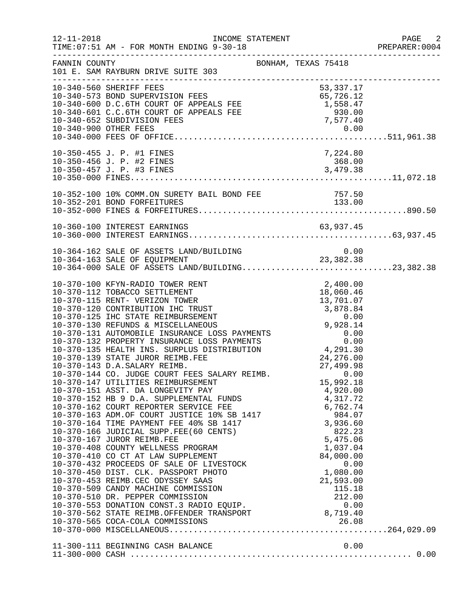| $12 - 11 - 2018$ | INCOME STATEMENT<br>TIME: 07:51 AM - FOR MONTH ENDING 9-30-18                                                                                                                                                                                                                                                                                                                                                                                                                                                                                                                                                                                                                                                                                                | PREPARER<br>----------------------------------                                                                 | PAGE 2<br>PREPARER:0004 |
|------------------|--------------------------------------------------------------------------------------------------------------------------------------------------------------------------------------------------------------------------------------------------------------------------------------------------------------------------------------------------------------------------------------------------------------------------------------------------------------------------------------------------------------------------------------------------------------------------------------------------------------------------------------------------------------------------------------------------------------------------------------------------------------|----------------------------------------------------------------------------------------------------------------|-------------------------|
| FANNIN COUNTY    | BONHAM, TEXAS 75418<br>101 E. SAM RAYBURN DRIVE SUITE 303<br>-----------------------                                                                                                                                                                                                                                                                                                                                                                                                                                                                                                                                                                                                                                                                         |                                                                                                                |                         |
|                  | 10-340-560 SHERIFF FEES<br>10-340-573 BOND SUPERVISION FEES<br>10-340-600 D.C.6TH COURT OF APPEALS FEE 1,558.47<br>10-340-601 C.C.6TH COURT OF APPEALS FEE 1,558.47<br>10-340-652 SUBDIVISION FEES 7,577.40<br>10-340-900 OTHER FEES 2                                                                                                                                                                                                                                                                                                                                                                                                                                                                                                                       | 53, 337. 17                                                                                                    |                         |
|                  | 10-350-455 J. P. #1 FINES                                                                                                                                                                                                                                                                                                                                                                                                                                                                                                                                                                                                                                                                                                                                    | 7,224.80                                                                                                       |                         |
|                  | 10-352-100 10% COMM.ON SURETY BAIL BOND FEE<br>10-252-201 BOND FOREFITIBES<br>10-352-201 BOND FORFEITURES                                                                                                                                                                                                                                                                                                                                                                                                                                                                                                                                                                                                                                                    | 757.50<br>133.00                                                                                               |                         |
|                  | 10-360-100 INTEREST EARNINGS                                                                                                                                                                                                                                                                                                                                                                                                                                                                                                                                                                                                                                                                                                                                 |                                                                                                                |                         |
|                  | 10-364-162 SALE OF ASSETS LAND/BUILDING<br>10-364-163 SALE OF EQUIPMENT 23,382.38<br>10-364-000 SALE OF ASSETS LAND/BUILDING23,382.38                                                                                                                                                                                                                                                                                                                                                                                                                                                                                                                                                                                                                        |                                                                                                                |                         |
|                  | 10-370-100 KFYN-RADIO TOWER RENT<br>10-370-112 TOBACCO SETTLEMENT<br>10-370-115 RENT- VERIZON TOWER<br>10-370-120 CONTRIBUTION IHC TRUST<br>10-370-125 IHC STATE REIMBURSEMENT 0.00<br>10-370-130 REFUNDS & MISCELLANEOUS 9,928.14<br>10-370-131 AUTOMOBILE INSURANCE LOSS PAYMENTS 0.00<br>10-370-132 PROPERTY INSURANCE LOSS PAYMENTS 0.00<br><br>10-370-139 STATE JUROR REIMB.FEE<br>10-370-143 D.A.SALARY REIMB.<br>10-370-143 D.A.SALARY REIMB.<br>10-370-144 CO. JUDGE COURT FEES SALARY REIMB.<br>10-370-147 UTILITIES REIMBURSEMENT<br>10-370-509 CANDY MACHINE COMMISSION<br>10-370-510 DR. PEPPER COMMISSION<br>10-370-510 DR. PEPPER COMMISSION<br>10-370-553 DONATION CONST.3 RADIO EQUIP.<br>10-370-562 STATE REIMB.OFFENDER TRANSPORT 8,719.40 | 2,400.00<br>18,060.46<br>13,701.07<br>24, 276.00<br>27,499.98<br>0.00<br>15,992.18<br>115.18<br>212.00<br>0.00 |                         |
|                  |                                                                                                                                                                                                                                                                                                                                                                                                                                                                                                                                                                                                                                                                                                                                                              |                                                                                                                |                         |
|                  |                                                                                                                                                                                                                                                                                                                                                                                                                                                                                                                                                                                                                                                                                                                                                              |                                                                                                                |                         |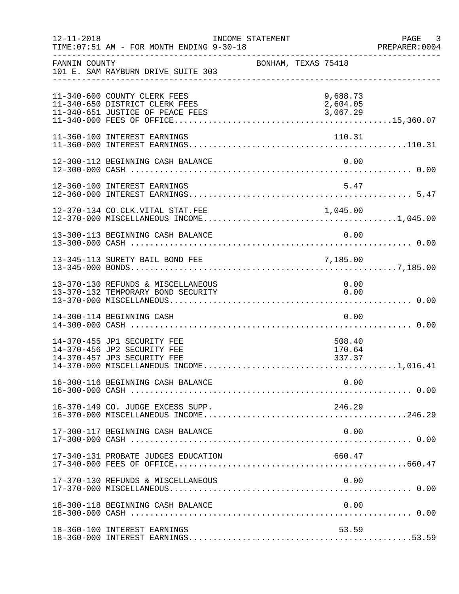| $12 - 11 - 2018$ | TIME: 07:51 AM - FOR MONTH ENDING 9-30-18                                                          | INCOME STATEMENT |                     |                                  |      | PAGE<br>$\overline{\phantom{a}}$ 3<br>PREPARER: 0004 |
|------------------|----------------------------------------------------------------------------------------------------|------------------|---------------------|----------------------------------|------|------------------------------------------------------|
| FANNIN COUNTY    | 101 E. SAM RAYBURN DRIVE SUITE 303                                                                 |                  | BONHAM, TEXAS 75418 |                                  |      |                                                      |
|                  | 11-340-600 COUNTY CLERK FEES<br>11-340-650 DISTRICT CLERK FEES<br>11-340-651 JUSTICE OF PEACE FEES |                  |                     | 9,688.73<br>2,604.05<br>3,067.29 |      |                                                      |
|                  | 11-360-100 INTEREST EARNINGS                                                                       |                  |                     | 110.31                           |      |                                                      |
|                  | 12-300-112 BEGINNING CASH BALANCE                                                                  |                  |                     | 0.00                             |      |                                                      |
|                  | 12-360-100 INTEREST EARNINGS                                                                       |                  |                     | 5.47                             |      |                                                      |
|                  | 12-370-134 CO.CLK.VITAL STAT.FEE                                                                   |                  |                     |                                  |      |                                                      |
|                  | 13-300-113 BEGINNING CASH BALANCE                                                                  |                  |                     | 0.00                             |      |                                                      |
|                  | 13-345-113 SURETY BAIL BOND FEE                                                                    |                  |                     | 7,185.00                         |      |                                                      |
|                  | 13-370-130 REFUNDS & MISCELLANEOUS<br>13-370-132 TEMPORARY BOND SECURITY                           |                  |                     | 0.00<br>0.00                     |      |                                                      |
|                  | 14-300-114 BEGINNING CASH                                                                          |                  |                     | 0.00                             |      |                                                      |
|                  | 14-370-455 JP1 SECURITY FEE<br>14-370-456 JP2 SECURITY FEE<br>14-370-457 JP3 SECURITY FEE          |                  |                     | 508.40<br>170.64<br>337.37       |      |                                                      |
|                  | 16-300-116 BEGINNING CASH BALANCE                                                                  |                  |                     | 0.00                             |      |                                                      |
|                  | 16-370-149 CO. JUDGE EXCESS SUPP.                                                                  |                  |                     | 246.29                           |      |                                                      |
|                  | 17-300-117 BEGINNING CASH BALANCE                                                                  |                  |                     | 0.00                             |      |                                                      |
|                  | 17-340-131 PROBATE JUDGES EDUCATION                                                                |                  |                     | 660.47                           |      |                                                      |
|                  | 17-370-130 REFUNDS & MISCELLANEOUS                                                                 |                  |                     |                                  | 0.00 |                                                      |
|                  | 18-300-118 BEGINNING CASH BALANCE                                                                  |                  |                     | 0.00                             |      |                                                      |
|                  | 18-360-100 INTEREST EARNINGS                                                                       |                  |                     | 53.59                            |      |                                                      |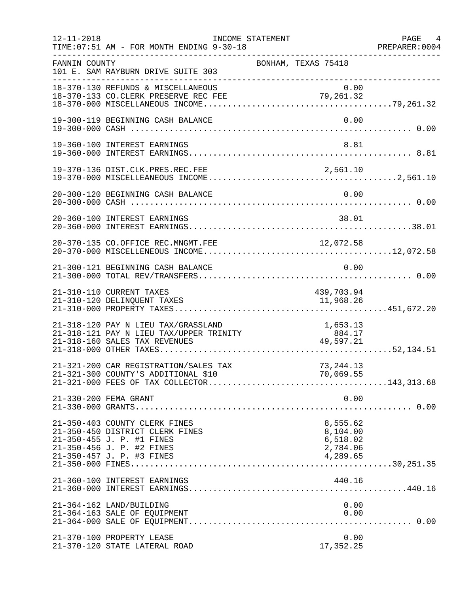| $12 - 11 - 2018$ | TIME: 07:51 AM - FOR MONTH ENDING 9-30-18                                                                                                               | INCOME STATEMENT |                                                               | PAGE 4<br>PREPARER:0004 |
|------------------|---------------------------------------------------------------------------------------------------------------------------------------------------------|------------------|---------------------------------------------------------------|-------------------------|
| FANNIN COUNTY    | 101 E. SAM RAYBURN DRIVE SUITE 303                                                                                                                      |                  | --------------------------------------<br>BONHAM, TEXAS 75418 |                         |
|                  | 18-370-130 REFUNDS & MISCELLANEOUS                                                                                                                      |                  | 0.00                                                          |                         |
|                  | 19-300-119 BEGINNING CASH BALANCE                                                                                                                       |                  | 0.00                                                          |                         |
|                  | 19-360-100 INTEREST EARNINGS                                                                                                                            |                  | 8.81                                                          |                         |
|                  | 19-370-136 DIST.CLK.PRES.REC.FEE                                                                                                                        |                  | 2,561.10                                                      |                         |
|                  | 20-300-120 BEGINNING CASH BALANCE                                                                                                                       |                  | 0.00                                                          |                         |
|                  | 20-360-100 INTEREST EARNINGS                                                                                                                            |                  | 38.01                                                         |                         |
|                  | 20-370-135 CO.OFFICE REC.MNGMT.FEE                                                                                                                      |                  | 12,072.58                                                     |                         |
|                  | 21-300-121 BEGINNING CASH BALANCE                                                                                                                       |                  | 0.00                                                          |                         |
|                  | 21-310-110 CURRENT TAXES<br>21-310-120 DELINQUENT TAXES                                                                                                 |                  | 439,703.94<br>11,968.26                                       |                         |
|                  |                                                                                                                                                         |                  |                                                               |                         |
|                  | 21-321-200 CAR REGISTRATION/SALES TAX                                                                                                                   |                  | 73, 244. 13                                                   |                         |
|                  | 21-330-200 FEMA GRANT                                                                                                                                   |                  | 0.00                                                          |                         |
|                  | 21-350-403 COUNTY CLERK FINES<br>21-350-450 DISTRICT CLERK FINES<br>21-350-455 J. P. #1 FINES<br>21-350-456 J. P. #2 FINES<br>21-350-457 J. P. #3 FINES |                  | 8,555.62<br>8,104.00<br>6,518.02<br>2,784.06<br>4,289.65      |                         |
|                  | 21-360-100 INTEREST EARNINGS                                                                                                                            |                  | 440.16                                                        |                         |
|                  | 21-364-162 LAND/BUILDING<br>21-364-163 SALE OF EQUIPMENT                                                                                                |                  | 0.00<br>0.00                                                  |                         |
|                  | 21-370-100 PROPERTY LEASE<br>21-370-120 STATE LATERAL ROAD                                                                                              |                  | 0.00<br>17,352.25                                             |                         |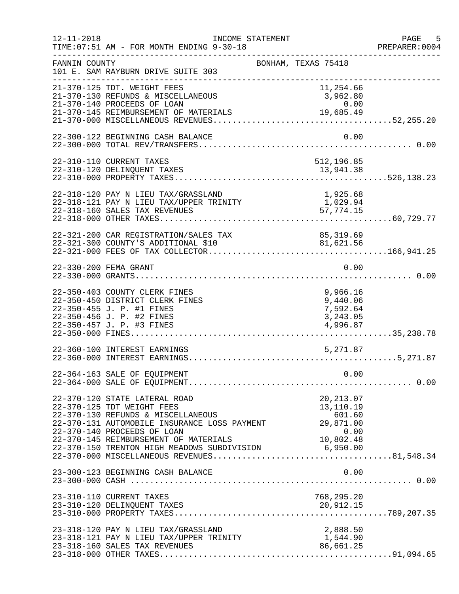| $12 - 11 - 2018$ | INCOME STATEMENT<br>TIME: 07:51 AM - FOR MONTH ENDING 9-30-18                                                                                                                                                                                                                                                                    | ____________________________________                     | PAGE 5<br>PREPARER: 0004 |
|------------------|----------------------------------------------------------------------------------------------------------------------------------------------------------------------------------------------------------------------------------------------------------------------------------------------------------------------------------|----------------------------------------------------------|--------------------------|
| FANNIN COUNTY    | 101 E. SAM RAYBURN DRIVE SUITE 303                                                                                                                                                                                                                                                                                               | BONHAM, TEXAS 75418                                      |                          |
|                  | 21-370-125 TDT. WEIGHT FEES<br>21-370-130 REFUNDS & MISCELLANEOUS<br>21-370-140 PROCEEDS OF LOAN                                                                                                                                                                                                                                 | 11,254.66<br>3,962.80<br>0.00                            |                          |
|                  | 22-300-122 BEGINNING CASH BALANCE                                                                                                                                                                                                                                                                                                | 0.00                                                     |                          |
|                  | 22-310-110 CURRENT TAXES                                                                                                                                                                                                                                                                                                         | 512,196.85                                               |                          |
|                  | 22-318-120 PAY N LIEU TAX/GRASSLAND<br>22-318-121 PAY N LIEU TAX/UPPER TRINITY<br>22-318-160 SALES TAX REVENUES                                                                                                                                                                                                                  | 1,925.68<br>1,029.94<br>57, 774.15                       |                          |
|                  | 22-321-200 CAR REGISTRATION/SALES TAX 85,319.69<br>22-321-300 COUNTY'S ADDITIONAL \$10 81,621.56                                                                                                                                                                                                                                 | 85, 319.69                                               |                          |
|                  | 22-330-200 FEMA GRANT                                                                                                                                                                                                                                                                                                            | 0.00                                                     |                          |
|                  | 22-350-403 COUNTY CLERK FINES<br>22-350-450 DISTRICT CLERK FINES<br>22-350-455 J. P. #1 FINES<br>22-350-456 J. P. #2 FINES<br>22-350-457 J. P. #3 FINES                                                                                                                                                                          | 9,966.16<br>9,440.06<br>7,592.64<br>3,243.05<br>4,996.87 |                          |
|                  | 22-360-100 INTEREST EARNINGS                                                                                                                                                                                                                                                                                                     | 5,271.87                                                 |                          |
|                  | 22-364-163 SALE OF EQUIPMENT                                                                                                                                                                                                                                                                                                     | 0.00                                                     |                          |
|                  | 22-370-120 STATE LATERAL ROAD<br>22-370-125 TDT WEIGHT FEES<br>22-370-130 REFUNDS & MISCELLANEOUS<br>22-370-131 AUTOMOBILE INSURANCE LOSS PAYMENT<br>22-370-140 PROCEEDS OF LOAN<br>22-370-145 REIMBURSEMENT OF MATERIALS 10,802.48<br>22-370-150 TRENTON HIGH MEADOWS SUBDIVISION 6,950.00<br>22-370-000 MISCELLANEOUS PEVENUES | 20, 213.07<br>13,110.19<br>601.60<br>29,871.00           |                          |
|                  | 23-300-123 BEGINNING CASH BALANCE                                                                                                                                                                                                                                                                                                | 0.00                                                     |                          |
|                  | 23-310-110 CURRENT TAXES                                                                                                                                                                                                                                                                                                         | 768,295.20                                               |                          |
|                  | 23-318-120 PAY N LIEU TAX/GRASSLAND<br>23-318-121 PAY N LIEU TAX/UPPER TRINITY<br>23-318-160 SALES TAX REVENUES                                                                                                                                                                                                                  | 2,888.50<br>00.50,<br>1,544.90<br>86.655<br>86,661.25    |                          |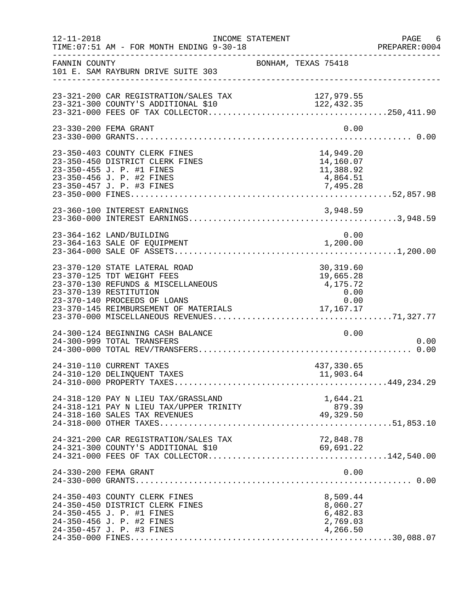| $12 - 11 - 2018$ | TIME: 07:51 AM - FOR MONTH ENDING 9-30-18                                                                                                                   | INCOME STATEMENT |                     |                                                          | PAGE 6<br>PREPARER: 0004 |
|------------------|-------------------------------------------------------------------------------------------------------------------------------------------------------------|------------------|---------------------|----------------------------------------------------------|--------------------------|
| FANNIN COUNTY    | 101 E. SAM RAYBURN DRIVE SUITE 303                                                                                                                          |                  | BONHAM, TEXAS 75418 |                                                          |                          |
|                  | 23-321-200 CAR REGISTRATION/SALES TAX<br>23-321-300 COUNTY'S ADDITIONAL \$10                                                                                |                  | 127,979.55          |                                                          |                          |
|                  | 23-330-200 FEMA GRANT                                                                                                                                       |                  |                     | 0.00                                                     |                          |
|                  | 23-350-403 COUNTY CLERK FINES<br>23-350-450 DISTRICT CLERK FINES<br>23-350-455 J. P. #1 FINES<br>23-350-456 J. P. #2 FINES                                  |                  |                     | 14,949.20<br>14,160.07<br>11,388.92<br>4,864.51          |                          |
|                  |                                                                                                                                                             |                  |                     |                                                          |                          |
|                  | 23-364-162 LAND/BUILDING<br>23-364-163 SALE OF EQUIPMENT                                                                                                    |                  | 1,200.00            | 0.00                                                     |                          |
|                  | 23-370-120 STATE LATERAL ROAD<br>23-370-125 TDT WEIGHT FEES<br>23-370-130 REFUNDS & MISCELLANEOUS<br>23-370-139 RESTITUTION<br>23-370-140 PROCEEDS OF LOANS |                  | 4,175.72            | 30,319.60<br>19,665.28<br>0.00<br>0.00                   |                          |
|                  | 24-300-124 BEGINNING CASH BALANCE<br>24-300-999 TOTAL TRANSFERS                                                                                             |                  |                     | 0.00                                                     | 0.00                     |
|                  | 24-310-110 CURRENT TAXES                                                                                                                                    |                  |                     | 437,330.65                                               |                          |
|                  | 24-318-120 PAY N LIEU TAX/GRASSLAND<br>24-318-121 PAY N LIEU TAX/UPPER TRINITY<br>24-318-160 SALES TAX REVENUES                                             |                  | 879.39<br>49,329.50 | 1,644.21<br>879.39                                       |                          |
|                  |                                                                                                                                                             |                  |                     |                                                          |                          |
|                  | 24-330-200 FEMA GRANT                                                                                                                                       |                  |                     | 0.00                                                     |                          |
|                  | 24-350-403 COUNTY CLERK FINES<br>24-350-450 DISTRICT CLERK FINES<br>24-350-455 J. P. #1 FINES<br>24-350-456 J. P. #2 FINES<br>24-350-457 J. P. #3 FINES     |                  |                     | 8,509.44<br>8,060.27<br>6,482.83<br>2,769.03<br>4,266.50 |                          |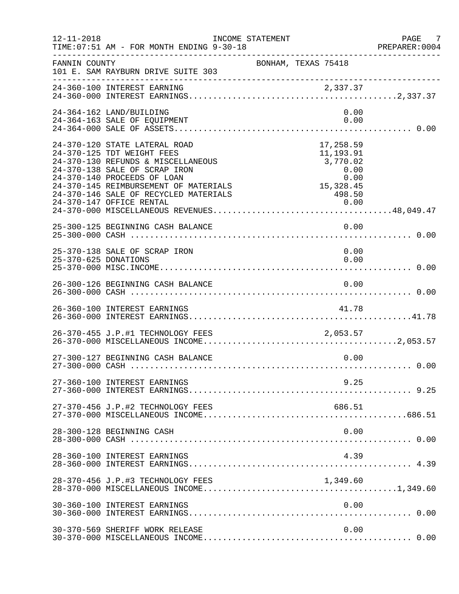| $12 - 11 - 2018$     | TIME: 07:51 AM - FOR MONTH ENDING 9-30-18                                                                                                                                                                                                                                       | INCOME STATEMENT                                                                                                                                                | PAGE 7<br>PREPARER:0004 |
|----------------------|---------------------------------------------------------------------------------------------------------------------------------------------------------------------------------------------------------------------------------------------------------------------------------|-----------------------------------------------------------------------------------------------------------------------------------------------------------------|-------------------------|
| FANNIN COUNTY        | 101 E. SAM RAYBURN DRIVE SUITE 303                                                                                                                                                                                                                                              | BONHAM, TEXAS 75418                                                                                                                                             |                         |
|                      | 24-360-100 INTEREST EARNING                                                                                                                                                                                                                                                     |                                                                                                                                                                 |                         |
|                      | 24-364-162 LAND/BUILDING<br>24-364-163 SALE OF EQUIPMENT                                                                                                                                                                                                                        | 0.00<br>0.00                                                                                                                                                    |                         |
|                      | 24-370-120 STATE LATERAL ROAD<br>24-370-125 TDT WEIGHT FEES<br>24-370-130 REFUNDS & MISCELLANEOUS<br>24-370-138 SALE OF SCRAP IRON<br>24-370-140 PROCEEDS OF LOAN<br>24-370-145 REIMBURSEMENT OF MATERIALS<br>24-370-146 SALE OF RECYCLED MATERIALS<br>24-370-147 OFFICE RENTAL | 17,258.59<br>11,193.91<br>3,770.02<br>$\begin{array}{r} 0.00 \\ 0.00 \\ 15,328.45 \\ \hline \end{array}$<br>498.50<br>$\begin{array}{c}\n 0.00 \\  \end{array}$ |                         |
|                      | 25-300-125 BEGINNING CASH BALANCE                                                                                                                                                                                                                                               | 0.00                                                                                                                                                            |                         |
| 25-370-625 DONATIONS | 25-370-138 SALE OF SCRAP IRON                                                                                                                                                                                                                                                   | 0.00<br>0.00                                                                                                                                                    |                         |
|                      | 26-300-126 BEGINNING CASH BALANCE                                                                                                                                                                                                                                               | 0.00                                                                                                                                                            |                         |
|                      |                                                                                                                                                                                                                                                                                 |                                                                                                                                                                 |                         |
|                      | 26-370-455 J.P.#1 TECHNOLOGY FEES 2,053.57                                                                                                                                                                                                                                      |                                                                                                                                                                 |                         |
|                      | 27-300-127 BEGINNING CASH BALANCE                                                                                                                                                                                                                                               | 0.00                                                                                                                                                            |                         |
|                      | 27-360-100 INTEREST EARNINGS                                                                                                                                                                                                                                                    | 9.25                                                                                                                                                            |                         |
|                      | 27-370-456 J.P.#2 TECHNOLOGY FEES                                                                                                                                                                                                                                               | 686.51                                                                                                                                                          |                         |
|                      | 28-300-128 BEGINNING CASH                                                                                                                                                                                                                                                       | 0.00                                                                                                                                                            |                         |
|                      | 28-360-100 INTEREST EARNINGS                                                                                                                                                                                                                                                    | 4.39                                                                                                                                                            |                         |
|                      |                                                                                                                                                                                                                                                                                 |                                                                                                                                                                 |                         |
|                      | 30-360-100 INTEREST EARNINGS                                                                                                                                                                                                                                                    | 0.00                                                                                                                                                            |                         |
|                      | 30-370-569 SHERIFF WORK RELEASE                                                                                                                                                                                                                                                 | 0.00                                                                                                                                                            |                         |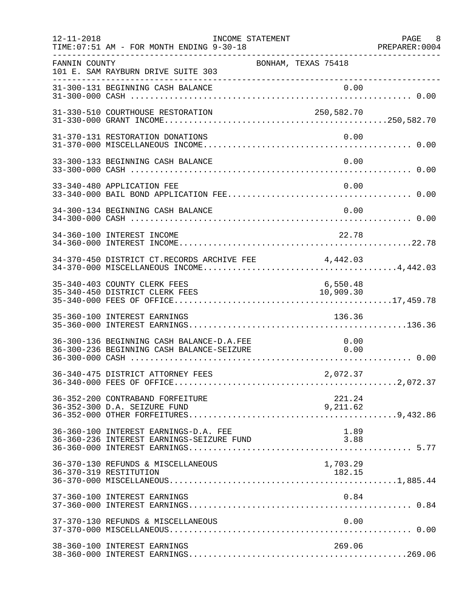| $12 - 11 - 2018$ | INCOME STATEMENT<br>TIME: 07:51 AM - FOR MONTH ENDING 9-30-18                          |                       | PAGE 8<br>PREPARER: 0004 |
|------------------|----------------------------------------------------------------------------------------|-----------------------|--------------------------|
| FANNIN COUNTY    | 101 E. SAM RAYBURN DRIVE SUITE 303<br>--------------------------------                 | BONHAM, TEXAS 75418   |                          |
|                  | 31-300-131 BEGINNING CASH BALANCE                                                      | 0.00                  |                          |
|                  | 31-330-510 COURTHOUSE RESTORATION                                                      | 250,582.70            |                          |
|                  | 31-370-131 RESTORATION DONATIONS                                                       | 0.00                  |                          |
|                  | 33-300-133 BEGINNING CASH BALANCE                                                      | 0.00                  |                          |
|                  | 33-340-480 APPLICATION FEE                                                             | 0.00                  |                          |
|                  | 34-300-134 BEGINNING CASH BALANCE                                                      | 0.00                  |                          |
|                  | 34-360-100 INTEREST INCOME                                                             | 22.78                 |                          |
|                  | 34-370-450 DISTRICT CT.RECORDS ARCHIVE FEE 4,442.03                                    |                       |                          |
|                  | 35-340-403 COUNTY CLERK FEES<br>35-340-450 DISTRICT CLERK FEES                         | 6,550.48<br>10,909.30 |                          |
|                  | 35-360-100 INTEREST EARNINGS                                                           | 136.36                |                          |
|                  | 36-300-136 BEGINNING CASH BALANCE-D.A.FEE<br>36-300-236 BEGINNING CASH BALANCE-SEIZURE | 0.00<br>0.00          |                          |
|                  |                                                                                        |                       |                          |
|                  | 36-352-200 CONTRABAND FORFEITURE<br>36-352-300 D.A. SEIZURE FUND                       | 221.24<br>9,211.62    |                          |
|                  | 36-360-100 INTEREST EARNINGS-D.A. FEE<br>36-360-236 INTEREST EARNINGS-SEIZURE FUND     | 1.89<br>3.88          |                          |
|                  | 36-370-130 REFUNDS & MISCELLANEOUS<br>36-370-319 RESTITUTION                           | 1,703.29<br>182.15    |                          |
|                  | 37-360-100 INTEREST EARNINGS                                                           | 0.84                  |                          |
|                  | 37-370-130 REFUNDS & MISCELLANEOUS                                                     | 0.00                  |                          |
|                  | 38-360-100 INTEREST EARNINGS                                                           | 269.06                |                          |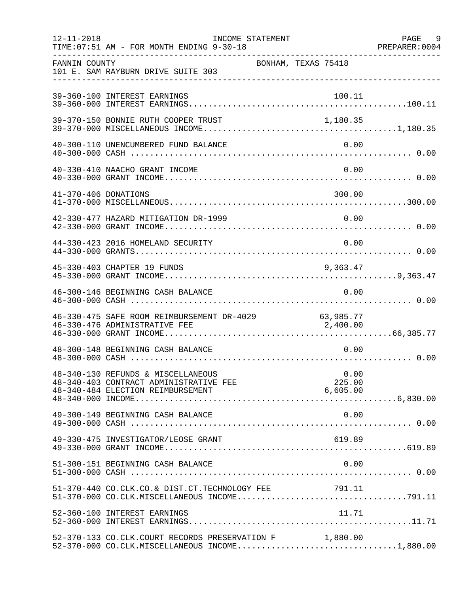| $12 - 11 - 2018$ | INCOME STATEMENT<br>TIME: 07:51 AM - FOR MONTH ENDING 9-30-18                                                     |                            | PAGE 9<br>PREPARER: 0004 |
|------------------|-------------------------------------------------------------------------------------------------------------------|----------------------------|--------------------------|
| FANNIN COUNTY    | 101 E. SAM RAYBURN DRIVE SUITE 303                                                                                | BONHAM, TEXAS 75418        |                          |
|                  | 39-360-100 INTEREST EARNINGS                                                                                      | 100.11                     |                          |
|                  | 39-370-150 BONNIE RUTH COOPER TRUST                                                                               | 1,180.35                   |                          |
|                  | 40-300-110 UNENCUMBERED FUND BALANCE                                                                              | 0.00                       |                          |
|                  | 40-330-410 NAACHO GRANT INCOME                                                                                    | 0.00                       |                          |
|                  | 41-370-406 DONATIONS                                                                                              | 300.00                     |                          |
|                  | 42-330-477 HAZARD MITIGATION DR-1999                                                                              | 0.00                       |                          |
|                  | 44-330-423 2016 HOMELAND SECURITY                                                                                 | 0.00                       |                          |
|                  | 45-330-403 CHAPTER 19 FUNDS                                                                                       | 9,363.47                   |                          |
|                  | 46-300-146 BEGINNING CASH BALANCE                                                                                 | 0.00                       |                          |
|                  | 46-330-475 SAFE ROOM REIMBURSEMENT DR-4029 63,985.77<br>46-330-476 ADMINISTRATIVE FEE 2,400.00                    |                            |                          |
|                  | 48-300-148 BEGINNING CASH BALANCE                                                                                 | 0.00                       |                          |
|                  | 48-340-130 REFUNDS & MISCELLANEOUS<br>48-340-403 CONTRACT ADMINISTRATIVE FEE<br>48-340-484 ELECTION REIMBURSEMENT | 0.00<br>225.00<br>6,605.00 |                          |
|                  | 49-300-149 BEGINNING CASH BALANCE                                                                                 | 0.00                       |                          |
|                  | 49-330-475 INVESTIGATOR/LEOSE GRANT                                                                               | 619.89                     |                          |
|                  | 51-300-151 BEGINNING CASH BALANCE                                                                                 | 0.00                       |                          |
|                  | 51-370-440 CO.CLK.CO.& DIST.CT.TECHNOLOGY FEE 791.11                                                              |                            |                          |
|                  | 52-360-100 INTEREST EARNINGS                                                                                      | 11.71                      |                          |
|                  | 52-370-133 CO.CLK.COURT RECORDS PRESERVATION F 1,880.00<br>52-370-000 CO.CLK.MISCELLANEOUS INCOME1,880.00         |                            |                          |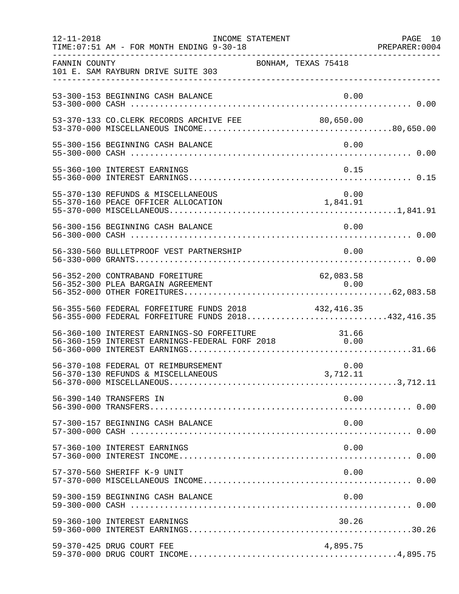| $12 - 11 - 2018$ | INCOME STATEMENT<br>TIME: 07:51 AM - FOR MONTH ENDING 9-30-18                                     |                     | PAGE 10<br>PREPARER: 0004 |
|------------------|---------------------------------------------------------------------------------------------------|---------------------|---------------------------|
| FANNIN COUNTY    | 101 E. SAM RAYBURN DRIVE SUITE 303                                                                | BONHAM, TEXAS 75418 |                           |
|                  | 53-300-153 BEGINNING CASH BALANCE                                                                 | 0.00                |                           |
|                  | 53-370-133 CO.CLERK RECORDS ARCHIVE FEE 80,650.00                                                 |                     |                           |
|                  | 55-300-156 BEGINNING CASH BALANCE                                                                 | 0.00                |                           |
|                  | 55-360-100 INTEREST EARNINGS                                                                      | 0.15                |                           |
|                  | 55-370-130 REFUNDS & MISCELLANEOUS                                                                |                     |                           |
|                  | 56-300-156 BEGINNING CASH BALANCE                                                                 | 0.00                |                           |
|                  | 56-330-560 BULLETPROOF VEST PARTNERSHIP                                                           | 0.00                |                           |
|                  | 56-352-200 CONTRABAND FOREITURE                                                                   | 62,083.58           |                           |
|                  | 56-355-560 FEDERAL FORFEITURE FUNDS 2018<br>56-355-000 FEDERAL FORFEITURE FUNDS 2018432,416.35    | 432,416.35          |                           |
|                  | 56-360-100 INTEREST EARNINGS-SO FORFEITURE<br>56-360-159 INTEREST EARNINGS-FEDERAL FORF 2018 0.00 |                     |                           |
|                  | 56-370-108 FEDERAL OT REIMBURSEMENT                                                               | 0.00                |                           |
|                  | 56-390-140 TRANSFERS IN                                                                           | 0.00                |                           |
|                  | 57-300-157 BEGINNING CASH BALANCE                                                                 | 0.00                |                           |
|                  | 57-360-100 INTEREST EARNINGS                                                                      | 0.00                |                           |
|                  | 57-370-560 SHERIFF K-9 UNIT                                                                       | 0.00                |                           |
|                  | 59-300-159 BEGINNING CASH BALANCE                                                                 | 0.00                |                           |
|                  | 59-360-100 INTEREST EARNINGS                                                                      | 30.26               |                           |
|                  | 59-370-425 DRUG COURT FEE                                                                         | 4,895.75            |                           |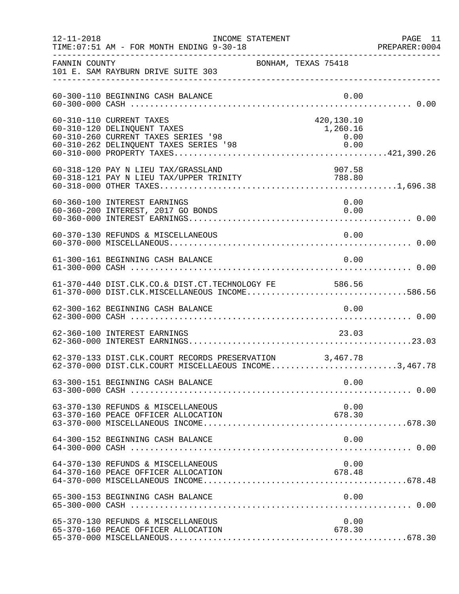| $12 - 11 - 2018$ | INCOME STATEMENT<br>TIME: 07:51 AM - FOR MONTH ENDING 9-30-18                                                                            |                                        | PAGE 11<br>PREPARER: 0004 |
|------------------|------------------------------------------------------------------------------------------------------------------------------------------|----------------------------------------|---------------------------|
| FANNIN COUNTY    | BONHAM, TEXAS 75418<br>101 E. SAM RAYBURN DRIVE SUITE 303                                                                                |                                        |                           |
|                  | 60-300-110 BEGINNING CASH BALANCE                                                                                                        | 0.00                                   |                           |
|                  | 60-310-110 CURRENT TAXES<br>60-310-120 DELINQUENT TAXES<br>60-310-260 CURRENT TAXES SERIES '98<br>60-310-262 DELINQUENT TAXES SERIES '98 | 420,130.10<br>1,260.16<br>0.00<br>0.00 |                           |
|                  | 60-318-120 PAY N LIEU TAX/GRASSLAND<br>60-318-121 PAY N LIEU TAX/UPPER TRINITY                                                           | 907.58<br>788.80                       |                           |
|                  | 60-360-100 INTEREST EARNINGS<br>60-360-200 INTEREST, 2017 GO BONDS                                                                       | 0.00<br>0.00                           |                           |
|                  | 60-370-130 REFUNDS & MISCELLANEOUS                                                                                                       | 0.00                                   |                           |
|                  | 61-300-161 BEGINNING CASH BALANCE                                                                                                        | 0.00                                   |                           |
|                  | 61-370-440 DIST.CLK.CO.& DIST.CT.TECHNOLOGY FE 586.56<br>61-370-000 DIST.CLK.MISCELLANEOUS INCOME586.56                                  |                                        |                           |
|                  | 62-300-162 BEGINNING CASH BALANCE                                                                                                        | 0.00                                   |                           |
|                  | 62-360-100 INTEREST EARNINGS                                                                                                             | 23.03                                  |                           |
|                  | 62-370-133 DIST.CLK.COURT RECORDS PRESERVATION 3,467.78<br>62-370-000 DIST.CLK.COURT MISCELLAEOUS INCOME3,467.78                         |                                        |                           |
|                  | 63-300-151 BEGINNING CASH BALANCE                                                                                                        | 0.00                                   |                           |
|                  | 63-370-130 REFUNDS & MISCELLANEOUS<br>63-370-160 PEACE OFFICER ALLOCATION                                                                | 0.00<br>678.30                         |                           |
|                  | 64-300-152 BEGINNING CASH BALANCE                                                                                                        | 0.00                                   |                           |
|                  | 64-370-130 REFUNDS & MISCELLANEOUS<br>64-370-160 PEACE OFFICER ALLOCATION                                                                | 0.00<br>678.48                         |                           |
|                  | 65-300-153 BEGINNING CASH BALANCE                                                                                                        | 0.00                                   |                           |
|                  | 65-370-130 REFUNDS & MISCELLANEOUS<br>65-370-160 PEACE OFFICER ALLOCATION                                                                | 0.00<br>678.30                         |                           |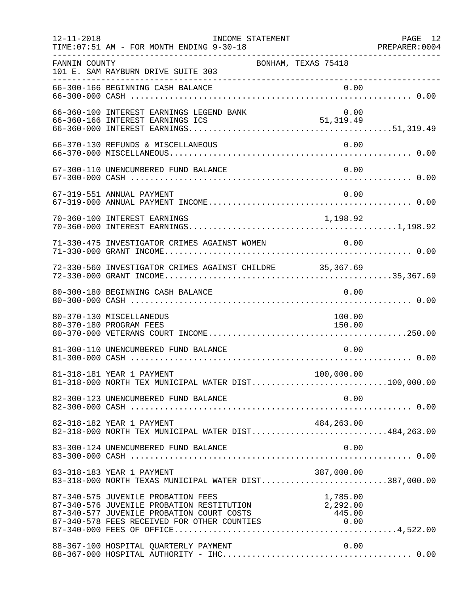| $12 - 11 - 2018$ | INCOME STATEMENT<br>TIME: 07:51 AM - FOR MONTH ENDING 9-30-18                                                                                                                                                                                  |                                     | PAGE 12<br>PREPARER: 0004 |
|------------------|------------------------------------------------------------------------------------------------------------------------------------------------------------------------------------------------------------------------------------------------|-------------------------------------|---------------------------|
| FANNIN COUNTY    | 101 E. SAM RAYBURN DRIVE SUITE 303                                                                                                                                                                                                             | BONHAM, TEXAS 75418                 |                           |
|                  | 66-300-166 BEGINNING CASH BALANCE                                                                                                                                                                                                              | 0.00                                |                           |
|                  | 66-360-100 INTEREST EARNINGS LEGEND BANK                                                                                                                                                                                                       | 0.00                                |                           |
|                  | 66-370-130 REFUNDS & MISCELLANEOUS                                                                                                                                                                                                             | 0.00                                |                           |
|                  | 67-300-110 UNENCUMBERED FUND BALANCE                                                                                                                                                                                                           | 0.00                                |                           |
|                  | 67-319-551 ANNUAL PAYMENT                                                                                                                                                                                                                      | 0.00                                |                           |
|                  | 70-360-100 INTEREST EARNINGS                                                                                                                                                                                                                   | 1,198.92                            |                           |
|                  | 71-330-475 INVESTIGATOR CRIMES AGAINST WOMEN                                                                                                                                                                                                   | 0.00                                |                           |
|                  | 72-330-560 INVESTIGATOR CRIMES AGAINST CHILDRE 35,367.69                                                                                                                                                                                       |                                     |                           |
|                  | 80-300-180 BEGINNING CASH BALANCE                                                                                                                                                                                                              | 0.00                                |                           |
|                  | 80-370-130 MISCELLANEOUS<br>80-370-180 PROGRAM FEES                                                                                                                                                                                            | 100.00<br>150.00                    |                           |
|                  | 81-300-110 UNENCUMBERED FUND BALANCE                                                                                                                                                                                                           | 0.00                                |                           |
|                  | 81-318-181 YEAR 1 PAYMENT<br>81-318-000 NORTH TEX MUNICIPAL WATER DIST100,000.00                                                                                                                                                               | 100,000.00                          |                           |
|                  | 82-300-123 UNENCUMBERED FUND BALANCE                                                                                                                                                                                                           | 0.00                                |                           |
|                  | 82-318-182 YEAR 1 PAYMENT<br>82-318-000 NORTH TEX MUNICIPAL WATER DIST484,263.00                                                                                                                                                               | 484,263.00                          |                           |
|                  | 83-300-124 UNENCUMBERED FUND BALANCE                                                                                                                                                                                                           | 0.00                                |                           |
|                  | 83-318-183 YEAR 1 PAYMENT<br>83-318-183 YEAR I PAYMENT<br>83-318-000 NORTH TEXAS MUNICIPAL WATER DIST387,000.00                                                                                                                                | 387,000.00                          |                           |
|                  | 87-340-575 JUVENILE PROBATION FEES<br>87-340-575 UOVENILE PROBATION FEES<br>87-340-576 JUVENILE PROBATION RESTITUTION<br>87-340-577 JUVENILE PROBATION COURT COSTS<br>87-340-578 FEES RECEIVED FOR OTHER COUNTIES<br>87-340-000 FEES OF OFFICE | 1,785.00<br>$1, 292.00$<br>2,292.00 |                           |
|                  | 88-367-100 HOSPITAL QUARTERLY PAYMENT                                                                                                                                                                                                          | 0.00                                |                           |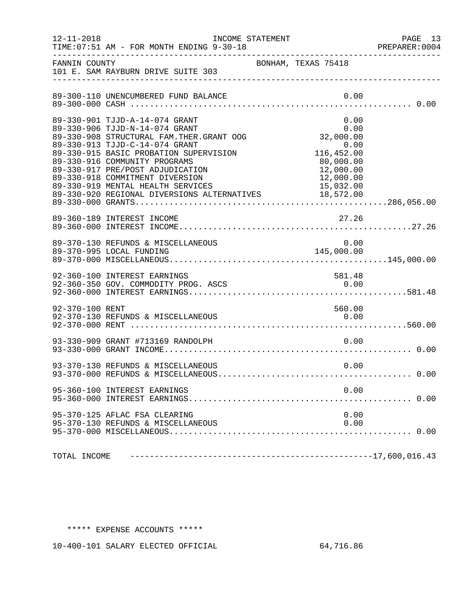| $12 - 11 - 2018$ | TIME: 07:51 AM - FOR MONTH ENDING 9-30-18                                                                                                                                                                                                                                                                                                                                                                  | INCOME STATEMENT                                                                         | PAGE 13<br>PREPARER:0004 |
|------------------|------------------------------------------------------------------------------------------------------------------------------------------------------------------------------------------------------------------------------------------------------------------------------------------------------------------------------------------------------------------------------------------------------------|------------------------------------------------------------------------------------------|--------------------------|
| FANNIN COUNTY    | 101 E. SAM RAYBURN DRIVE SUITE 303                                                                                                                                                                                                                                                                                                                                                                         | BONHAM, TEXAS 75418                                                                      |                          |
|                  | 89-300-110 UNENCUMBERED FUND BALANCE                                                                                                                                                                                                                                                                                                                                                                       | 0.00                                                                                     |                          |
|                  | 89-330-901 TJJD-A-14-074 GRANT<br>89-330-906 TJJD-N-14-074 GRANT<br>89-330-908 STRUCTURAL FAM. THER. GRANT OOG<br>89-330-913 TJJD-C-14-074 GRANT<br>89-330-915 BASIC PROBATION SUPERVISION<br>89-330-916 COMMUNITY PROGRAMS<br>89-330-917 PRE/POST ADJUDICATION<br>89-330-918 COMMITMENT DIVERSION<br>89-330-919 MENTAL HEALTH SERVICES 15,032.00<br>89-330-920 REGIONAL DIVERSIONS ALTERNATIVES 18,572.00 | 0.00<br>0.00<br>32,000.00<br>$0.00$<br>116,452.00<br>80,000.00<br>12,000.00<br>12,000.00 |                          |
|                  | 89-360-189 INTEREST INCOME                                                                                                                                                                                                                                                                                                                                                                                 | 27.26                                                                                    |                          |
|                  | 89-370-130 REFUNDS & MISCELLANEOUS<br>89-370-995 LOCAL FUNDING                                                                                                                                                                                                                                                                                                                                             | $0.00$<br>145,000.00                                                                     |                          |
|                  | 92-360-100 INTEREST EARNINGS<br>92-360-350 GOV. COMMODITY PROG. ASCS                                                                                                                                                                                                                                                                                                                                       | 581.48<br>0.00                                                                           |                          |
| 92-370-100 RENT  | 92-370-130 REFUNDS & MISCELLANEOUS                                                                                                                                                                                                                                                                                                                                                                         | 560.00<br>0.00                                                                           |                          |
|                  |                                                                                                                                                                                                                                                                                                                                                                                                            |                                                                                          |                          |
|                  | 93-370-130 REFUNDS & MISCELLANEOUS                                                                                                                                                                                                                                                                                                                                                                         | 0.00                                                                                     |                          |
|                  | 95-360-100 INTEREST EARNINGS                                                                                                                                                                                                                                                                                                                                                                               | 0.00                                                                                     |                          |
|                  | 95-370-125 AFLAC FSA CLEARING<br>95-370-130 REFUNDS & MISCELLANEOUS                                                                                                                                                                                                                                                                                                                                        | 0.00<br>0.00                                                                             |                          |
| TOTAL INCOME     |                                                                                                                                                                                                                                                                                                                                                                                                            |                                                                                          |                          |

## \*\*\*\*\* EXPENSE ACCOUNTS \*\*\*\*\*

10-400-101 SALARY ELECTED OFFICIAL 64,716.86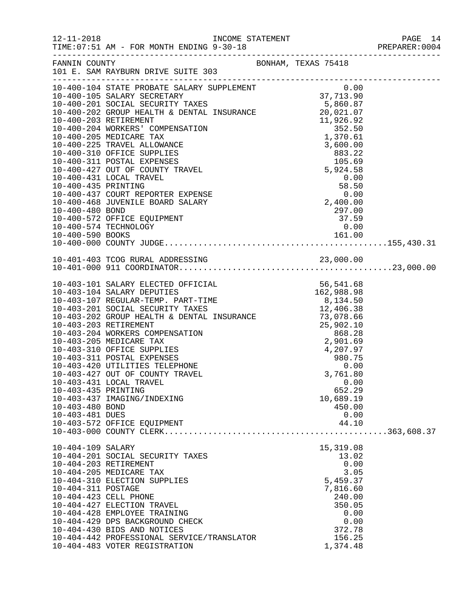| $12 - 11 - 2018$                                          | TIME: 07:51 AM - FOR MONTH ENDING 9-30-18                                                                                                                                                                                                                                                                                                                                                                                  |                                                                                                                                |  |
|-----------------------------------------------------------|----------------------------------------------------------------------------------------------------------------------------------------------------------------------------------------------------------------------------------------------------------------------------------------------------------------------------------------------------------------------------------------------------------------------------|--------------------------------------------------------------------------------------------------------------------------------|--|
| FANNIN COUNTY                                             | BONHAM, TEXAS 75418<br>101 E. SAM RAYBURN DRIVE SUITE 303                                                                                                                                                                                                                                                                                                                                                                  |                                                                                                                                |  |
| 10-400-435 PRINTING<br>10-400-480 BOND                    | 10-400-431 LOCAL TRAVEL<br>10-400-437 COURT REPORTER EXPENSE<br>10-400-468 JUVENILE BOARD SALARY<br>10-400-572 OFFICE EQUIPMENT<br>10-400-574 TECHNOLOGY                                                                                                                                                                                                                                                                   | 0.00<br>$0.00$<br>$58.50$<br>$0.00$<br>$2,400.00$<br>297.00<br>37.59<br>0.00                                                   |  |
|                                                           |                                                                                                                                                                                                                                                                                                                                                                                                                            |                                                                                                                                |  |
| 10-403-435 PRINTING<br>10-403-480 BOND<br>10-403-481 DUES | 0-401-400 911 COORDINATOR<br>0-401-000 911 COORDINATOR<br>10-403-101 SALARY ELECTED OFFICIAL<br>10-403-104 SALARY DEPUTIES<br>10-403-107 REGULAR-TEMP. PART-TIME<br>10-403-201 SOCIAL SECURITY TAXES<br>12,406.38<br>10-403-20<br>10-403-311 POSTAL EXPENSES<br>10-403-420 UTILITIES TELEPHONE<br>10-403-427 OUT OF COUNTY TRAVEL<br>10-403-431 LOCAL TRAVEL<br>10-403-437 IMAGING/INDEXING<br>10-403-572 OFFICE EQUIPMENT | 980.75<br>0.00<br>3,761.80<br>0.00<br>652.29<br>10,689.19<br>450.00<br>0.00<br>44.10                                           |  |
| 10-404-109 SALARY<br>10-404-311 POSTAGE                   | 10-404-201 SOCIAL SECURITY TAXES<br>10-404-203 RETIREMENT<br>10-404-205 MEDICARE TAX<br>10-404-310 ELECTION SUPPLIES<br>10-404-423 CELL PHONE<br>10-404-427 ELECTION TRAVEL<br>10-404-428 EMPLOYEE TRAINING<br>10-404-429 DPS BACKGROUND CHECK<br>10-404-430 BIDS AND NOTICES<br>10-404-442 PROFESSIONAL SERVICE/TRANSLATOR<br>10-404-483 VOTER REGISTRATION                                                               | 15,319.08<br>13.02<br>0.00<br>3.05<br>5,459.37<br>7,816.60<br>240.00<br>350.05<br>0.00<br>0.00<br>372.78<br>156.25<br>1,374.48 |  |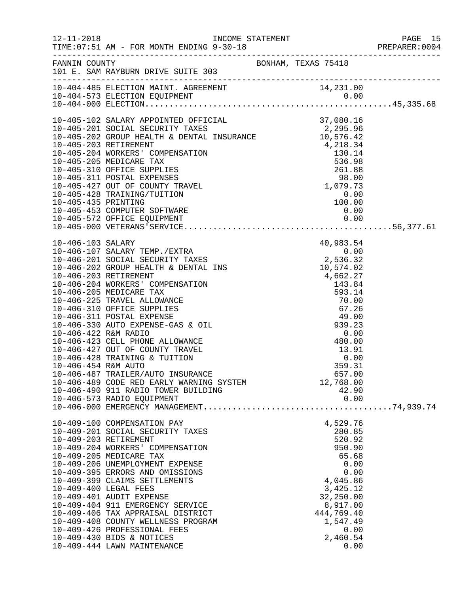|                                                |                                                                                                                                                                                                                                                                                                                                                                                                                                                                              |                                                                                                                                                                        | PAGE 15<br>PREPARER:0004<br>PAGE 15 |
|------------------------------------------------|------------------------------------------------------------------------------------------------------------------------------------------------------------------------------------------------------------------------------------------------------------------------------------------------------------------------------------------------------------------------------------------------------------------------------------------------------------------------------|------------------------------------------------------------------------------------------------------------------------------------------------------------------------|-------------------------------------|
|                                                | FANNIN COUNTY<br>101 E. SAM RAYBURN DRIVE SUITE 303                                                                                                                                                                                                                                                                                                                                                                                                                          |                                                                                                                                                                        |                                     |
|                                                |                                                                                                                                                                                                                                                                                                                                                                                                                                                                              |                                                                                                                                                                        |                                     |
|                                                |                                                                                                                                                                                                                                                                                                                                                                                                                                                                              |                                                                                                                                                                        |                                     |
|                                                | 10-406-487 TRAILER/AUTO INSURANCE<br>10-406-489 CODE RED EARLY WARNING SYSTEM<br>10-406-490 911 RADIO TOWER BUILDING<br>10-406-573 RADIO EQUIPMENT                                                                                                                                                                                                                                                                                                                           | 657.00<br>12,768.00<br>42.90<br>0.00                                                                                                                                   |                                     |
| 10-409-203 RETIREMENT<br>10-409-400 LEGAL FEES | 10-409-100 COMPENSATION PAY<br>10-409-201 SOCIAL SECURITY TAXES<br>10-409-204 WORKERS' COMPENSATION<br>10-409-205 MEDICARE TAX<br>10-409-206 UNEMPLOYMENT EXPENSE<br>10-409-395 ERRORS AND OMISSIONS<br>10-409-399 CLAIMS SETTLEMENTS<br>10-409-401 AUDIT EXPENSE<br>10-409-404 911 EMERGENCY SERVICE<br>10-409-406 TAX APPRAISAL DISTRICT<br>10-409-408 COUNTY WELLNESS PROGRAM<br>10-409-426 PROFESSIONAL FEES<br>10-409-430 BIDS & NOTICES<br>10-409-444 LAWN MAINTENANCE | 4,529.76<br>280.85<br>520.92<br>950.90<br>65.68<br>0.00<br>0.00<br>4,045.86<br>3,425.12<br>32,250.00<br>8,917.00<br>444,769.40<br>1,547.49<br>0.00<br>2,460.54<br>0.00 |                                     |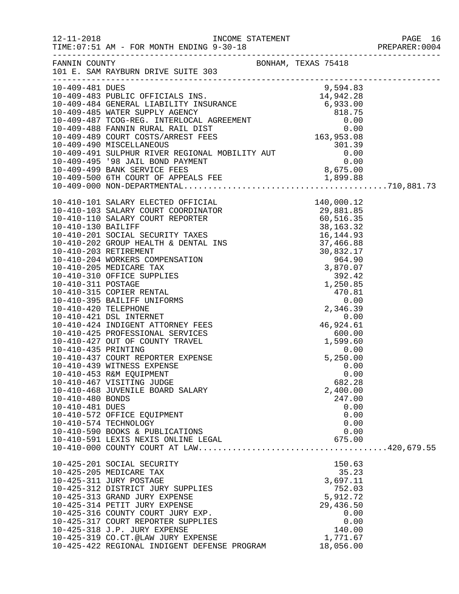| $12 - 11 - 2018$    | TIME: 07:51 AM - FOR MONTH ENDING 9-30-18                 |                        | PAGE 16<br>PREPARER:0004 |
|---------------------|-----------------------------------------------------------|------------------------|--------------------------|
| FANNIN COUNTY       | BONHAM, TEXAS 75418<br>101 E. SAM RAYBURN DRIVE SUITE 303 |                        |                          |
| 10-409-481 DUES     |                                                           | 9,594.83               |                          |
|                     |                                                           |                        |                          |
|                     |                                                           |                        |                          |
|                     |                                                           |                        |                          |
|                     |                                                           |                        |                          |
|                     |                                                           |                        |                          |
|                     |                                                           |                        |                          |
|                     |                                                           |                        |                          |
|                     |                                                           |                        |                          |
|                     |                                                           |                        |                          |
|                     |                                                           |                        |                          |
|                     |                                                           |                        |                          |
|                     |                                                           |                        |                          |
|                     |                                                           |                        |                          |
|                     |                                                           |                        |                          |
|                     |                                                           |                        |                          |
|                     |                                                           |                        |                          |
|                     |                                                           |                        |                          |
|                     |                                                           |                        |                          |
|                     |                                                           |                        |                          |
|                     |                                                           |                        |                          |
|                     |                                                           |                        |                          |
|                     |                                                           |                        |                          |
|                     |                                                           |                        |                          |
|                     |                                                           |                        |                          |
|                     |                                                           |                        |                          |
|                     |                                                           |                        |                          |
|                     | 10-410-425 PROFESSIONAL SERVICES                          |                        |                          |
|                     | 10-410-427 OUT OF COUNTY TRAVEL                           | $600.00$<br>$1,599.60$ |                          |
| 10-410-435 PRINTING |                                                           | 0.00                   |                          |
|                     | 10-410-437 COURT REPORTER EXPENSE                         | 5,250.00               |                          |
|                     | 10-410-439 WITNESS EXPENSE                                | 0.00                   |                          |
|                     | 10-410-453 R&M EQUIPMENT                                  | 0.00                   |                          |
|                     | 10-410-467 VISITING JUDGE                                 | 682.28                 |                          |
| 10-410-480 BONDS    | 10-410-468 JUVENILE BOARD SALARY                          | 2,400.00<br>247.00     |                          |
| 10-410-481 DUES     |                                                           | 0.00                   |                          |
|                     | 10-410-572 OFFICE EQUIPMENT                               | 0.00                   |                          |
|                     | 10-410-574 TECHNOLOGY                                     | 0.00                   |                          |
|                     | 10-410-590 BOOKS & PUBLICATIONS                           | 0.00                   |                          |
|                     | 10-410-591 LEXIS NEXIS ONLINE LEGAL                       | 675.00                 |                          |
|                     |                                                           |                        |                          |
|                     |                                                           | 150.63                 |                          |
|                     | 10-425-201 SOCIAL SECURITY<br>10-425-205 MEDICARE TAX     | 35.23                  |                          |
|                     | 10-425-311 JURY POSTAGE                                   | 3,697.11               |                          |
|                     | 10-425-312 DISTRICT JURY SUPPLIES                         | 752.03                 |                          |
|                     | 10-425-313 GRAND JURY EXPENSE                             | 5,912.72               |                          |
|                     | 10-425-314 PETIT JURY EXPENSE                             | 29,436.50              |                          |
|                     | 10-425-316 COUNTY COURT JURY EXP.                         | 0.00                   |                          |
|                     | 10-425-317 COURT REPORTER SUPPLIES                        | 0.00                   |                          |
|                     | 10-425-318 J.P. JURY EXPENSE                              | 140.00                 |                          |
|                     | 10-425-319 CO.CT.@LAW JURY EXPENSE                        | 1,771.67               |                          |
|                     | 10-425-422 REGIONAL INDIGENT DEFENSE PROGRAM              | 18,056.00              |                          |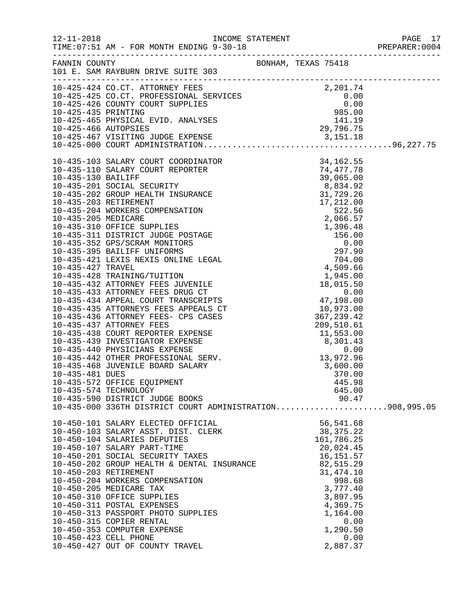|                 |                                                                                                                                                                                                                                                                                                                                           |                     |                      |      | PAGE 17<br>PREPARER: 0004 |
|-----------------|-------------------------------------------------------------------------------------------------------------------------------------------------------------------------------------------------------------------------------------------------------------------------------------------------------------------------------------------|---------------------|----------------------|------|---------------------------|
|                 | FANNIN COUNTY<br>101 E. SAM RAYBURN DRIVE SUITE 303                                                                                                                                                                                                                                                                                       | BONHAM, TEXAS 75418 |                      |      |                           |
|                 |                                                                                                                                                                                                                                                                                                                                           |                     |                      |      |                           |
|                 |                                                                                                                                                                                                                                                                                                                                           |                     |                      |      |                           |
|                 |                                                                                                                                                                                                                                                                                                                                           |                     |                      |      |                           |
|                 |                                                                                                                                                                                                                                                                                                                                           |                     |                      |      |                           |
|                 |                                                                                                                                                                                                                                                                                                                                           |                     |                      |      |                           |
|                 |                                                                                                                                                                                                                                                                                                                                           |                     |                      |      |                           |
|                 |                                                                                                                                                                                                                                                                                                                                           |                     |                      |      |                           |
|                 |                                                                                                                                                                                                                                                                                                                                           |                     |                      |      |                           |
|                 |                                                                                                                                                                                                                                                                                                                                           |                     |                      |      |                           |
|                 |                                                                                                                                                                                                                                                                                                                                           |                     |                      |      |                           |
|                 |                                                                                                                                                                                                                                                                                                                                           |                     |                      |      |                           |
|                 |                                                                                                                                                                                                                                                                                                                                           |                     |                      |      |                           |
|                 |                                                                                                                                                                                                                                                                                                                                           |                     |                      |      |                           |
|                 |                                                                                                                                                                                                                                                                                                                                           |                     |                      |      |                           |
|                 |                                                                                                                                                                                                                                                                                                                                           |                     |                      |      |                           |
|                 |                                                                                                                                                                                                                                                                                                                                           |                     |                      |      |                           |
|                 |                                                                                                                                                                                                                                                                                                                                           |                     |                      |      |                           |
|                 |                                                                                                                                                                                                                                                                                                                                           |                     |                      |      |                           |
|                 |                                                                                                                                                                                                                                                                                                                                           |                     |                      |      |                           |
|                 |                                                                                                                                                                                                                                                                                                                                           |                     |                      |      |                           |
|                 |                                                                                                                                                                                                                                                                                                                                           |                     |                      |      |                           |
|                 |                                                                                                                                                                                                                                                                                                                                           |                     |                      |      |                           |
|                 | $10-435-432 ATTORNEY FEES JUVENILE\n10-435-433 ATTORNEY FEES DRUG CT\n10-435-434 APPERL COUT TRANSCRTPTS\n10-435-435 ATTORNEY FEES- CPS CASES\n10-435-436 ATTORNEY FEES- CPS CASES\n10-435-436 ATTORNEY FEES- CPS CASES\n10-435-437 ATTORNEY FEES\n10-435-438 CURT REPORTER EXPENSE\n10-435-439 INVESTIGATOR EXPENSE\n10-435-440 PHYSITG$ |                     |                      |      |                           |
|                 |                                                                                                                                                                                                                                                                                                                                           |                     |                      |      |                           |
|                 |                                                                                                                                                                                                                                                                                                                                           |                     |                      |      |                           |
|                 |                                                                                                                                                                                                                                                                                                                                           |                     |                      |      |                           |
|                 |                                                                                                                                                                                                                                                                                                                                           |                     |                      |      |                           |
|                 |                                                                                                                                                                                                                                                                                                                                           |                     |                      |      |                           |
|                 |                                                                                                                                                                                                                                                                                                                                           |                     |                      |      |                           |
|                 |                                                                                                                                                                                                                                                                                                                                           |                     |                      |      |                           |
|                 |                                                                                                                                                                                                                                                                                                                                           |                     |                      |      |                           |
| 10-435-481 DUES |                                                                                                                                                                                                                                                                                                                                           |                     | 370.00               |      |                           |
|                 | 10-435-572 OFFICE EQUIPMENT                                                                                                                                                                                                                                                                                                               |                     | 445.98               |      |                           |
|                 | 10-435-574 TECHNOLOGY                                                                                                                                                                                                                                                                                                                     |                     | 645.00               |      |                           |
|                 | 10-435-590 DISTRICT JUDGE BOOKS 90.47<br>10-435-000 336TH DISTRICT COURT ADMINISTRATION908,995.05                                                                                                                                                                                                                                         |                     |                      |      |                           |
|                 |                                                                                                                                                                                                                                                                                                                                           |                     |                      |      |                           |
|                 | 10-450-101 SALARY ELECTED OFFICIAL<br>10-450-103 SALARY ASST. DIST. CLERK<br>10-100 101 CALARIES DEDUTIES                                                                                                                                                                                                                                 |                     | 56,541.68            |      |                           |
|                 |                                                                                                                                                                                                                                                                                                                                           |                     | 38, 375. 22          |      |                           |
|                 | 10-450-104 SALARIES DEPUTIES                                                                                                                                                                                                                                                                                                              |                     | 161,786.25           |      |                           |
|                 | 10-450-107 SALARY PART-TIME                                                                                                                                                                                                                                                                                                               |                     | 20,024.45            |      |                           |
|                 | 10-450-201 SOCIAL SECURITY TAXES<br>10-450-201 SOCIAL SECURITY TAXES 16,151.57<br>10-450-202 GROUP HEALTH & DENTAL INSURANCE 82,515.29                                                                                                                                                                                                    |                     |                      |      |                           |
|                 |                                                                                                                                                                                                                                                                                                                                           |                     |                      |      |                           |
|                 |                                                                                                                                                                                                                                                                                                                                           |                     | 31, 474.10<br>998.68 |      |                           |
|                 |                                                                                                                                                                                                                                                                                                                                           |                     | 3,777.40             |      |                           |
|                 |                                                                                                                                                                                                                                                                                                                                           |                     | 3,897.95             |      |                           |
|                 | 10-450-203 RETIREMENT<br>10-450-203 RETIREMENT<br>10-450-205 MEDICARE TAX<br>10-450-310 OFFICE SUPPLIES<br>10-450-311 POSTAL EXPENSES<br>10-450-313 PASSPORT PHOTO SUPPLIES                                                                                                                                                               |                     | 4,369.75             |      |                           |
|                 |                                                                                                                                                                                                                                                                                                                                           |                     | 1,164.00             |      |                           |
|                 | 10-450-315 COPIER RENTAL                                                                                                                                                                                                                                                                                                                  |                     |                      | 0.00 |                           |
|                 | 10-450-353 COMPUTER EXPENSE                                                                                                                                                                                                                                                                                                               |                     | 1,290.50             |      |                           |
|                 | 10-450-423 CELL PHONE                                                                                                                                                                                                                                                                                                                     |                     |                      | 0.00 |                           |
|                 | 10-450-427 OUT OF COUNTY TRAVEL                                                                                                                                                                                                                                                                                                           |                     | 2,887.37             |      |                           |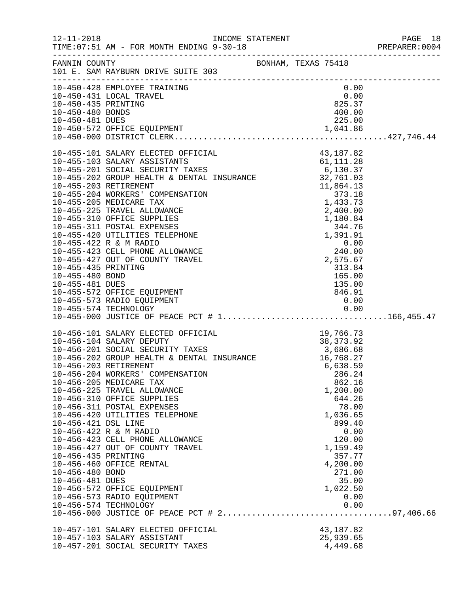| $12 - 11 - 2018$                       | TIME: 07:51 AM - FOR MONTH ENDING 9-30-18                                                                                                                                                                        | INCOME STATEMENT               | PAGE 18<br>PREPARER: 0004 |
|----------------------------------------|------------------------------------------------------------------------------------------------------------------------------------------------------------------------------------------------------------------|--------------------------------|---------------------------|
|                                        | FANNIN COUNTY<br>101 E. SAM RAYBURN DRIVE SUITE 303                                                                                                                                                              | BONHAM, TEXAS 75418            |                           |
|                                        | 10-450-428 EMPLOYEE TRAINING                                                                                                                                                                                     | 0.00                           |                           |
|                                        | 10-450-431 LOCAL TRAVEL                                                                                                                                                                                          | $0.00$<br>825.37               |                           |
| 10-450-435 PRINTING                    |                                                                                                                                                                                                                  |                                |                           |
| 10-450-480 BONDS                       |                                                                                                                                                                                                                  | 400.00                         |                           |
| 10-450-481 DUES                        |                                                                                                                                                                                                                  | 225.00                         |                           |
|                                        |                                                                                                                                                                                                                  |                                |                           |
|                                        |                                                                                                                                                                                                                  |                                |                           |
|                                        |                                                                                                                                                                                                                  |                                |                           |
|                                        |                                                                                                                                                                                                                  |                                |                           |
|                                        |                                                                                                                                                                                                                  |                                |                           |
|                                        |                                                                                                                                                                                                                  |                                |                           |
|                                        |                                                                                                                                                                                                                  |                                |                           |
|                                        |                                                                                                                                                                                                                  |                                |                           |
|                                        |                                                                                                                                                                                                                  |                                |                           |
|                                        |                                                                                                                                                                                                                  |                                |                           |
|                                        |                                                                                                                                                                                                                  |                                |                           |
|                                        |                                                                                                                                                                                                                  |                                |                           |
|                                        |                                                                                                                                                                                                                  |                                |                           |
|                                        |                                                                                                                                                                                                                  |                                |                           |
| 10-455-435 PRINTING<br>10-455-480 BOND |                                                                                                                                                                                                                  | 313.84                         |                           |
| 10-455-481 DUES                        |                                                                                                                                                                                                                  | $135.00$<br>$846.91$<br>$0.00$ |                           |
|                                        | 10-455-572 OFFICE EQUIPMENT                                                                                                                                                                                      |                                |                           |
|                                        | 10-455-573 RADIO EQUIPMENT                                                                                                                                                                                       |                                |                           |
|                                        |                                                                                                                                                                                                                  |                                |                           |
|                                        |                                                                                                                                                                                                                  |                                |                           |
|                                        | 10-456-101 SALARY ELECTED OFFICIAL 19,766.73<br>10-456-104 SALARY DEPUTY 38,373.92<br>10-456-201 SOCIAL SECURITY TAXES 3,686.68<br>10-456-202 GROUP HEALTH & DENTAL INSURANCE 16,768.27<br>10-456-203 RETIREMENT |                                |                           |
|                                        |                                                                                                                                                                                                                  |                                |                           |
|                                        |                                                                                                                                                                                                                  |                                |                           |
|                                        |                                                                                                                                                                                                                  |                                |                           |
|                                        | 10-456-203 RETIREMENT                                                                                                                                                                                            | 6,638.59                       |                           |
|                                        | 10-456-204 WORKERS' COMPENSATION<br>10-456-205 MEDICARE TAX                                                                                                                                                      | 286.24<br>862.16               |                           |
|                                        | 10-456-225 TRAVEL ALLOWANCE                                                                                                                                                                                      | 1,200.00                       |                           |
|                                        | 10-456-310 OFFICE SUPPLIES                                                                                                                                                                                       | 644.26                         |                           |
|                                        | 10-456-311 POSTAL EXPENSES                                                                                                                                                                                       | 78.00                          |                           |
|                                        | 10-456-420 UTILITIES TELEPHONE                                                                                                                                                                                   | 1,036.65                       |                           |
| 10-456-421 DSL LINE                    |                                                                                                                                                                                                                  | 899.40                         |                           |
|                                        | 10-456-422 R & M RADIO                                                                                                                                                                                           | 0.00                           |                           |
|                                        | 10-456-423 CELL PHONE ALLOWANCE                                                                                                                                                                                  | 120.00                         |                           |
| 10-456-435 PRINTING                    | 10-456-427 OUT OF COUNTY TRAVEL                                                                                                                                                                                  | 1,159.49<br>357.77             |                           |
|                                        | 10-456-460 OFFICE RENTAL                                                                                                                                                                                         | 4,200.00                       |                           |
| 10-456-480 BOND                        |                                                                                                                                                                                                                  | 271.00                         |                           |
| 10-456-481 DUES                        |                                                                                                                                                                                                                  | 35.00                          |                           |
|                                        | 10-456-572 OFFICE EQUIPMENT                                                                                                                                                                                      | 1,022.50                       |                           |
|                                        | 10-456-573 RADIO EQUIPMENT                                                                                                                                                                                       | 0.00                           |                           |
|                                        | 10-456-574 TECHNOLOGY                                                                                                                                                                                            | 0.00                           |                           |
|                                        |                                                                                                                                                                                                                  |                                |                           |
|                                        | 10-457-101 SALARY ELECTED OFFICIAL                                                                                                                                                                               | 43, 187.82                     |                           |
|                                        | 10-457-103 SALARY ASSISTANT                                                                                                                                                                                      | 25,939.65                      |                           |
|                                        | 10-457-201 SOCIAL SECURITY TAXES                                                                                                                                                                                 | 4,449.68                       |                           |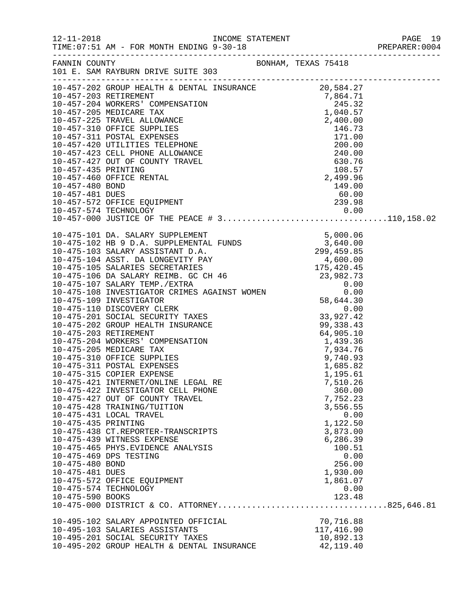| $12 - 11 - 2018$                                          | TIME: 07:51 AM - FOR MONTH ENDING 9-30-18                                                                                                                                                                                                                                                                                                                                                                                                                                                                                                                                                                                                                                                                                |                     |                                                                                                                                                                | PAGE 19<br>PREPARER:0004<br>PAGE 19 |
|-----------------------------------------------------------|--------------------------------------------------------------------------------------------------------------------------------------------------------------------------------------------------------------------------------------------------------------------------------------------------------------------------------------------------------------------------------------------------------------------------------------------------------------------------------------------------------------------------------------------------------------------------------------------------------------------------------------------------------------------------------------------------------------------------|---------------------|----------------------------------------------------------------------------------------------------------------------------------------------------------------|-------------------------------------|
|                                                           | FANNIN COUNTY<br>101 E. SAM RAYBURN DRIVE SUITE 303                                                                                                                                                                                                                                                                                                                                                                                                                                                                                                                                                                                                                                                                      | BONHAM, TEXAS 75418 |                                                                                                                                                                |                                     |
|                                                           | $\begin{tabular}{l c c c c} \hline \texttt{-----} \hline \texttt{10-457-202 G G NOW HEMLIT} & \texttt{DENTAL IN SURNANCE} & 20,584.271 \\ \hline 10-457-202 G ROUT HEMLIT & \texttt{DENTAL IN SURNANCE} & 7,864.71 \\ \hline \texttt{10-457-205 MEDICARE TAX} & 1,040.57 \\ \hline \texttt{10-457-225 TRANEL ALLOWANCE} & 2,400.00 \\ \hline \texttt{10-457-210 OF FICE SUPPLIES} & $                                                                                                                                                                                                                                                                                                                                    |                     |                                                                                                                                                                |                                     |
|                                                           |                                                                                                                                                                                                                                                                                                                                                                                                                                                                                                                                                                                                                                                                                                                          |                     |                                                                                                                                                                |                                     |
| 10-475-435 PRINTING<br>10-475-480 BOND<br>10-475-481 DUES | $10-475-101 \mbox{DA} SALARY SUPPLEMENT\n10-475-102 \mbox{HB} 9 \mbox{DA}. SUEPLEMENT\n10-475-103 SALARY SUPPLEMENT D.A. 299,459.85\n10-475-103 SALARY ASISTANT D.A. 299,459.85\n10-475-104 ASST. DA LONGEVITY PAY\n10-475-106 DA SALARY REIMB. GC CH 46 175,420.45\n10-475-106 DA SALARY TEMIB. GC CH 46 23,982.73\n$<br>10-475-315 COPIER EXPENSE<br>10-475-421 INTERNET/ONLINE LEGAL RE<br>10-475-422 INVESTIGATOR CELL PHONE<br>10-475-427 OUT OF COUNTY TRAVEL<br>10-475-428 TRAINING/TUITION<br>10-475-431 LOCAL TRAVEL<br>10-475-438 CT.REPORTER-TRANSCRIPTS<br>10-475-439 WITNESS EXPENSE<br>10-475-465 PHYS.EVIDENCE ANALYSIS<br>10-475-469 DPS TESTING<br>10-475-572 OFFICE EQUIPMENT<br>10-475-574 TECHNOLOGY |                     | 1,195.61<br>7,510.26<br>360.00<br>7,752.23<br>3,556.55<br>0.00<br>1,122.50<br>3,873.00<br>6,286.39<br>100.51<br>0.00<br>256.00<br>1,930.00<br>1,861.07<br>0.00 |                                     |
| 10-475-590 BOOKS                                          | 10-475-000 DISTRICT & CO. ATTORNEY825,646.81                                                                                                                                                                                                                                                                                                                                                                                                                                                                                                                                                                                                                                                                             |                     | 123.48                                                                                                                                                         |                                     |
|                                                           | 10-495-102 SALARY APPOINTED OFFICIAL<br>10-495-103 SALARIES ASSISTANTS<br>10-495-201 SOCIAL SECURITY TAXES<br>10-495-202 GROUP HEALTH & DENTAL INSURANCE                                                                                                                                                                                                                                                                                                                                                                                                                                                                                                                                                                 |                     | 70,716.88<br>117,416.90<br>10,892.13<br>42, 119.40                                                                                                             |                                     |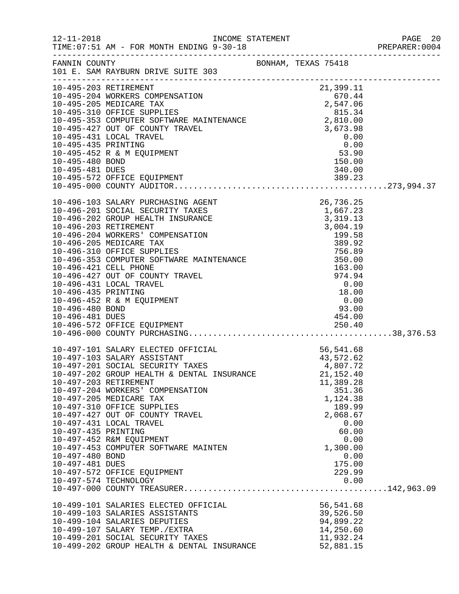|                                                           |                                                                                                                                                                                                                                                                                                                                                                                                                                                                     |                                                                                                                                                                                                               | PAGE 20<br>PREPARER:0004 |
|-----------------------------------------------------------|---------------------------------------------------------------------------------------------------------------------------------------------------------------------------------------------------------------------------------------------------------------------------------------------------------------------------------------------------------------------------------------------------------------------------------------------------------------------|---------------------------------------------------------------------------------------------------------------------------------------------------------------------------------------------------------------|--------------------------|
|                                                           | FANNIN COUNTY SAN BONHAM, TEXAS 75418<br>101 E. SAM RAYBURN DRIVE SUITE 303                                                                                                                                                                                                                                                                                                                                                                                         |                                                                                                                                                                                                               |                          |
|                                                           | 10-495-203 RETIREMENT<br>10-495-204 WORKERS COMPENSATION<br>10-495-204 NORKERS COMPENSATION<br>10-495-205 MEDICARE TAX<br>10-495-310 OFFICE SUPPLIES<br>10-495-353 COMPUTER SOFTWARE MAINTENANCE<br>10-495-353 CONDUTER SOFTWARE MAINTENAN                                                                                                                                                                                                                          |                                                                                                                                                                                                               |                          |
| 10-496-481 DUES                                           |                                                                                                                                                                                                                                                                                                                                                                                                                                                                     | 454.00                                                                                                                                                                                                        |                          |
| 10-497-435 PRINTING<br>10-497-480 BOND<br>10-497-481 DUES | 10-497-101 SALARY ELECTED OFFICIAL<br>10-497-103 SALARY ASSISTANT<br>10-497-201 SOCIAL SECURITY TAXES<br>10-497-202 GROUP HEALTH & DENTAL INSURANCE<br>10-497-203 RETIREMENT<br>10-497-204 WORKERS' COMPENSATION<br>10-497-205 MEDICARE TAX<br>10-497-310 OFFICE SUPPLIES<br>10-497-427 OUT OF COUNTY TRAVEL<br>10-497-431 LOCAL TRAVEL<br>10-497-452 R&M EQUIPMENT<br>10-497-453 COMPUTER SOFTWARE MAINTEN<br>10-497-572 OFFICE EQUIPMENT<br>10-497-574 TECHNOLOGY | CIAL<br>ES<br>56,541.68<br>$43,5,2.$<br>$4,807.72$<br>$55,40$<br>21, 152.40<br>11,389.28<br>351.36<br>1,124.38<br>189.99<br>2,068.67<br>0.00<br>60.00<br>0.00<br>1,300.00<br>0.00<br>175.00<br>229.99<br>0.00 |                          |
|                                                           | 10-499-101 SALARIES ELECTED OFFICIAL<br>10-499-103 SALARIES ASSISTANTS<br>10-499-104 SALARIES DEPUTIES<br>10-499-107 SALARY TEMP./EXTRA<br>10-499-201 SOCIAL SECURITY TAXES<br>10-499-202 GROUP HEALTH & DENTAL INSURANCE                                                                                                                                                                                                                                           | 56,541.68<br>39,526.50<br>94,899.22<br>14,250.60<br>11,932.24<br>52,881.15                                                                                                                                    |                          |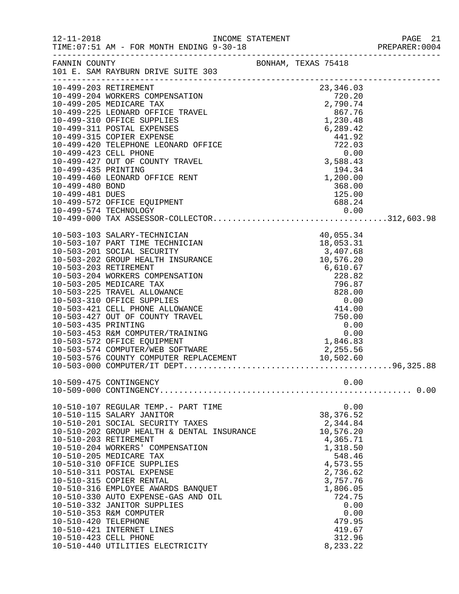|                      |                                                                           |  |                                                         |      | PREPARER: 0004 |
|----------------------|---------------------------------------------------------------------------|--|---------------------------------------------------------|------|----------------|
|                      |                                                                           |  |                                                         |      |                |
|                      | FANNIN COUNTY<br>101 E. SAM RAYBURN DRIVE SUITE 303                       |  |                                                         |      |                |
|                      |                                                                           |  |                                                         |      |                |
|                      |                                                                           |  |                                                         |      |                |
|                      |                                                                           |  |                                                         |      |                |
|                      |                                                                           |  |                                                         |      |                |
|                      |                                                                           |  |                                                         |      |                |
|                      |                                                                           |  |                                                         |      |                |
|                      |                                                                           |  |                                                         |      |                |
|                      |                                                                           |  |                                                         |      |                |
|                      |                                                                           |  |                                                         |      |                |
|                      |                                                                           |  |                                                         |      |                |
|                      |                                                                           |  |                                                         |      |                |
|                      |                                                                           |  |                                                         |      |                |
|                      |                                                                           |  |                                                         |      |                |
|                      | 10-499-572 OFFICE EQUIPMENT                                               |  | 688.24                                                  |      |                |
|                      |                                                                           |  |                                                         |      |                |
|                      | 10-499-574 TECHNOLOGY 0.00<br>10-499-000 TAX ASSESSOR-COLLECTOR312,603.98 |  |                                                         |      |                |
|                      |                                                                           |  |                                                         |      |                |
|                      |                                                                           |  |                                                         |      |                |
|                      |                                                                           |  |                                                         |      |                |
|                      |                                                                           |  |                                                         |      |                |
|                      |                                                                           |  |                                                         |      |                |
|                      |                                                                           |  |                                                         |      |                |
|                      |                                                                           |  |                                                         |      |                |
|                      |                                                                           |  |                                                         |      |                |
|                      |                                                                           |  |                                                         |      |                |
|                      |                                                                           |  |                                                         |      |                |
| 10-503-435 PRINTING  |                                                                           |  | $\begin{array}{r} 0.00 \\ 0.00 \\ 1,846.83 \end{array}$ |      |                |
|                      | 10-503-453 R&M COMPUTER/TRAINING                                          |  |                                                         |      |                |
|                      | 10-503-572 OFFICE EQUIPMENT                                               |  |                                                         |      |                |
|                      |                                                                           |  |                                                         |      |                |
|                      |                                                                           |  |                                                         |      |                |
|                      |                                                                           |  |                                                         |      |                |
|                      | 10-509-475 CONTINGENCY                                                    |  |                                                         | 0.00 |                |
|                      |                                                                           |  |                                                         |      |                |
|                      | 10-510-107 REGULAR TEMP.- PART TIME                                       |  |                                                         | 0.00 |                |
|                      | 10-510-115 SALARY JANITOR                                                 |  | 38, 376.52                                              |      |                |
|                      | 10-510-201 SOCIAL SECURITY TAXES                                          |  | 2,344.84                                                |      |                |
|                      | $10-510-202$ GROUP HEALTH & DENTAL INSURANCE                              |  | 10,576.20                                               |      |                |
|                      | 10-510-203 RETIREMENT                                                     |  | 4,365.71                                                |      |                |
|                      | 10-510-204 WORKERS' COMPENSATION<br>10-510-205 MEDICARE TAX               |  | 1,318.50<br>548.46                                      |      |                |
|                      | 10-510-310 OFFICE SUPPLIES                                                |  | 4,573.55                                                |      |                |
|                      | 10-510-311 POSTAL EXPENSE                                                 |  | 2,736.62                                                |      |                |
|                      | 10-510-315 COPIER RENTAL                                                  |  | 3,757.76                                                |      |                |
|                      | 10-510-316 EMPLOYEE AWARDS BANQUET                                        |  | 1,806.05                                                |      |                |
|                      | 10-510-330 AUTO EXPENSE-GAS AND OIL                                       |  | 724.75                                                  |      |                |
|                      | 10-510-332 JANITOR SUPPLIES                                               |  |                                                         | 0.00 |                |
|                      | 10-510-353 R&M COMPUTER                                                   |  |                                                         | 0.00 |                |
| 10-510-420 TELEPHONE |                                                                           |  | 479.95                                                  |      |                |
|                      | 10-510-421 INTERNET LINES                                                 |  | 419.67                                                  |      |                |
|                      | 10-510-423 CELL PHONE                                                     |  | 312.96                                                  |      |                |
|                      | 10-510-440 UTILITIES ELECTRICITY                                          |  | 8,233.22                                                |      |                |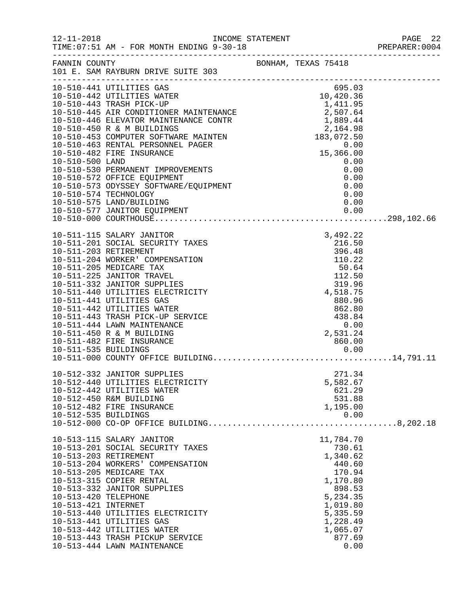| $12 - 11 - 2018$                                                     | TIME: 07:51 AM - FOR MONTH ENDING 9-30-18                                                                                                                                                                                                                                                                                                                                                                          |                                                                                                                                                         | PAGE 22<br>PREPARER:0004 |
|----------------------------------------------------------------------|--------------------------------------------------------------------------------------------------------------------------------------------------------------------------------------------------------------------------------------------------------------------------------------------------------------------------------------------------------------------------------------------------------------------|---------------------------------------------------------------------------------------------------------------------------------------------------------|--------------------------|
|                                                                      | FANNIN COUNTY<br>101 E. SAM RAYBURN DRIVE SUITE 303                                                                                                                                                                                                                                                                                                                                                                |                                                                                                                                                         |                          |
|                                                                      | 10-510-441 UTILITIES GAS<br>10-510-442 UTILITIES WATER<br>10-510-443 TRASH PICK-UP<br>10-510-445 ARR CONDITIONER MAINTENANCE<br>10-510-445 ELEVATOR MAINTENANCE CONTR<br>10-510-450 R & M BUILDINGS<br>10-510-450 R & M BUILDINGS<br>10-510-<br>10-510-530 PERMANENT IMPROVEMENTS<br>10-510-572 OFFICE EQUIPMENT<br>10-510-573 ODYSSEY SOFTWARE/EQUIPMENT<br>10-510-574 TECHNOLOGY                                 | 15, 3<br>0.00<br>0.00<br>0.00<br>0.00                                                                                                                   |                          |
|                                                                      | 10-510-575 LAND/BUILDING                                                                                                                                                                                                                                                                                                                                                                                           | 0.00                                                                                                                                                    |                          |
| 10-511-203 RETIREMENT<br>10-511-535 BUILDINGS                        | 10-511-115 SALARY JANITOR<br>10-511-201 SOCIAL SECURITY TAXES<br>10-511-204 WORKER' COMPENSATION<br>10-511-205 MEDICARE TAX<br>10-511-225 JANITOR TRAVEL<br>10-511-332 JANITOR SUPPLIES<br>10-511-440 UTILITIES ELECTRICITY<br>10-511-441 UTILITIES GAS<br>10-511-442 UTILITIES WATER<br>10-511-443 TRASH PICK-UP SERVICE<br>10-511-444 LAWN MAINTENANCE<br>10-511-450 R & M BUILDING<br>10-511-482 FIRE INSURANCE | 3,492.22<br>216.50<br>396.48<br>110.22<br>50.64<br>112.50<br>319.96<br>4,518.75<br>880.96<br>862.80<br>438.84<br>0.00<br>2,531.24<br>860.00<br>0.00     |                          |
| 10-512-535 BUILDINGS                                                 | 10-512-332 JANITOR SUPPLIES<br>10-512-440 UTILITIES ELECTRICITY<br>10-512-442 UTILITIES WATER<br>10-512-450 R&M BUILDING<br>10-512-482 FIRE INSURANCE                                                                                                                                                                                                                                                              | 271.34<br>5,582.67<br>621.29<br>531.88<br>1,195.00<br>0.00                                                                                              |                          |
| 10-513-203 RETIREMENT<br>10-513-420 TELEPHONE<br>10-513-421 INTERNET | 10-513-115 SALARY JANITOR<br>10-513-201 SOCIAL SECURITY TAXES<br>10-513-204 WORKERS' COMPENSATION<br>10-513-205 MEDICARE TAX<br>10-513-315 COPIER RENTAL<br>10-513-332 JANITOR SUPPLIES<br>10-513-440 UTILITIES ELECTRICITY<br>10-513-441 UTILITIES GAS<br>10-513-442 UTILITIES WATER<br>10-513-443 TRASH PICKUP SERVICE<br>10-513-444 LAWN MAINTENANCE                                                            | 11,784.70<br>730.61<br>1,340.62<br>440.60<br>170.94<br>1,170.80<br>898.53<br>5,234.35<br>1,019.80<br>5,335.59<br>1,228.49<br>1,065.07<br>877.69<br>0.00 |                          |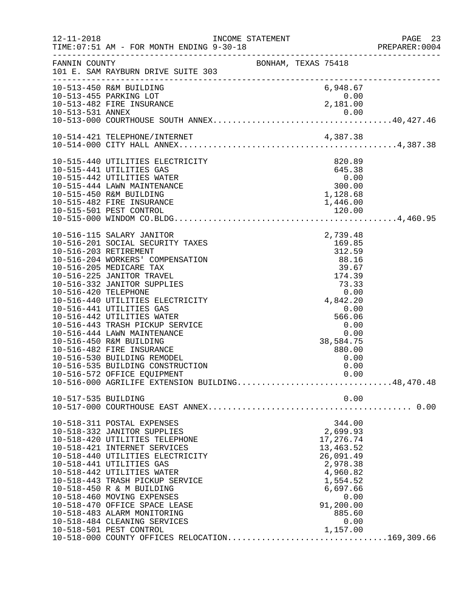| $12 - 11 - 2018$      | TIME: 07:51 AM - FOR MONTH ENDING 9-30-18                                                                         |                                                                           |                                                             |      | PAGE 23<br>PREPARER: 0004 |
|-----------------------|-------------------------------------------------------------------------------------------------------------------|---------------------------------------------------------------------------|-------------------------------------------------------------|------|---------------------------|
| FANNIN COUNTY         | 101 E. SAM RAYBURN DRIVE SUITE 303<br>.com/accommodation/accommodation/accommodation/accommodation/accommodation/ | BONHAM, TEXAS 75418                                                       |                                                             |      |                           |
|                       | 10-513-450 R&M BUILDING                                                                                           |                                                                           | 6,948.67                                                    |      |                           |
|                       | 10-513-455 PARKING LOT                                                                                            |                                                                           | 0.00<br>$\begin{smallmatrix}0.00\0.181.00\end{smallmatrix}$ |      |                           |
|                       | 10-513-482 FIRE INSURANCE                                                                                         |                                                                           |                                                             |      |                           |
|                       |                                                                                                                   |                                                                           |                                                             |      |                           |
|                       |                                                                                                                   |                                                                           |                                                             |      |                           |
|                       |                                                                                                                   |                                                                           |                                                             |      |                           |
|                       |                                                                                                                   |                                                                           |                                                             |      |                           |
|                       | 10-515-440 UTILITIES ELECTRICITY<br>10-515-441 UTILITIES GAS<br>2000 00                                           |                                                                           |                                                             |      |                           |
|                       |                                                                                                                   |                                                                           |                                                             |      |                           |
|                       | 10-515-442 UTILITIES WATER                                                                                        |                                                                           |                                                             |      |                           |
|                       | 10-515-444 LAWN MAINTENANCE                                                                                       | $0.00$<br>300.00<br>1,128.68                                              |                                                             |      |                           |
|                       | 10-515-450 R&M BUILDING                                                                                           |                                                                           |                                                             |      |                           |
|                       | 10-515-482 FIRE INSURANCE                                                                                         |                                                                           | 1,446.00                                                    |      |                           |
|                       |                                                                                                                   |                                                                           |                                                             |      |                           |
|                       |                                                                                                                   |                                                                           |                                                             |      |                           |
|                       | 10-516-115 SALARY JANITOR                                                                                         |                                                                           |                                                             |      |                           |
|                       | 10-516-201 SOCIAL SECURITY TAXES                                                                                  | 2,739.48<br>169.85<br>312.59                                              |                                                             |      |                           |
| 10-516-203 RETIREMENT |                                                                                                                   | $312.59$<br>$88.16$<br>$39.67$<br>$174.39$<br>$73.33$<br>0.00<br>4,842.20 |                                                             |      |                           |
|                       | 10-516-204 WORKERS' COMPENSATION                                                                                  |                                                                           |                                                             |      |                           |
|                       | 10-516-205 MEDICARE TAX                                                                                           |                                                                           |                                                             |      |                           |
|                       | 10-516-225 JANITOR TRAVEL                                                                                         |                                                                           |                                                             |      |                           |
|                       | 10-516-332 JANITOR SUPPLIES                                                                                       |                                                                           |                                                             |      |                           |
| 10-516-420 TELEPHONE  |                                                                                                                   |                                                                           |                                                             |      |                           |
|                       | 10-516-440 UTILITIES ELECTRICITY                                                                                  |                                                                           |                                                             |      |                           |
|                       | 10-516-441 UTILITIES GAS                                                                                          |                                                                           | 0.00                                                        |      |                           |
|                       | 10-516-442 UTILITIES WATER                                                                                        |                                                                           | 566.06                                                      |      |                           |
|                       | 10-516-443 TRASH PICKUP SERVICE                                                                                   |                                                                           | 0.00                                                        |      |                           |
|                       | 10-516-444 LAWN MAINTENANCE                                                                                       |                                                                           |                                                             | 0.00 |                           |
|                       | 10-516-450 R&M BUILDING                                                                                           |                                                                           | 38,584.75                                                   |      |                           |
|                       | 10-516-482 FIRE INSURANCE                                                                                         |                                                                           | 880.00                                                      |      |                           |
|                       | 10-516-530 BUILDING REMODEL                                                                                       |                                                                           |                                                             | 0.00 |                           |
|                       | 10-516-535 BUILDING CONSTRUCTION                                                                                  |                                                                           |                                                             | 0.00 |                           |
|                       | 10-516-572 OFFICE EQUIPMENT                                                                                       |                                                                           | 0.00                                                        |      |                           |
|                       |                                                                                                                   |                                                                           |                                                             |      |                           |
| 10-517-535 BUILDING   |                                                                                                                   |                                                                           |                                                             | 0.00 |                           |
|                       |                                                                                                                   |                                                                           |                                                             |      |                           |
|                       | 10-518-311 POSTAL EXPENSES                                                                                        |                                                                           | 344.00                                                      |      |                           |
|                       | 10-518-332 JANITOR SUPPLIES                                                                                       |                                                                           | 2,699.93                                                    |      |                           |
|                       | 10-518-420 UTILITIES TELEPHONE                                                                                    |                                                                           | 17,276.74                                                   |      |                           |
|                       | 10-518-421 INTERNET SERVICES                                                                                      |                                                                           | 13,463.52                                                   |      |                           |
|                       | 10-518-440 UTILITIES ELECTRICITY                                                                                  |                                                                           | 26,091.49                                                   |      |                           |
|                       | 10-518-441 UTILITIES GAS                                                                                          |                                                                           | 2,978.38                                                    |      |                           |
|                       | 10-518-442 UTILITIES WATER                                                                                        |                                                                           | 4,960.82                                                    |      |                           |
|                       | 10-518-443 TRASH PICKUP SERVICE                                                                                   |                                                                           | 1,554.52                                                    |      |                           |
|                       | 10-518-450 R & M BUILDING                                                                                         |                                                                           | 6,697.66                                                    |      |                           |
|                       | 10-518-460 MOVING EXPENSES                                                                                        |                                                                           |                                                             | 0.00 |                           |
|                       | 10-518-470 OFFICE SPACE LEASE                                                                                     |                                                                           | 91,200.00                                                   |      |                           |
|                       | 10-518-483 ALARM MONITORING                                                                                       |                                                                           | 885.60                                                      |      |                           |
|                       | 10-518-484 CLEANING SERVICES                                                                                      |                                                                           |                                                             | 0.00 |                           |
|                       | 10-518-501 PEST CONTROL                                                                                           |                                                                           | 1,157.00                                                    |      |                           |
|                       | 10-518-000 COUNTY OFFICES RELOCATION169,309.66                                                                    |                                                                           |                                                             |      |                           |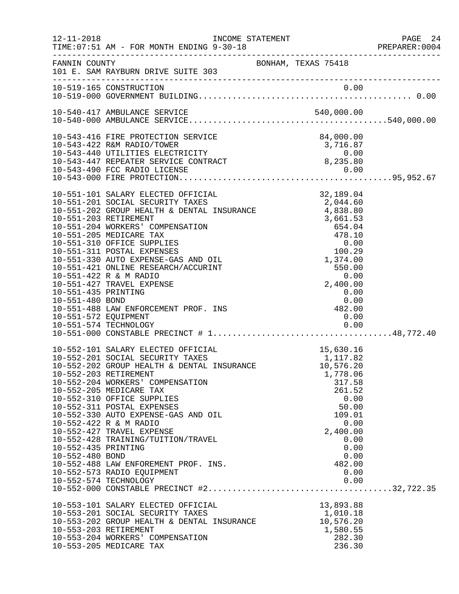|                      |                                                                                                                                                                                       |                                                                                                          |                  | PAGE 24        |
|----------------------|---------------------------------------------------------------------------------------------------------------------------------------------------------------------------------------|----------------------------------------------------------------------------------------------------------|------------------|----------------|
|                      |                                                                                                                                                                                       |                                                                                                          |                  | PREPARER: 0004 |
|                      | FANNIN COUNTY<br>101 E. SAM RAYBURN DRIVE SUITE 303                                                                                                                                   | BONHAM, TEXAS 75418                                                                                      |                  |                |
|                      |                                                                                                                                                                                       |                                                                                                          |                  |                |
|                      |                                                                                                                                                                                       |                                                                                                          |                  |                |
|                      |                                                                                                                                                                                       |                                                                                                          |                  |                |
|                      | 10-543-416 FIRE PROTECTION SERVICE                                                                                                                                                    |                                                                                                          | 84,000.00        |                |
|                      | 10-543-422 R&M RADIO/TOWER 3,716.87<br>10-543-440 UTILITIES ELECTRICITY 0.00<br>10-543-447 REPEATER SERVICE CONTRACT 8,235.80                                                         |                                                                                                          |                  |                |
|                      |                                                                                                                                                                                       |                                                                                                          |                  |                |
|                      |                                                                                                                                                                                       |                                                                                                          |                  |                |
|                      |                                                                                                                                                                                       |                                                                                                          |                  |                |
|                      |                                                                                                                                                                                       |                                                                                                          |                  |                |
|                      | 10-551-101 SALARY ELECTED OFFICIAL                                                                                                                                                    |                                                                                                          | 32, 189.04       |                |
|                      | 10-551-101 SALARY ELECTED OFFICIAL 52,189.04<br>10-551-201 SOCIAL SECURITY TAXES 3,044.60<br>10-551-202 GROUP HEALTH & DENTAL INSURANCE 4,838.80                                      |                                                                                                          |                  |                |
|                      | 10-551-203 RETIREMENT                                                                                                                                                                 |                                                                                                          |                  |                |
|                      | 10-551-204 WORKERS' COMPENSATION                                                                                                                                                      | 4, 838.80<br>3, 661.53<br>654.04<br>478.10<br>0.00<br>100.29<br>1, 374.00<br>550.00<br>0.00<br>2, 400.00 |                  |                |
|                      | 10-551-205 MEDICARE TAX                                                                                                                                                               |                                                                                                          |                  |                |
|                      | 10-551-310 OFFICE SUPPLIES                                                                                                                                                            |                                                                                                          |                  |                |
|                      | 10-551-311 POSTAL EXPENSES                                                                                                                                                            |                                                                                                          |                  |                |
|                      | 10-551-330 AUTO EXPENSE-GAS AND OIL                                                                                                                                                   |                                                                                                          |                  |                |
|                      | 10-551-421 ONLINE RESEARCH/ACCURINT                                                                                                                                                   |                                                                                                          |                  |                |
|                      | 10-551-422 R & M RADIO<br>10-551-427 TRAVEL EXPENSE                                                                                                                                   |                                                                                                          |                  |                |
| 10-551-435 PRINTING  |                                                                                                                                                                                       |                                                                                                          | 0.00             |                |
| 10-551-480 BOND      |                                                                                                                                                                                       |                                                                                                          |                  |                |
|                      | 10-551-488 LAW ENFORCEMENT PROF. INS                                                                                                                                                  | $0.00$<br>$482.00$                                                                                       |                  |                |
| 10-551-572 EQUIPMENT |                                                                                                                                                                                       |                                                                                                          | 0.00             |                |
|                      | 10-551-574 TECHNOLOGY                                                                                                                                                                 |                                                                                                          |                  |                |
|                      |                                                                                                                                                                                       |                                                                                                          |                  |                |
|                      | 10-552-101 SALARY ELECTED OFFICIAL 10-552-201 SOCIAL SECURITY TAXES<br>10-552-201 SOCIAL SECURITY TAXES 10-552-202 GROUP HEALTH & DENTAL INSURANCE 10,576.20<br>10-552-203 PETIPEMENT |                                                                                                          |                  |                |
|                      |                                                                                                                                                                                       |                                                                                                          |                  |                |
|                      |                                                                                                                                                                                       |                                                                                                          |                  |                |
|                      | 10-552-203 RETIREMENT<br>10-552-204 WORKERS' COMPENSATION                                                                                                                             |                                                                                                          | 1,778.06         |                |
|                      | 10-552-205 MEDICARE TAX                                                                                                                                                               |                                                                                                          | 317.58<br>261.52 |                |
|                      | 10-552-310 OFFICE SUPPLIES                                                                                                                                                            |                                                                                                          | 0.00             |                |
|                      | 10-552-311 POSTAL EXPENSES                                                                                                                                                            |                                                                                                          | 50.00            |                |
|                      | 10-552-330 AUTO EXPENSE-GAS AND OIL                                                                                                                                                   |                                                                                                          | 109.01           |                |
|                      | 10-552-422 R & M RADIO                                                                                                                                                                |                                                                                                          | 0.00             |                |
|                      | 10-552-427 TRAVEL EXPENSE                                                                                                                                                             |                                                                                                          | 2,400.00         |                |
| 10-552-435 PRINTING  | 10-552-428 TRAINING/TUITION/TRAVEL                                                                                                                                                    |                                                                                                          | 0.00<br>0.00     |                |
| 10-552-480 BOND      |                                                                                                                                                                                       |                                                                                                          | 0.00             |                |
|                      | 10-552-488 LAW ENFOREMENT PROF. INS.                                                                                                                                                  |                                                                                                          | 482.00           |                |
|                      | 10-552-573 RADIO EQUIPMENT                                                                                                                                                            |                                                                                                          | 0.00             |                |
|                      | 10-552-574 TECHNOLOGY                                                                                                                                                                 |                                                                                                          | 0.00             |                |
|                      |                                                                                                                                                                                       |                                                                                                          |                  |                |
|                      | 10-553-101 SALARY ELECTED OFFICIAL                                                                                                                                                    |                                                                                                          | 13,893.88        |                |
|                      | 10-553-201 SOCIAL SECURITY TAXES                                                                                                                                                      |                                                                                                          | 1,010.18         |                |
|                      | 10-553-202 GROUP HEALTH & DENTAL INSURANCE                                                                                                                                            |                                                                                                          | 10,576.20        |                |
|                      | 10-553-203 RETIREMENT                                                                                                                                                                 |                                                                                                          | 1,580.55         |                |
|                      | 10-553-204 WORKERS' COMPENSATION                                                                                                                                                      |                                                                                                          | 282.30           |                |
|                      | 10-553-205 MEDICARE TAX                                                                                                                                                               |                                                                                                          | 236.30           |                |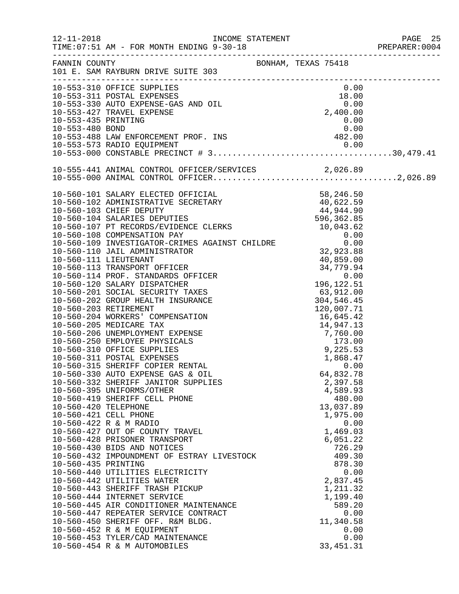| $12 - 11 - 2018$ | INCOME STATEMENT<br>TIME: 07:51 AM - FOR MONTH ENDING 9-30-18                                                                |                    | PAGE 25<br>PREPARER: 0004 |
|------------------|------------------------------------------------------------------------------------------------------------------------------|--------------------|---------------------------|
|                  | FANNIN COUNTY COUNTY BONHAM, TEXAS 75418<br>101 E. SAM RAYBURN DRIVE SUITE 303                                               |                    |                           |
|                  | 10-553-310 OFFICE SUPPLIES<br>10-553-311 POSTAL EXPENSES<br>10-553-330 AUTO EXPENSE-GAS AND OIL 0.00<br>2,400.00<br>2,400.00 |                    |                           |
|                  |                                                                                                                              |                    |                           |
|                  |                                                                                                                              |                    |                           |
|                  |                                                                                                                              |                    |                           |
|                  | 10-553-435 PRINTING                                                                                                          | 0.00               |                           |
|                  |                                                                                                                              |                    |                           |
|                  |                                                                                                                              |                    |                           |
|                  |                                                                                                                              |                    |                           |
|                  |                                                                                                                              |                    |                           |
|                  |                                                                                                                              |                    |                           |
|                  |                                                                                                                              |                    |                           |
|                  |                                                                                                                              |                    |                           |
|                  |                                                                                                                              |                    |                           |
|                  |                                                                                                                              |                    |                           |
|                  |                                                                                                                              |                    |                           |
|                  |                                                                                                                              |                    |                           |
|                  |                                                                                                                              |                    |                           |
|                  |                                                                                                                              |                    |                           |
|                  |                                                                                                                              |                    |                           |
|                  |                                                                                                                              |                    |                           |
|                  |                                                                                                                              |                    |                           |
|                  |                                                                                                                              |                    |                           |
|                  |                                                                                                                              |                    |                           |
|                  |                                                                                                                              |                    |                           |
|                  |                                                                                                                              |                    |                           |
|                  |                                                                                                                              |                    |                           |
|                  |                                                                                                                              |                    |                           |
|                  |                                                                                                                              |                    |                           |
|                  |                                                                                                                              |                    |                           |
|                  |                                                                                                                              |                    |                           |
|                  |                                                                                                                              |                    |                           |
|                  | 10-560-330 AUTO EXPENSE GAS & OIL                                                                                            | 64,832.78          |                           |
|                  | 10-560-332 SHERIFF JANITOR SUPPLIES                                                                                          | 2,397.58           |                           |
|                  | 10-560-395 UNIFORMS/OTHER                                                                                                    | 4,589.93           |                           |
|                  | 10-560-419 SHERIFF CELL PHONE                                                                                                | 480.00             |                           |
|                  | 10-560-420 TELEPHONE                                                                                                         | 13,037.89          |                           |
|                  | 10-560-421 CELL PHONE                                                                                                        | 1,975.00           |                           |
|                  | 10-560-422 R & M RADIO                                                                                                       | 0.00               |                           |
|                  | 10-560-427 OUT OF COUNTY TRAVEL                                                                                              | 1,469.03           |                           |
|                  | 10-560-428 PRISONER TRANSPORT<br>10-560-430 BIDS AND NOTICES                                                                 | 6,051.22<br>726.29 |                           |
|                  | 10-560-432 IMPOUNDMENT OF ESTRAY LIVESTOCK                                                                                   | 409.30             |                           |
|                  | 10-560-435 PRINTING                                                                                                          | 878.30             |                           |
|                  | 10-560-440 UTILITIES ELECTRICITY                                                                                             | 0.00               |                           |
|                  | 10-560-442 UTILITIES WATER                                                                                                   | 2,837.45           |                           |
|                  | 10-560-443 SHERIFF TRASH PICKUP                                                                                              | 1,211.32           |                           |
|                  | 10-560-444 INTERNET SERVICE                                                                                                  | 1,199.40           |                           |
|                  | 10-560-445 AIR CONDITIONER MAINTENANCE                                                                                       | 589.20             |                           |
|                  | 10-560-447 REPEATER SERVICE CONTRACT                                                                                         | 0.00               |                           |
|                  | 10-560-450 SHERIFF OFF. R&M BLDG.                                                                                            | 11,340.58          |                           |
|                  | 10-560-452 R & M EQUIPMENT                                                                                                   | 0.00               |                           |
|                  | 10-560-453 TYLER/CAD MAINTENANCE                                                                                             | 0.00               |                           |
|                  | 10-560-454 R & M AUTOMOBILES                                                                                                 | 33, 451.31         |                           |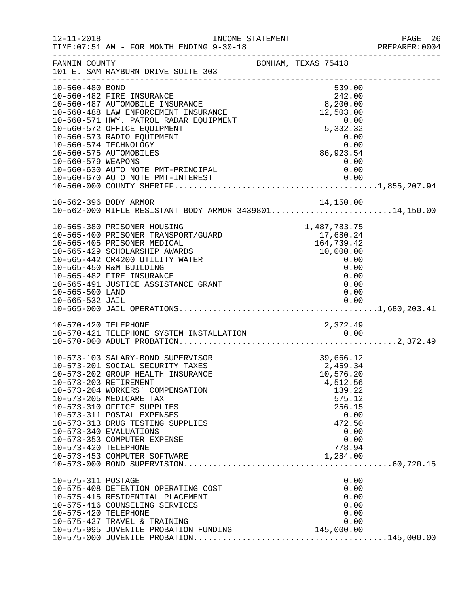| $12 - 11 - 2018$                           | TIME: 07:51 AM - FOR MONTH ENDING 9-30-18                                                                                                                                                                                                                                                                                                                   | INCOME STATEMENT |                                                                                                                          | PAGE 26<br>PREPARER:0004 |
|--------------------------------------------|-------------------------------------------------------------------------------------------------------------------------------------------------------------------------------------------------------------------------------------------------------------------------------------------------------------------------------------------------------------|------------------|--------------------------------------------------------------------------------------------------------------------------|--------------------------|
| FANNIN COUNTY                              | 101 E. SAM RAYBURN DRIVE SUITE 303<br>.com/accommodation/accommodation/accommodation/accommodation/accommodation/                                                                                                                                                                                                                                           |                  | BONHAM, TEXAS 75418                                                                                                      |                          |
| 10-560-480 BOND<br>10-560-579 WEAPONS      | 10-560-482 FIRE INSURANCE<br>10-560-487 AUTOMOBILE INSURANCE<br>10-560-488 LAW ENFORCEMENT INSURANCE<br>10-560-571 HWY. PATROL RADAR EQUIPMENT<br>10-560-573 RADIO EQUIPMENT<br>10-560-574 TECHNOLOGY<br>10-560-575 AUTOMOBILES<br>10-560-630 AUTO NOTE PMT-PRINCIPAL                                                                                       |                  | 539.00<br>$242.00$<br>8,200.00<br>12,503.00<br>$0.00$<br>5,332.32<br>$0.00$<br>0.00<br>86,923.54<br>0.00<br>0.00         |                          |
|                                            |                                                                                                                                                                                                                                                                                                                                                             |                  |                                                                                                                          |                          |
|                                            | 10-562-396 BODY ARMOR<br>10-562-000 RIFLE RESISTANT BODY ARMOR 343980114,150.00                                                                                                                                                                                                                                                                             |                  |                                                                                                                          |                          |
| 10-565-500 LAND                            | 10-562-000 KIFLS<br>10-565-380 PRISONER HOUSING<br>10-565-400 PRISONER TRANSPORT/GUARD<br>164,739.42<br>164,739.42<br>164,739.42<br>10,000.00<br>0.00<br>0.00<br>0.00<br>10-565-482 FIRE INSURANCE<br>10-565-491 JUSTICE ASSISTANCE GRANT                                                                                                                   |                  | 0.00<br>0.00<br>0.00                                                                                                     |                          |
| 10-570-420 TELEPHONE                       |                                                                                                                                                                                                                                                                                                                                                             |                  | 2,372.49                                                                                                                 |                          |
| 10-573-420 TELEPHONE                       | 10-573-103 SALARY-BOND SUPERVISOR<br>10-573-201 SOCIAL SECURITY TAXES<br>10-573-202 GROUP HEALTH INSURANCE<br>10-573-203 RETIREMENT<br>10-573-204 WORKERS' COMPENSATION<br>10-573-205 MEDICARE TAX<br>10-573-310 OFFICE SUPPLIES<br>10-573-311 POSTAL EXPENSES<br>10-573-313 DRUG TESTING SUPPLIES<br>10-573-340 EVALUATIONS<br>10-573-353 COMPUTER EXPENSE |                  | 39,666.12<br>2,459.34<br>10,576.20<br>4,512.56<br>139.22<br>575.12<br>256.15<br>0.00<br>472.50<br>0.00<br>0.00<br>778.94 |                          |
| 10-575-311 POSTAGE<br>10-575-420 TELEPHONE | 10-575-408 DETENTION OPERATING COST<br>10-575-415 RESIDENTIAL PLACEMENT<br>10-575-416 COUNSELING SERVICES<br>10-575-427 TRAVEL & TRAINING<br>0.00 0.00<br>10-575-995 JUVENILE PROBATION FUNDING 10-575-995 AUVENILE PROBATION                                                                                                                               |                  | 0.00<br>0.00<br>0.00<br>0.00<br>0.00<br>0.00                                                                             |                          |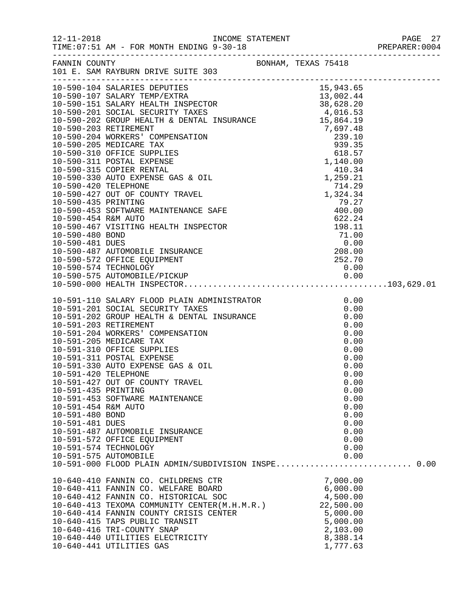|                                                                                                          | FANNIN COUNTY BONHAM, TEXAS 75418<br>101 E. SAM RAYBURN DRIVE SUITE 303                                                                                                                                                                                                                                                                                                                                                                                                                                                                                                                           |  |                                                                                                                                                              |  |
|----------------------------------------------------------------------------------------------------------|---------------------------------------------------------------------------------------------------------------------------------------------------------------------------------------------------------------------------------------------------------------------------------------------------------------------------------------------------------------------------------------------------------------------------------------------------------------------------------------------------------------------------------------------------------------------------------------------------|--|--------------------------------------------------------------------------------------------------------------------------------------------------------------|--|
|                                                                                                          |                                                                                                                                                                                                                                                                                                                                                                                                                                                                                                                                                                                                   |  |                                                                                                                                                              |  |
| 10-591-420 TELEPHONE<br>10-591-435 PRINTING<br>10-591-454 R&M AUTO<br>10-591-480 BOND<br>10-591-481 DUES | 10-591-110 SALARY FLOOD PLAIN ADMINISTRATOR<br>10-591-201 SOCIAL SECURITY TAXES<br>10-591-202 GROUP HEALTH & DENTAL INSURANCE<br>10-591-203 RETIREMENT<br>10-591-204 WORKERS' COMPENSATION<br>10-591-205 MEDICARE TAX<br>10-591-310 OFFICE SUPPL<br>10-591-310 OFFICE SUPPLIES<br>10-591-311 POSTAL EXPENSE<br>10-591-330 AUTO EXPENSE GAS & OIL<br>10-591-427 OUT OF COUNTY TRAVEL<br>10-591-453 SOFTWARE MAINTENANCE<br>10-591-487 AUTOMOBILE INSURANCE<br>10-591-572 OFFICE EQUIPMENT<br>10-591-574 TECHNOLOGY<br>10-591-575 AUTOMOBILE<br>10-591-000 FLOOD PLAIN ADMIN/SUBDIVISION INSPE 0.00 |  | 0.00<br>0.00<br>0.00<br>0.00<br>0.00<br>0.00<br>0.00<br>0.00<br>0.00<br>0.00<br>0.00<br>0.00<br>0.00<br>0.00<br>0.00<br>0.00<br>0.00<br>0.00<br>0.00<br>0.00 |  |
|                                                                                                          | 10-640-410 FANNIN CO. CHILDRENS CTR<br>10-640-411 FANNIN CO. WELFARE BOARD<br>10-640-412 FANNIN CO. HISTORICAL SOC<br>10-640-412 FANNIN CO. HISTORICAL SOC<br>10-640-413 TEXOMA COMMUNITY CENTER(M.H.M.R.)<br>10-640-414 FANNIN COUNTY CRISIS CENTER<br>10-640-415 TAPS PUBLIC TRANSIT<br>10-640-416 TRI-COUNTY SNAP<br>10-640-440 UTILITIES ELECTRICITY<br>10-640-441 UTILITIES GAS                                                                                                                                                                                                              |  | 7,000.00<br>7,000.00<br>6,000.00<br>4,500.00<br>22,500.00<br>5,000.00<br>5,000.00<br>2,103.00<br>8,388.14<br>1,777.63                                        |  |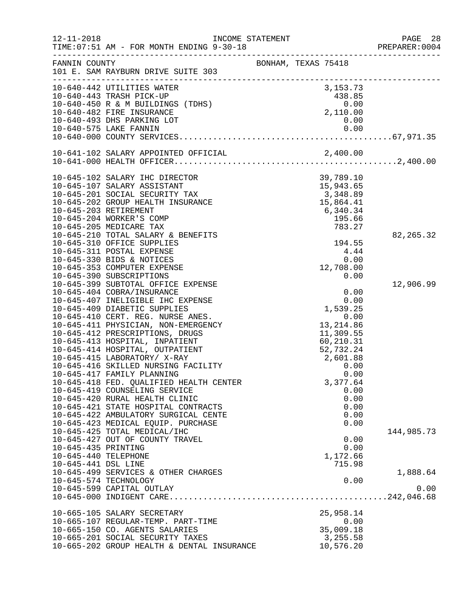| $12 - 11 - 2018$     | TIME: 07:51 AM - FOR MONTH ENDING 9-30-18                         | INCOME STATEMENT    |                            | PAGE 28<br>PREPARER: 0004 |
|----------------------|-------------------------------------------------------------------|---------------------|----------------------------|---------------------------|
| FANNIN COUNTY        | 101 E. SAM RAYBURN DRIVE SUITE 303                                | BONHAM, TEXAS 75418 |                            |                           |
|                      | 10-640-442 UTILITIES WATER                                        |                     | 3,153.73                   |                           |
|                      | 10-640-443 TRASH PICK-UP                                          |                     | 438.85                     |                           |
|                      | 10-640-450 R & M BUILDINGS (TDHS)                                 |                     | $0.00$<br>0.00<br>2,110.00 |                           |
|                      | 10-640-482 FIRE INSURANCE                                         |                     |                            |                           |
|                      | 10-640-493 DHS PARKING LOT                                        |                     | 0.00                       |                           |
|                      | 10-640-575 LAKE FANNIN                                            |                     | 0.00                       |                           |
|                      |                                                                   |                     |                            |                           |
|                      |                                                                   |                     |                            |                           |
|                      |                                                                   |                     |                            |                           |
|                      | 10-645-102 SALARY IHC DIRECTOR                                    |                     | 39,789.10                  |                           |
|                      | 10-645-107 SALARY ASSISTANT                                       |                     | 15,943.65                  |                           |
|                      | 10-645-201 SOCIAL SECURITY TAX                                    |                     | 3,348.89                   |                           |
|                      | 10-645-202 GROUP HEALTH INSURANCE                                 |                     | 15,864.41                  |                           |
|                      | 10-645-203 RETIREMENT                                             |                     | 6,340.34                   |                           |
|                      | 10-645-204 WORKER'S COMP                                          |                     | 195.66                     |                           |
|                      | 10-645-205 MEDICARE TAX                                           |                     | 783.27                     |                           |
|                      | 10-645-210 TOTAL SALARY & BENEFITS                                |                     |                            | 82, 265.32                |
|                      | 10-645-310 OFFICE SUPPLIES                                        |                     | 194.55                     |                           |
|                      | 10-645-311 POSTAL EXPENSE                                         |                     | 4.44                       |                           |
|                      | 10-645-330 BIDS & NOTICES                                         |                     | 0.00                       |                           |
|                      | 10-645-353 COMPUTER EXPENSE                                       |                     | 12,708.00                  |                           |
|                      | 10-645-390 SUBSCRIPTIONS                                          |                     | 0.00                       |                           |
|                      | 10-645-399 SUBTOTAL OFFICE EXPENSE                                |                     |                            | 12,906.99                 |
|                      | 10-645-404 COBRA/INSURANCE                                        |                     | 0.00<br>0.00               |                           |
|                      | 10-645-407 INELIGIBLE IHC EXPENSE<br>10-645-409 DIABETIC SUPPLIES |                     | 1,539.25                   |                           |
|                      | 10-645-410 CERT. REG. NURSE ANES.                                 |                     | 0.00                       |                           |
|                      | 10-645-411 PHYSICIAN, NON-EMERGENCY                               |                     | 13, 214.86                 |                           |
|                      | 10-645-412 PRESCRIPTIONS, DRUGS                                   |                     | 11,309.55                  |                           |
|                      | 10-645-413 HOSPITAL, INPATIENT                                    |                     | 60,210.31                  |                           |
|                      | 10-645-414 HOSPITAL, OUTPATIENT                                   |                     | 52,732.24                  |                           |
|                      | 10-645-415 LABORATORY/ X-RAY                                      |                     | 2,601.88                   |                           |
|                      | 10-645-416 SKILLED NURSING FACILITY                               |                     | 0.00                       |                           |
|                      | 10-645-417 FAMILY PLANNING                                        |                     | 0.00                       |                           |
|                      | 10-645-418 FED. QUALIFIED HEALTH CENTER                           |                     | 3,377.64                   |                           |
|                      | 10-645-419 COUNSELING SERVICE                                     |                     | 0.00                       |                           |
|                      | 10-645-420 RURAL HEALTH CLINIC                                    |                     | 0.00                       |                           |
|                      | 10-645-421 STATE HOSPITAL CONTRACTS                               |                     | 0.00                       |                           |
|                      | 10-645-422 AMBULATORY SURGICAL CENTE                              |                     | 0.00                       |                           |
|                      | 10-645-423 MEDICAL EQUIP. PURCHASE                                |                     | 0.00                       |                           |
|                      | 10-645-425 TOTAL MEDICAL/IHC                                      |                     |                            | 144,985.73                |
|                      | 10-645-427 OUT OF COUNTY TRAVEL                                   |                     | 0.00                       |                           |
| 10-645-435 PRINTING  |                                                                   |                     | 0.00                       |                           |
| 10-645-440 TELEPHONE |                                                                   |                     | 1,172.66                   |                           |
| 10-645-441 DSL LINE  |                                                                   |                     | 715.98                     |                           |
|                      | 10-645-499 SERVICES & OTHER CHARGES                               |                     |                            | 1,888.64                  |
|                      | 10-645-574 TECHNOLOGY                                             |                     | 0.00                       |                           |
|                      | 10-645-599 CAPITAL OUTLAY                                         |                     |                            | 0.00                      |
|                      |                                                                   |                     |                            |                           |
|                      | 10-665-105 SALARY SECRETARY                                       |                     | 25,958.14                  |                           |
|                      | 10-665-107 REGULAR-TEMP. PART-TIME                                |                     | 0.00                       |                           |
|                      | 10-665-150 CO. AGENTS SALARIES                                    |                     | 35,009.18                  |                           |
|                      | 10-665-201 SOCIAL SECURITY TAXES                                  |                     | 3,255.58                   |                           |
|                      | 10-665-202 GROUP HEALTH & DENTAL INSURANCE                        |                     | 10,576.20                  |                           |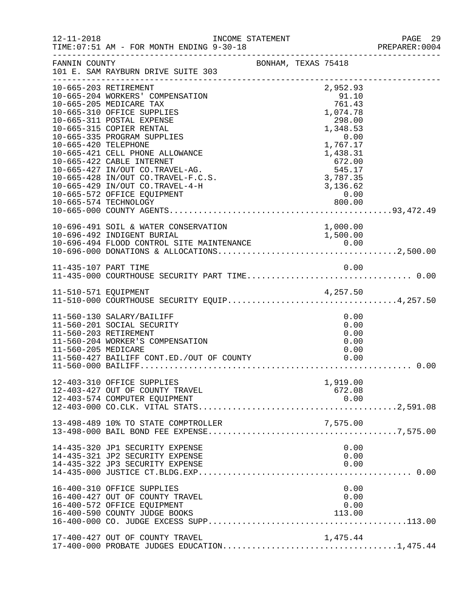| $12 - 11 - 2018$     | INCOME STATEMENT<br>TIME: 07:51 AM - FOR MONTH ENDING 9-30-18                                                                                                                                                                                                                                                                                                                                                         |                     |                                                                                                                                                                    | PAGE 29<br>PREPARER: 0004 |
|----------------------|-----------------------------------------------------------------------------------------------------------------------------------------------------------------------------------------------------------------------------------------------------------------------------------------------------------------------------------------------------------------------------------------------------------------------|---------------------|--------------------------------------------------------------------------------------------------------------------------------------------------------------------|---------------------------|
|                      | FANNIN COUNTY<br>101 E. SAM RAYBURN DRIVE SUITE 303                                                                                                                                                                                                                                                                                                                                                                   | BONHAM, TEXAS 75418 |                                                                                                                                                                    |                           |
| 10-665-420 TELEPHONE | 10-665-203 RETIREMENT<br>10-665-204 WORKERS' COMPENSATION<br>10-665-205 MEDICARE TAX<br>10-665-310 OFFICE SUPPLIES<br>10-665-311 POSTAL EXPENSE<br>10-665-315 COPIER RENTAL<br>10-665-335 PROGRAM SUPPLIES<br>10-665-421 CELL PHONE ALLOWANCE<br>10-665-422 CABLE INTERNET<br>10-665-427 IN/OUT CO.TRAVEL-AG.<br>10-665-428 IN/OUT CO.TRAVEL-F.C.S.<br>10-665-429 IN/OUT CO.TRAVEL-4-H<br>10-665-572 OFFICE EQUIPMENT |                     | 2,952.93<br>91.10<br>761.43<br>1,074.78<br>298.00<br>1,348.53<br>1, 348.53<br>0.00<br>1, 767.17<br>1, 438.31<br>672.00<br>545.17<br>3, 787.35<br>3, 136.62<br>0.00 |                           |
|                      |                                                                                                                                                                                                                                                                                                                                                                                                                       |                     |                                                                                                                                                                    |                           |
|                      |                                                                                                                                                                                                                                                                                                                                                                                                                       |                     |                                                                                                                                                                    |                           |
|                      | 11-510-571 EQUIPMENT 4,257.50<br>11-510-000 COURTHOUSE SECURITY EQUIP4,257.50                                                                                                                                                                                                                                                                                                                                         |                     |                                                                                                                                                                    |                           |
| 11-560-205 MEDICARE  | 11-560-130 SALARY/BAILIFF<br>11-560-201 SOCIAL SECURITY<br>11-560-203 RETIREMENT<br>11-560-204 WORKER'S COMPENSATION<br>11-560-427 BAILIFF CONT.ED./OUT OF COUNTY                                                                                                                                                                                                                                                     |                     | 0.00<br>0.00<br>0.00<br>0.00<br>0.00<br>0.00                                                                                                                       |                           |
|                      | 12-403-310 OFFICE SUPPLIES<br>12-403-427 OUT OF COUNTY TRAVEL<br>12-403-574 COMPUTER EQUIPMENT                                                                                                                                                                                                                                                                                                                        |                     | 1,919.00<br>672.08                                                                                                                                                 |                           |
|                      | 13-498-489 10% TO STATE COMPTROLLER                                                                                                                                                                                                                                                                                                                                                                                   |                     | 7,575.00                                                                                                                                                           |                           |
|                      | 14-435-320 JP1 SECURITY EXPENSE<br>14-435-321 JP2 SECURITY EXPENSE<br>14-435-322 JP3 SECURITY EXPENSE                                                                                                                                                                                                                                                                                                                 |                     | 0.00<br>0.00<br>0.00                                                                                                                                               |                           |
|                      | 16-400-310 OFFICE SUPPLIES<br>16-400-427 OUT OF COUNTY TRAVEL<br>16-400-572 OFFICE EQUIPMENT<br>16-400-590 COUNTY JUDGE BOOKS                                                                                                                                                                                                                                                                                         |                     | 0.00<br>0.00<br>0.00<br>113.00                                                                                                                                     |                           |
|                      | 17-400-427 OUT OF COUNTY TRAVEL                                                                                                                                                                                                                                                                                                                                                                                       |                     | 1,475.44                                                                                                                                                           |                           |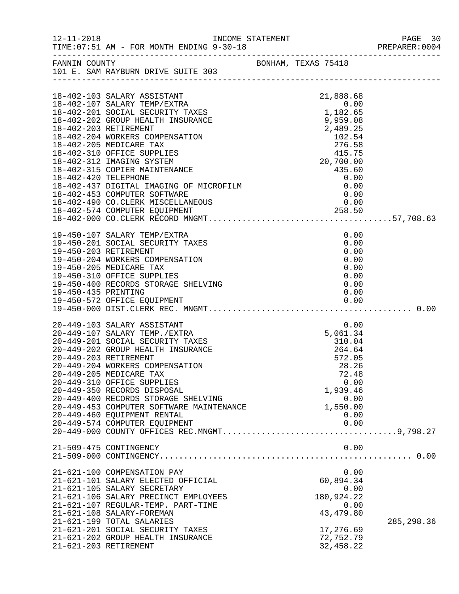|                     | INCOME STATEMENT                                                                                                                                                                                                                                                                                                                                                                                                                                                                                                                                                                                                                            |                                                                                                                                | PREPARER: 0004 |
|---------------------|---------------------------------------------------------------------------------------------------------------------------------------------------------------------------------------------------------------------------------------------------------------------------------------------------------------------------------------------------------------------------------------------------------------------------------------------------------------------------------------------------------------------------------------------------------------------------------------------------------------------------------------------|--------------------------------------------------------------------------------------------------------------------------------|----------------|
|                     | FANNIN COUNTY BONHAM, TEXAS 75418<br>101 E. SAM RAYBURN DRIVE SUITE 303                                                                                                                                                                                                                                                                                                                                                                                                                                                                                                                                                                     |                                                                                                                                |                |
|                     | 18-402-103 SALARY ASSISTANT<br>18-402-107 SALARY TEMP/EXTRA<br>18-402-201 SOCIAL SECURITY TAXES<br>18-402-202 GROUP HEALTH INSURANCE<br>18-402-203 RETIREMENT<br>18-402-204 WORKERS COMPENSATION<br>18-402-204 WUKAEAS CUTE ENDICARE TAX<br>18-402-205 MEDICARE TAX<br>18-402-310 OFFICE SUPPLIES<br>18-402-312 IMAGING SYSTEM<br>18-402-315 COPIER MAINTENANCE<br>18-402-420 TELEPHONE<br>18-402-437 DIGITAL IMAGING OF MICROFILM<br>18-402-437                                                                                                                                                                                            | 21,888.68<br>$-1,888.68$<br>0.00<br>1,182.65<br>2,489.25<br>2,489.25                                                           |                |
|                     |                                                                                                                                                                                                                                                                                                                                                                                                                                                                                                                                                                                                                                             |                                                                                                                                |                |
| 19-450-435 PRINTING | 19-450-107 SALARY TEMP/EXTRA<br>19-450-201 SOCIAL SECURITY TAXES<br>19-450-203 RETIREMENT<br>19-450-204 WORKERS COMPENSATION<br>19-450-205 MEDICARE TAX<br>19-450-310 OFFICE SUPPLIES<br>19-450-400 RECORDS STORAGE SHELVING                                                                                                                                                                                                                                                                                                                                                                                                                | 0.00<br>0.00<br>0.00<br>0.00<br>0.00<br>0.00<br>0.00<br>0.00                                                                   |                |
|                     | 20-449-103 SALARY ASSISTANT<br>20-449-107 SALARY TEMP./EXTRA<br>20-449-201 SOCIAL SECURITY TAXES<br>20-449-202 GROUP HEALTH INSURANCE<br>20-449-203 RETIREMENT<br>20-449-204 WORKERS COMPENSATION<br>20-449-205 MEDICARE TAX<br>20-449-310 OFFICE SUPPLIES<br>20-449-350 RECORDS DISPOSAL<br>20-449-400 RECORDS STORAGE SHELVING<br>20-449-453 COMPUTER SOFTWARE MAINTENANCE<br>20-449-460 EQUIPMENT RENTAL<br>0.00  0.00  0.00  0.00  0.00  0.00  0.00  0.00  0.00  0.00  0.00  0.00  0.00  0.00  0.00  0.00  0.00  0.00  0.00  0.00  0.00  0.00  0.00  0.00  0.00  0.00  0.00  0.00  0.00  0.00  0.00  0.00  0.00  0.00  0.00  0.00  0.00 | 0.00<br>5,061.34<br>$310.04$<br>$264.64$<br>264.64<br>572.05<br>28.26<br>72.48<br>0.00<br>1,939.46<br>0.00<br>1,550.00<br>0.00 |                |
|                     | 21-509-475 CONTINGENCY                                                                                                                                                                                                                                                                                                                                                                                                                                                                                                                                                                                                                      | 0.00                                                                                                                           |                |
|                     | 21-621-100 COMPENSATION PAY<br>21-621-101 SALARY ELECTED OFFICIAL<br>21-621-105 SALARY SECRETARY<br>21-621-106 SALARY PRECINCT EMPLOYEES<br>21-621-107 REGULAR-TEMP. PART-TIME<br>21-621-108 SALARY-FOREMAN<br>21-621-199 TOTAL SALARIES<br>21-621-201 SOCIAL SECURITY TAXES<br>21-621-202 GROUP HEALTH INSURANCE<br>21-621-203 RETIREMENT                                                                                                                                                                                                                                                                                                  | 0.00<br>60,894.34<br>0.00<br>180,924.22<br>0.00<br>43, 479.80<br>17,276.69<br>72,752.79<br>32,458.22                           | 285, 298.36    |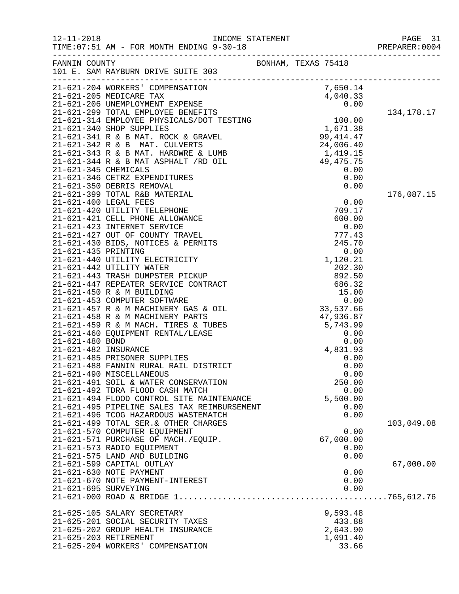| $12 - 11 - 2018$     | TIME: 07:51 AM - FOR MONTH ENDING 9-30-18                                                                     |                     | PAGE 31<br>PREPARER:0004 |
|----------------------|---------------------------------------------------------------------------------------------------------------|---------------------|--------------------------|
|                      | FANNIN COUNTY<br>101 E. SAM RAYBURN DRIVE SUITE 303                                                           | BONHAM, TEXAS 75418 |                          |
|                      |                                                                                                               |                     |                          |
|                      |                                                                                                               |                     | 134,178.17               |
|                      |                                                                                                               |                     |                          |
|                      |                                                                                                               |                     |                          |
|                      |                                                                                                               |                     |                          |
|                      |                                                                                                               |                     | 176,087.15               |
|                      |                                                                                                               |                     |                          |
|                      |                                                                                                               |                     |                          |
|                      |                                                                                                               |                     |                          |
|                      |                                                                                                               |                     |                          |
|                      |                                                                                                               |                     |                          |
|                      |                                                                                                               |                     |                          |
|                      |                                                                                                               |                     |                          |
|                      |                                                                                                               |                     |                          |
|                      |                                                                                                               |                     |                          |
|                      | 21-621-490 MISCELLANEOUS<br>21-621-491 SOIL & WATER CONSERVATION                                              | 0.00<br>250.00      |                          |
|                      | 21-621-492 TDRA FLOOD CASH MATCH<br>21-621-494 FLOOD CONTROL SITE MAINTENANCE                                 | 0.00<br>5,500.00    |                          |
|                      | 21-621-495 PIPELINE SALES TAX REIMBURSEMENT<br>21-621-496 TCOG HAZARDOUS WASTEMATCH                           | 0.00<br>0.00        |                          |
|                      | 21-621-499 TOTAL SER. & OTHER CHARGES<br>21-621-570 COMPUTER EQUIPMENT<br>21-621-571 PURCHASE OF MACH./EQUIP. | 0.00<br>67,000.00   | 103,049.08               |
|                      | 21-621-573 RADIO EQUIPMENT<br>21-621-575 LAND AND BUILDING                                                    | 0.00<br>0.00        |                          |
|                      | 21-621-599 CAPITAL OUTLAY<br>21-621-630 NOTE PAYMENT                                                          | 0.00                | 67,000.00                |
| 21-621-695 SURVEYING | 21-621-670 NOTE PAYMENT-INTEREST                                                                              | 0.00<br>0.00        |                          |
|                      | 21-625-105 SALARY SECRETARY                                                                                   | 9,593.48            |                          |
|                      | 21-625-201 SOCIAL SECURITY TAXES<br>21-625-202 GROUP HEALTH INSURANCE                                         | 433.88<br>2,643.90  |                          |
|                      | 21-625-203 RETIREMENT<br>21-625-204 WORKERS' COMPENSATION                                                     | 1,091.40<br>33.66   |                          |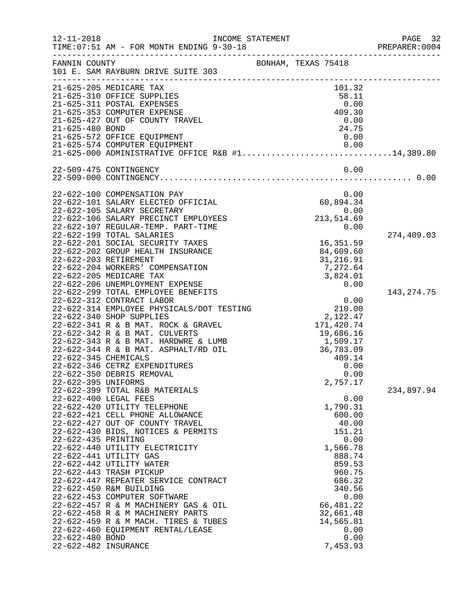| $12 - 11 - 2018$                                                   | INCOME STATEMENT<br>TIME: 07:51 AM - FOR MONTH ENDING 9-30-18                                                                                                                                                                                                                                                                                                                                                                                                                                                                                                                                                                                                                                                                                                                                                                                                                                                                                                                                                                                                                                                                                                                                                                                           |                                                                                                                                                                                                                                                                                                                                                                                            | PAGE 32<br>PREPARER: 0004                |
|--------------------------------------------------------------------|---------------------------------------------------------------------------------------------------------------------------------------------------------------------------------------------------------------------------------------------------------------------------------------------------------------------------------------------------------------------------------------------------------------------------------------------------------------------------------------------------------------------------------------------------------------------------------------------------------------------------------------------------------------------------------------------------------------------------------------------------------------------------------------------------------------------------------------------------------------------------------------------------------------------------------------------------------------------------------------------------------------------------------------------------------------------------------------------------------------------------------------------------------------------------------------------------------------------------------------------------------|--------------------------------------------------------------------------------------------------------------------------------------------------------------------------------------------------------------------------------------------------------------------------------------------------------------------------------------------------------------------------------------------|------------------------------------------|
| FANNIN COUNTY                                                      | 101 E. SAM RAYBURN DRIVE SUITE 303                                                                                                                                                                                                                                                                                                                                                                                                                                                                                                                                                                                                                                                                                                                                                                                                                                                                                                                                                                                                                                                                                                                                                                                                                      | BONHAM, TEXAS 75418                                                                                                                                                                                                                                                                                                                                                                        |                                          |
| 21-625-480 BOND                                                    | 21-625-205 MEDICARE TAX<br>21-625-310 OFFICE SUPPLIES<br>21-625-311 POSTAL EXPENSES<br>21-625-353 COMPUTER EXPENSE<br>21-625-427 OUT OF COUNTY TRAVEL<br>21-625-572 OFFICE EQUIPMENT<br>21-625-574 COMPUTER EQUIPMENT<br>21-625-000 ADMINISTRATIVE OFFICE R&B #114,389.80                                                                                                                                                                                                                                                                                                                                                                                                                                                                                                                                                                                                                                                                                                                                                                                                                                                                                                                                                                               | 101.32<br>58.11<br>0.00<br>409.30<br>0.00<br>24.75<br>0.00<br>0.00                                                                                                                                                                                                                                                                                                                         |                                          |
|                                                                    | 22-509-475 CONTINGENCY                                                                                                                                                                                                                                                                                                                                                                                                                                                                                                                                                                                                                                                                                                                                                                                                                                                                                                                                                                                                                                                                                                                                                                                                                                  | 0.00                                                                                                                                                                                                                                                                                                                                                                                       |                                          |
| 22-622-345 CHEMICALS<br>22-622-395 UNIFORMS<br>22-622-435 PRINTING | 22-622-100 COMPENSATION PAY<br>22-622-101 SALARY ELECTED OFFICIAL<br>22-622-105 SALARY SECRETARY<br>22-622-106 SALARY PRECINCT EMPLOYEES<br>22-622-107 REGULAR-TEMP. PART-TIME<br>22-622-199 TOTAL SALARIES<br>22-622-201 SOCIAL SECURITY TAXES<br>22-622-202 GROUP HEALTH INSURANCE<br>22-622-203 RETIREMENT<br>22-622-204 WORKERS' COMPENSATION<br>22-622-205 MEDICARE TAX<br>22-622-206 UNEMPLOYMENT EXPENSE<br>22-622-299 TOTAL EMPLOYEE BENEFITS<br>22-622-312 CONTRACT LABOR<br>22-622-314 EMPLOYEE PHYSICALS/DOT TESTING<br>22-622-340 SHOP SUPPLIES<br>22-622-341 R & B MAT. ROCK & GRAVEL<br>22-622-342 R & B MAT. CULVERTS<br>22-622-343 R & B MAT. HARDWRE & LUMB<br>22-622-344 R & B MAT. ASPHALT/RD OIL<br>22-622-346 CETRZ EXPENDITURES<br>22-622-350 DEBRIS REMOVAL<br>22-622-399 TOTAL R&B MATERIALS<br>22-622-400 LEGAL FEES<br>22-622-420 UTILITY TELEPHONE<br>22-622-421 CELL PHONE ALLOWANCE<br>22-622-427 OUT OF COUNTY TRAVEL<br>22-622-430 BIDS, NOTICES & PERMITS<br>22-622-440 UTILITY ELECTRICITY<br>22-622-441 UTILITY GAS<br>22-622-442 UTILITY WATER<br>22-622-443 TRASH PICKUP<br>22-622-447 REPEATER SERVICE CONTRACT<br>22-622-450 R&M BUILDING<br>22-622-453 COMPUTER SOFTWARE<br>22-622-457 R & M MACHINERY GAS & OIL | 0.00<br>60,894.34<br>0.00<br>213,514.69<br>0.00<br>16,351.59<br>84,609.60<br>31,216.91<br>7,272.64<br>3,824.01<br>0.00<br>0.00<br>210.00<br>2,122.47<br>171,420.74<br>19,686.16<br>1,509.17<br>36,783.09<br>409.14<br>0.00<br>0.00<br>2,757.17<br>0.00<br>1,790.31<br>600.00<br>40.00<br>151.21<br>0.00<br>1,566.78<br>888.74<br>859.53<br>960.75<br>686.32<br>340.56<br>0.00<br>66,481.22 | 274,409.03<br>143, 274. 75<br>234,897.94 |
| 22-622-480 BOND<br>22-622-482 INSURANCE                            | 22-622-458 R & M MACHINERY PARTS<br>22-622-459 R & M MACH. TIRES & TUBES<br>22-622-460 EQUIPMENT RENTAL/LEASE                                                                                                                                                                                                                                                                                                                                                                                                                                                                                                                                                                                                                                                                                                                                                                                                                                                                                                                                                                                                                                                                                                                                           | 32,661.48<br>14,565.81<br>0.00<br>0.00<br>7,453.93                                                                                                                                                                                                                                                                                                                                         |                                          |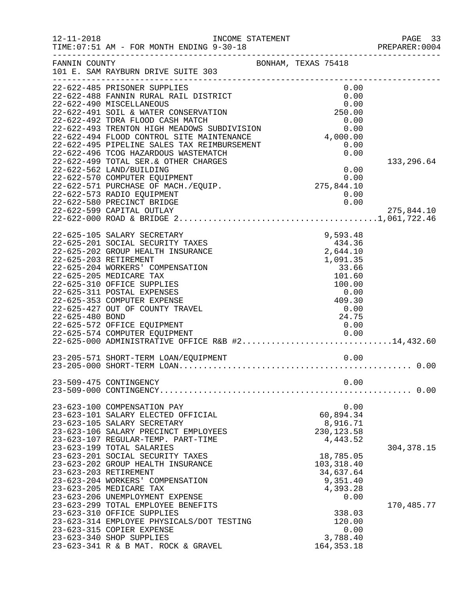| $12 - 11 - 2018$      | TIME: 07:51 AM - FOR MONTH ENDING 9-30-18                                                                                                                                                                                                                                                                                                                                                                                                                                         | INCOME STATEMENT    |            |                                                                                                                            | PAGE 33<br>PREPARER: 0004 |
|-----------------------|-----------------------------------------------------------------------------------------------------------------------------------------------------------------------------------------------------------------------------------------------------------------------------------------------------------------------------------------------------------------------------------------------------------------------------------------------------------------------------------|---------------------|------------|----------------------------------------------------------------------------------------------------------------------------|---------------------------|
|                       | FANNIN COUNTY<br>101 E. SAM RAYBURN DRIVE SUITE 303                                                                                                                                                                                                                                                                                                                                                                                                                               | BONHAM, TEXAS 75418 |            |                                                                                                                            |                           |
|                       | 22-622-485 PRISONER SUPPLIES<br>22-622-488 FANNIN RURAL RAIL DISTRICT<br>22-622-490 MISCELLANEOUS<br>22-622-491 SOIL & WATER CONSERVATION<br>22-622-492 TDRA FLOOD CASH MATCH                                                                                                                                                                                                                                                                                                     |                     |            | 0.00<br>0.00<br>0.00<br>250.00<br>0.00                                                                                     |                           |
|                       | 22-622-493 TRENTON HIGH MEADOWS SUBDIVISION<br>22-622-494 FLOOD CONTROL SITE MAINTENANCE<br>22-622-495 PIPELINE SALES TAX REIMBURSEMENT<br>22-622-496 TCOG HAZARDOUS WASTEMATCH                                                                                                                                                                                                                                                                                                   |                     | 4,000.00   | 0.00<br>0.00<br>0.00                                                                                                       |                           |
|                       | 22-622-499 TOTAL SER. & OTHER CHARGES<br>22-622-562 LAND/BUILDING<br>22-622-570 COMPUTER EQUIPMENT<br>22-622-571 PURCHASE OF MACH./EQUIP.<br>22-622-573 RADIO EQUIPMENT<br>22-622-580 PRECINCT BRIDGE                                                                                                                                                                                                                                                                             |                     | 275,844.10 | 0.00<br>0.00<br>0.00<br>0.00                                                                                               | 133,296.64                |
|                       | 22-622-599 CAPITAL OUTLAY                                                                                                                                                                                                                                                                                                                                                                                                                                                         |                     |            |                                                                                                                            | 275,844.10                |
| 22-625-480 BOND       | 22-625-105 SALARY SECRETARY<br>22-625-201 SOCIAL SECURITY TAXES<br>22-625-202 GROUP HEALTH INSURANCE<br>22-625-203 RETIREMENT<br>22-625-204 WORKERS' COMPENSATION<br>22-625-205 MEDICARE TAX<br>22-625-310 OFFICE SUPPLIES<br>22-625-311 POSTAL EXPENSES<br>22-625-353 COMPUTER EXPENSE<br>22-625-427 OUT OF COUNTY TRAVEL<br>22-625-572 OFFICE EQUIPMENT<br>22-625-574 COMPUTER EQUIPMENT<br>$22-625-574$ COMPUTER EQUIPMENT<br>22-625-000 ADMINISTRATIVE OFFICE R&B #214,432.60 |                     |            | 9,593.48<br>434.36<br>2,644.10<br>1,091.35<br>33.66<br>101.60<br>100.00<br>0.00<br>409.30<br>0.00<br>24.75<br>0.00<br>0.00 |                           |
|                       | 23-205-571 SHORT-TERM LOAN/EQUIPMENT                                                                                                                                                                                                                                                                                                                                                                                                                                              | 0.00                |            |                                                                                                                            |                           |
|                       | 23-509-475 CONTINGENCY                                                                                                                                                                                                                                                                                                                                                                                                                                                            |                     |            | 0.00                                                                                                                       |                           |
|                       | 23-623-100 COMPENSATION PAY<br>23-623-101 SALARY ELECTED OFFICIAL<br>23-623-105 SALARY SECRETARY<br>23-623-106 SALARY PRECINCT EMPLOYEES<br>23-623-107 REGULAR-TEMP. PART-TIME<br>23-623-199 TOTAL SALARIES                                                                                                                                                                                                                                                                       |                     |            | 0.00<br>60,894.34<br>8,916.71<br>230, 123.58<br>4,443.52                                                                   | 304, 378.15               |
| 23-623-203 RETIREMENT | 23-623-201 SOCIAL SECURITY TAXES<br>23-623-202 GROUP HEALTH INSURANCE<br>23-623-204 WORKERS' COMPENSATION<br>23-623-205 MEDICARE TAX<br>23-623-206 UNEMPLOYMENT EXPENSE                                                                                                                                                                                                                                                                                                           |                     |            | 18,785.05<br>103, 318.40<br>34,637.64<br>9,351.40<br>4,393.28<br>0.00                                                      |                           |
|                       | 23-623-299 TOTAL EMPLOYEE BENEFITS<br>23-623-310 OFFICE SUPPLIES<br>23-623-314 EMPLOYEE PHYSICALS/DOT TESTING<br>23-623-315 COPIER EXPENSE<br>23-623-340 SHOP SUPPLIES<br>23-623-341 R & B MAT. ROCK & GRAVEL                                                                                                                                                                                                                                                                     |                     |            | 338.03<br>120.00<br>0.00<br>3,788.40<br>164, 353. 18                                                                       | 170,485.77                |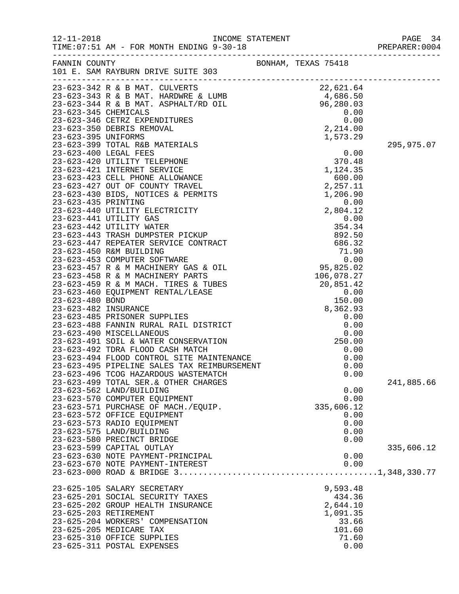| $12 - 11 - 2018$    | INCOME STATEMENT<br>AM - FOR MONTH ENDING 9-30-18<br>TIME: 07:51 AM - FOR MONTH ENDING 9-30-18                                                                                                                                             |                     | PAGE 34<br>PREPARER: 0004 |
|---------------------|--------------------------------------------------------------------------------------------------------------------------------------------------------------------------------------------------------------------------------------------|---------------------|---------------------------|
|                     | FANNIN COUNTY<br>101 E. SAM RAYBURN DRIVE SUITE 303                                                                                                                                                                                        | BONHAM, TEXAS 75418 |                           |
|                     | 23-623-342 R & B MAT. CULVERTS<br>23-623-343 R & B MAT. HARDWRE & LUMB<br>23-623-343 R & B MAT. HARDWRE & LUMB<br>23-623-344 R & B MAT. ASPHALT/RD OIL<br>23-623-345 CHEMICALS<br>23-623-346 CETRZ EXPENDITURES<br>23-623-350 DEBRIS REMOV |                     |                           |
|                     |                                                                                                                                                                                                                                            |                     |                           |
|                     |                                                                                                                                                                                                                                            |                     |                           |
|                     |                                                                                                                                                                                                                                            |                     |                           |
|                     |                                                                                                                                                                                                                                            |                     |                           |
|                     |                                                                                                                                                                                                                                            |                     |                           |
| 23-623-395 UNIFORMS |                                                                                                                                                                                                                                            | 1,573.29            |                           |
|                     |                                                                                                                                                                                                                                            |                     | 295,975.07                |
|                     |                                                                                                                                                                                                                                            |                     |                           |
|                     |                                                                                                                                                                                                                                            |                     |                           |
|                     |                                                                                                                                                                                                                                            |                     |                           |
|                     |                                                                                                                                                                                                                                            |                     |                           |
|                     |                                                                                                                                                                                                                                            |                     |                           |
|                     |                                                                                                                                                                                                                                            |                     |                           |
|                     |                                                                                                                                                                                                                                            |                     |                           |
|                     |                                                                                                                                                                                                                                            |                     |                           |
|                     |                                                                                                                                                                                                                                            |                     |                           |
|                     |                                                                                                                                                                                                                                            |                     |                           |
|                     |                                                                                                                                                                                                                                            |                     |                           |
|                     |                                                                                                                                                                                                                                            |                     |                           |
|                     |                                                                                                                                                                                                                                            |                     |                           |
|                     |                                                                                                                                                                                                                                            |                     |                           |
|                     |                                                                                                                                                                                                                                            |                     |                           |
|                     |                                                                                                                                                                                                                                            |                     |                           |
|                     |                                                                                                                                                                                                                                            |                     |                           |
|                     |                                                                                                                                                                                                                                            |                     |                           |
|                     |                                                                                                                                                                                                                                            |                     |                           |
|                     |                                                                                                                                                                                                                                            |                     |                           |
|                     |                                                                                                                                                                                                                                            |                     |                           |
|                     |                                                                                                                                                                                                                                            |                     |                           |
|                     | 23-623-491 SOIL & WATER CONSERVATION<br>23-623-492 TDRA FLOOD CASH MATCH<br>23-623-494 FLOOD CONTROL SITE MAINTENANCE<br>23-623-494 FLOOD CONTROL SITE MAINTENANCE                                                                         | 0.00                |                           |
|                     |                                                                                                                                                                                                                                            | 0.00                |                           |
|                     |                                                                                                                                                                                                                                            | 0.00                |                           |
|                     | 23-623-496 TCOG HAZARDOUS WASTEMATCH                                                                                                                                                                                                       | 0.00                |                           |
|                     | 23-623-499 TOTAL SER. & OTHER CHARGES                                                                                                                                                                                                      |                     | 241,885.66                |
|                     | 23-623-562 LAND/BUILDING                                                                                                                                                                                                                   | 0.00                |                           |
|                     | 23-623-570 COMPUTER EQUIPMENT                                                                                                                                                                                                              | 0.00                |                           |
|                     | 23-623-571 PURCHASE OF MACH./EQUIP.                                                                                                                                                                                                        | 335,606.12          |                           |
|                     | 23-623-572 OFFICE EQUIPMENT                                                                                                                                                                                                                | 0.00                |                           |
|                     | 23-623-573 RADIO EQUIPMENT                                                                                                                                                                                                                 | 0.00                |                           |
|                     | 23-623-575 LAND/BUILDING                                                                                                                                                                                                                   | 0.00                |                           |
|                     | 23-623-580 PRECINCT BRIDGE                                                                                                                                                                                                                 | 0.00                |                           |
|                     | 23-623-599 CAPITAL OUTLAY                                                                                                                                                                                                                  |                     | 335,606.12                |
|                     | 23-623-630 NOTE PAYMENT-PRINCIPAL                                                                                                                                                                                                          | 0.00                |                           |
|                     | 23-623-670 NOTE PAYMENT-INTEREST                                                                                                                                                                                                           | 0.00                |                           |
|                     |                                                                                                                                                                                                                                            |                     |                           |
|                     | 23-625-105 SALARY SECRETARY                                                                                                                                                                                                                | 9,593.48            |                           |
|                     | 23-625-201 SOCIAL SECURITY TAXES                                                                                                                                                                                                           | 434.36              |                           |
|                     | 23-625-202 GROUP HEALTH INSURANCE                                                                                                                                                                                                          | 2,644.10            |                           |
|                     | 23-625-203 RETIREMENT                                                                                                                                                                                                                      | 1,091.35            |                           |
|                     | 23-625-204 WORKERS' COMPENSATION                                                                                                                                                                                                           | 33.66               |                           |
|                     | 23-625-205 MEDICARE TAX                                                                                                                                                                                                                    | 101.60              |                           |
|                     | 23-625-310 OFFICE SUPPLIES                                                                                                                                                                                                                 | 71.60               |                           |
|                     | 23-625-311 POSTAL EXPENSES                                                                                                                                                                                                                 | 0.00                |                           |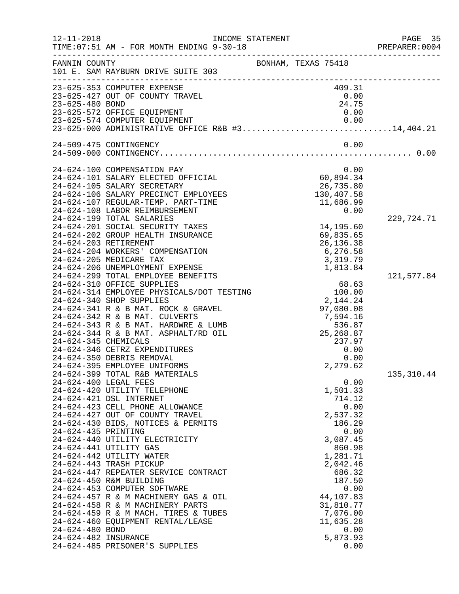| $12 - 11 - 2018$     | TIME: 07:51 AM - FOR MONTH ENDING 9-30-18                             | INCOME STATEMENT    | .                                         | PAGE 35<br>PREPARER:0004 |
|----------------------|-----------------------------------------------------------------------|---------------------|-------------------------------------------|--------------------------|
| FANNIN COUNTY        | 101 E. SAM RAYBURN DRIVE SUITE 303                                    | BONHAM, TEXAS 75418 |                                           |                          |
|                      | 23-625-353 COMPUTER EXPENSE                                           |                     | 409.31                                    |                          |
|                      | 23-625-427 OUT OF COUNTY TRAVEL                                       |                     | 0.00                                      |                          |
| 23-625-480 BOND      |                                                                       |                     | 24.75                                     |                          |
|                      | 23-625-572 OFFICE EQUIPMENT                                           |                     | 0.00                                      |                          |
|                      |                                                                       |                     |                                           |                          |
|                      | 24-509-475 CONTINGENCY                                                |                     | 0.00                                      |                          |
|                      |                                                                       |                     |                                           |                          |
|                      | 24-624-100 COMPENSATION PAY                                           |                     | 0.00                                      |                          |
|                      | 24-624-101 SALARY ELECTED OFFICIAL                                    |                     | 60,894.34                                 |                          |
|                      | 24-624-105 SALARY SECRETARY                                           |                     | 26,735.80                                 |                          |
|                      | 24-624-106 SALARY PRECINCT EMPLOYEES                                  |                     | 130,407.58                                |                          |
|                      | 24-624-107 REGULAR-TEMP. PART-TIME                                    |                     | 11,686.99                                 |                          |
|                      | 24-624-108 LABOR REIMBURSEMENT                                        |                     | 0.00                                      |                          |
|                      | 24-624-199 TOTAL SALARIES                                             |                     |                                           | 229,724.71               |
|                      | 24-624-201 SOCIAL SECURITY TAXES                                      |                     | 14,195.60                                 |                          |
|                      | 24-624-202 GROUP HEALTH INSURANCE                                     |                     | 69,835.65                                 |                          |
|                      | 24-624-203 RETIREMENT                                                 |                     | 26, 136. 38                               |                          |
|                      | 24-624-204 WORKERS' COMPENSATION                                      |                     | 6, 276.58                                 |                          |
|                      | 24-624-205 MEDICARE TAX                                               |                     | 3,319.79                                  |                          |
|                      | 24-624-206 UNEMPLOYMENT EXPENSE<br>24-624-299 TOTAL EMPLOYEE BENEFITS |                     | 1,813.84                                  |                          |
|                      | 24-624-310 OFFICE SUPPLIES                                            |                     | 68.63                                     | 121,577.84               |
|                      | 24-624-314 EMPLOYEE PHYSICALS/DOT TESTING                             |                     | 100.00                                    |                          |
|                      | 24-624-340 SHOP SUPPLIES                                              |                     | 2,144.24                                  |                          |
|                      | 24-624-341 R & B MAT. ROCK & GRAVEL                                   |                     | 97,080.08                                 |                          |
|                      | 24-624-342 R & B MAT. CULVERTS                                        |                     | 7,594.16                                  |                          |
|                      | 24-624-343 R & B MAT. HARDWRE & LUMB                                  |                     | 7 , 594 . 16<br>536 . 87<br>25 , 268 . 87 |                          |
|                      | 24-624-344 R & B MAT. ASPHALT/RD OIL                                  |                     |                                           |                          |
| 24-624-345 CHEMICALS |                                                                       |                     | 237.97                                    |                          |
|                      | 24-624-346 CETRZ EXPENDITURES                                         |                     | 0.00                                      |                          |
|                      | 24-624-350 DEBRIS REMOVAL                                             |                     | 0.00                                      |                          |
|                      | 24-624-395 EMPLOYEE UNIFORMS                                          |                     | 2,279.62                                  |                          |
|                      | 24-624-399 TOTAL R&B MATERIALS<br>24-624-400 LEGAL FEES               |                     | 0.00                                      | 135, 310.44              |
|                      | 24-624-420 UTILITY TELEPHONE                                          |                     | 1,501.33                                  |                          |
|                      | 24-624-421 DSL INTERNET                                               |                     | 714.12                                    |                          |
|                      | 24-624-423 CELL PHONE ALLOWANCE                                       |                     | 0.00                                      |                          |
|                      | 24-624-427 OUT OF COUNTY TRAVEL                                       |                     | 2,537.32                                  |                          |
|                      | 24-624-430 BIDS, NOTICES & PERMITS                                    |                     | 186.29                                    |                          |
| 24-624-435 PRINTING  |                                                                       |                     | 0.00                                      |                          |
|                      | 24-624-440 UTILITY ELECTRICITY                                        |                     | 3,087.45                                  |                          |
|                      | 24-624-441 UTILITY GAS                                                |                     | 860.98                                    |                          |
|                      | 24-624-442 UTILITY WATER                                              |                     | 1,281.71                                  |                          |
|                      | 24-624-443 TRASH PICKUP                                               |                     | 2,042.46                                  |                          |
|                      | 24-624-447 REPEATER SERVICE CONTRACT                                  |                     | 686.32                                    |                          |
|                      | 24-624-450 R&M BUILDING<br>24-624-453 COMPUTER SOFTWARE               |                     | 187.50<br>0.00                            |                          |
|                      | 24-624-457 R & M MACHINERY GAS & OIL                                  |                     | 44,107.83                                 |                          |
|                      | 24-624-458 R & M MACHINERY PARTS                                      |                     | 31,810.77                                 |                          |
|                      | 24-624-459 R & M MACH. TIRES & TUBES                                  |                     | 7,076.00                                  |                          |
|                      | 24-624-460 EQUIPMENT RENTAL/LEASE                                     |                     | 11,635.28                                 |                          |
| 24-624-480 BOND      |                                                                       |                     | 0.00                                      |                          |
| 24-624-482 INSURANCE |                                                                       |                     | 5,873.93                                  |                          |
|                      | 24-624-485 PRISONER'S SUPPLIES                                        |                     | 0.00                                      |                          |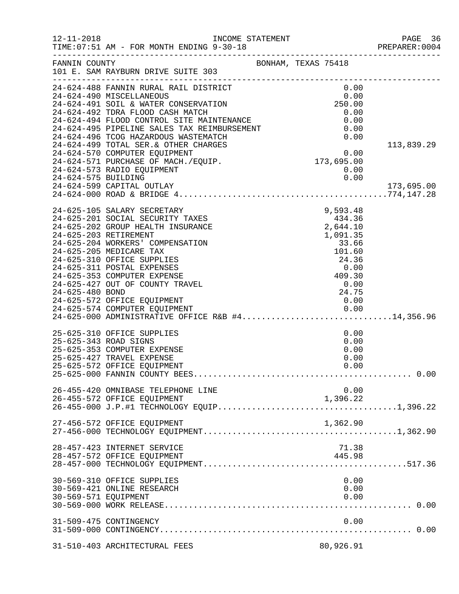| $12 - 11 - 2018$     | INCOME STATEMENT<br>TIME: 07:51 AM - FOR MONTH ENDING 9-30-18<br>TIME:07:51 AM - FOR MONTH ENDING 9-30-18 PREPARE:0001           |                                                           | PAGE 36<br>PREPARER: 0004 |
|----------------------|----------------------------------------------------------------------------------------------------------------------------------|-----------------------------------------------------------|---------------------------|
| FANNIN COUNTY        | 101 E. SAM RAYBURN DRIVE SUITE 303                                                                                               | BONHAM, TEXAS 75418                                       |                           |
|                      | 24-624-488 FANNIN RURAL RAIL DISTRICT                                                                                            | 0.00<br>$0.00$<br>0.00<br>250.00                          |                           |
|                      | 24-624-490 MISCELLANEOUS                                                                                                         |                                                           |                           |
|                      | 24-624-491 SOIL & WATER CONSERVATION<br>24-624-492 TDRA FLOOD CASH MATCH                                                         | 0.00                                                      |                           |
|                      |                                                                                                                                  | 0.00                                                      |                           |
|                      | 21-624-494 FLOOD CONTROL SITE MAINTENANCE<br>24-624-495 PIPELINE SALES TAX REIMBURSEMENT<br>24-624-496 TCOG HAZARDOUS WASTEMATCH | 0.00                                                      |                           |
|                      |                                                                                                                                  | 0.00                                                      |                           |
|                      | 24-624-499 TOTAL SER. & OTHER CHARGES                                                                                            | $\begin{array}{c} 0.00 \\ 0.00 \\ 173,695.00 \end{array}$ | 113,839.29                |
|                      | 24-624-570 COMPUTER EQUIPMENT                                                                                                    |                                                           |                           |
|                      | 24-624-571 PURCHASE OF MACH./EQUIP.                                                                                              |                                                           |                           |
|                      | 24-624-573 RADIO EQUIPMENT                                                                                                       | 0.00                                                      |                           |
| 24-624-575 BUILDING  |                                                                                                                                  | 0.00                                                      |                           |
|                      | 24-624-599 CAPITAL OUTLAY                                                                                                        |                                                           | 173,695.00                |
|                      |                                                                                                                                  |                                                           |                           |
|                      | 24-625-105 SALARY SECRETARY                                                                                                      | 9,593.48                                                  |                           |
|                      | 24-625-201 SOCIAL SECURITY TAXES                                                                                                 | 434.36                                                    |                           |
|                      | 24-625-202 GROUP HEALTH INSURANCE                                                                                                | 2,644.10                                                  |                           |
|                      | 24-625-203 RETIREMENT                                                                                                            | 1,091.35                                                  |                           |
|                      | 24-625-204 WORKERS' COMPENSATION                                                                                                 | 33.66                                                     |                           |
|                      | 24-625-205 MEDICARE TAX                                                                                                          | 101.60                                                    |                           |
|                      | 24-625-310 OFFICE SUPPLIES                                                                                                       | 24.36                                                     |                           |
|                      | 24-625-311 POSTAL EXPENSES                                                                                                       | 0.00                                                      |                           |
|                      | 24-625-353 COMPUTER EXPENSE<br>24-625-427 OUT OF COUNTY TRAVEL                                                                   |                                                           |                           |
| 24-625-480 BOND      |                                                                                                                                  | $409.30$<br>0.00<br>24.75<br>24.75                        |                           |
|                      | 24-625-572 OFFICE EQUIPMENT                                                                                                      | 0.00                                                      |                           |
|                      |                                                                                                                                  |                                                           |                           |
|                      | 24-625-574 COMPUTER EQUIPMENT<br>24-625-000 ADMINISTRATIVE OFFICE R&B #414,356.96                                                |                                                           |                           |
|                      | 25-625-310 OFFICE SUPPLIES                                                                                                       | 0.00                                                      |                           |
|                      | 25-625-343 ROAD SIGNS                                                                                                            | 0.00                                                      |                           |
|                      | 25-625-353 COMPUTER EXPENSE                                                                                                      | 0.00                                                      |                           |
|                      | 25-625-427 TRAVEL EXPENSE                                                                                                        | 0.00                                                      |                           |
|                      | 25-625-572 OFFICE EQUIPMENT                                                                                                      | 0.00                                                      |                           |
|                      |                                                                                                                                  |                                                           |                           |
|                      | 26-455-420 OMNIBASE TELEPHONE LINE                                                                                               | 0.00                                                      |                           |
|                      | 26-455-572 OFFICE EQUIPMENT                                                                                                      | 1,396.22                                                  |                           |
|                      |                                                                                                                                  |                                                           |                           |
|                      | 27-456-572 OFFICE EQUIPMENT                                                                                                      | 1,362.90                                                  |                           |
|                      |                                                                                                                                  |                                                           |                           |
|                      | 28-457-423 INTERNET SERVICE                                                                                                      | 71.38                                                     |                           |
|                      | 28-457-572 OFFICE EQUIPMENT                                                                                                      | 445.98                                                    |                           |
|                      |                                                                                                                                  |                                                           |                           |
|                      | 30-569-310 OFFICE SUPPLIES                                                                                                       | 0.00                                                      |                           |
|                      | 30-569-421 ONLINE RESEARCH                                                                                                       | 0.00                                                      |                           |
| 30-569-571 EQUIPMENT |                                                                                                                                  | 0.00                                                      |                           |
|                      |                                                                                                                                  |                                                           |                           |
|                      | 31-509-475 CONTINGENCY                                                                                                           | 0.00                                                      |                           |
|                      |                                                                                                                                  |                                                           |                           |
|                      |                                                                                                                                  |                                                           |                           |
|                      | 31-510-403 ARCHITECTURAL FEES                                                                                                    | 80,926.91                                                 |                           |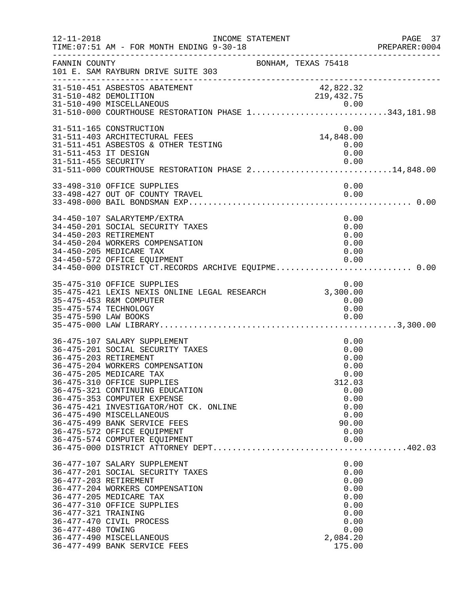| $12 - 11 - 2018$                            | INCOME STATEMENT<br>TIME: 07:51 AM - FOR MONTH ENDING 9-30-18<br>------------------------------                                                                                                                                                                                                                                                                                                                               |                                                                                                         | PAGE 37<br>PREPARER: 0004 |
|---------------------------------------------|-------------------------------------------------------------------------------------------------------------------------------------------------------------------------------------------------------------------------------------------------------------------------------------------------------------------------------------------------------------------------------------------------------------------------------|---------------------------------------------------------------------------------------------------------|---------------------------|
| FANNIN COUNTY                               | BONHAM, TEXAS 75418<br>101 E. SAM RAYBURN DRIVE SUITE 303                                                                                                                                                                                                                                                                                                                                                                     |                                                                                                         |                           |
|                                             | 31-510-451 ASBESTOS ABATEMENT<br>31-510-482 DEMOLITION<br>31-510-490 MISCELLANEOUS 0.00<br>31-510-000 COURTHOUSE RESTORATION PHASE 1343,181.98                                                                                                                                                                                                                                                                                | 42,822.32<br>219,432.75                                                                                 |                           |
| 31-511-453 IT DESIGN<br>31-511-455 SECURITY | 31-511-165 CONSTRUCTION<br>31-511-403 ARCHITECTURAL FEES<br>31-511-451 ASBESTOS & OTHER TESTING<br>31-511-000 COURTHOUSE RESTORATION PHASE 214,848.00                                                                                                                                                                                                                                                                         | 0.00<br>14,848.00<br>0.00<br>0.00<br>0.00                                                               |                           |
|                                             | 33-498-310 OFFICE SUPPLIES<br>33-498-427 OUT OF COUNTY TRAVEL                                                                                                                                                                                                                                                                                                                                                                 | 0.00<br>0.00                                                                                            |                           |
|                                             | 34-450-107 SALARYTEMP/EXTRA<br>34-450-201 SOCIAL SECURITY TAXES<br>34-450-203 RETIREMENT<br>34-450-204 WORKERS COMPENSATION<br>34-450-205 MEDICARE TAX<br>34-450-572 OFFICE EQUIPMENT                                                                                                                                                                                                                                         | 0.00<br>0.00<br>0.00<br>0.00<br>0.00<br>0.00                                                            |                           |
| 35-475-590 LAW BOOKS                        | 35-475-310 OFFICE SUPPLIES<br>35-475-453 R&M COMPUTER<br>35-475-574 TECHNOLOGY                                                                                                                                                                                                                                                                                                                                                | 0.00<br>0.00<br>0.00<br>0.00                                                                            |                           |
|                                             | 36-475-107 SALARY SUPPLEMENT<br>36-475-201 SOCIAL SECURITY TAXES<br>36-475-203 RETIREMENT<br>36-475-204 WORKERS COMPENSATION<br>36-475-205 MEDICARE TAX<br>36-475-310 OFFICE SUPPLIES<br>36-475-321 CONTINUING EDUCATION<br>36-475-353 COMPUTER EXPENSE<br>36-475-421 INVESTIGATOR/HOT CK. ONLINE<br>36-475-490 MISCELLANEOUS<br>36-475-499 BANK SERVICE FEES<br>36-475-572 OFFICE EQUIPMENT<br>36-475-574 COMPUTER EQUIPMENT | 0.00<br>0.00<br>0.00<br>0.00<br>0.00<br>312.03<br>0.00<br>0.00<br>0.00<br>0.00<br>90.00<br>0.00<br>0.00 |                           |
| 36-477-321 TRAINING<br>36-477-480 TOWING    | 36-477-107 SALARY SUPPLEMENT<br>36-477-201 SOCIAL SECURITY TAXES<br>36-477-203 RETIREMENT<br>36-477-204 WORKERS COMPENSATION<br>36-477-205 MEDICARE TAX<br>36-477-310 OFFICE SUPPLIES<br>36-477-470 CIVIL PROCESS<br>36-477-490 MISCELLANEOUS<br>36-477-499 BANK SERVICE FEES                                                                                                                                                 | 0.00<br>0.00<br>0.00<br>0.00<br>0.00<br>0.00<br>0.00<br>0.00<br>0.00<br>2,084.20<br>175.00              |                           |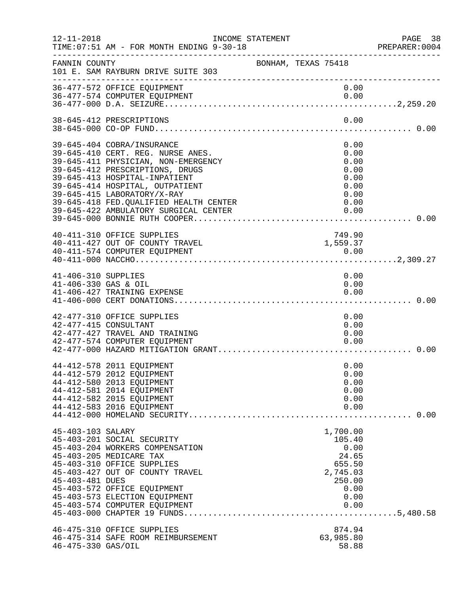| $12 - 11 - 2018$                            | INCOME STATEMENT<br>TIME: 07:51 AM - FOR MONTH ENDING 9-30-18                                                                                                                                                                                                                                                                    |                     | PREPARE<br>-----------------------------------                                              | PAGE 38<br>PREPARER:0004 |
|---------------------------------------------|----------------------------------------------------------------------------------------------------------------------------------------------------------------------------------------------------------------------------------------------------------------------------------------------------------------------------------|---------------------|---------------------------------------------------------------------------------------------|--------------------------|
| FANNIN COUNTY<br>----------------------     | 101 E. SAM RAYBURN DRIVE SUITE 303                                                                                                                                                                                                                                                                                               | BONHAM, TEXAS 75418 |                                                                                             |                          |
|                                             | 36-477-572 OFFICE EQUIPMENT<br>36-477-574 COMPUTER EQUIPMENT                                                                                                                                                                                                                                                                     |                     | 0.00<br>0.00                                                                                |                          |
|                                             | 38-645-412 PRESCRIPTIONS                                                                                                                                                                                                                                                                                                         |                     | 0.00                                                                                        |                          |
|                                             | 39-645-404 COBRA/INSURANCE<br>39-645-410 CERT. REG. NURSE ANES.<br>39-645-411 PHYSICIAN, NON-EMERGENCY<br>39-645-412 PRESCRIPTIONS, DRUGS<br>39-645-413 HOSPITAL-INPATIENT<br>39-645-414 HOSPITAL, OUTPATIENT<br>39-645-415 LABORATORY/X-RAY<br>39-645-418 FED. QUALIFIED HEALTH CENTER<br>39-645-422 AMBULATORY SURGICAL CENTER |                     | 0.00<br>0.00<br>0.00<br>0.00<br>0.00<br>0.00<br>0.00<br>0.00<br>0.00                        |                          |
|                                             | 40-411-310 OFFICE SUPPLIES<br>40-411-427 OUT OF COUNTY TRAVEL                                                                                                                                                                                                                                                                    |                     | 749.90<br>1,559.37                                                                          |                          |
| 41-406-310 SUPPLIES<br>41-406-330 GAS & OIL | 41-406-427 TRAINING EXPENSE                                                                                                                                                                                                                                                                                                      |                     | 0.00<br>0.00<br>0.00                                                                        |                          |
|                                             | 42-477-310 OFFICE SUPPLIES<br>42-477-415 CONSULTANT<br>42-477-427 TRAVEL AND TRAINING<br>42-477-574 COMPUTER EQUIPMENT                                                                                                                                                                                                           |                     | 0.00<br>0.00<br>0.00<br>0.00                                                                |                          |
|                                             | 44-412-578 2011 EQUIPMENT<br>44-412-579 2012 EQUIPMENT<br>44-412-580 2013 EQUIPMENT<br>44-412-581 2014 EQUIPMENT<br>44-412-582 2015 EQUIPMENT<br>44-412-583 2016 EQUIPMENT                                                                                                                                                       |                     | 0.00<br>0.00<br>0.00<br>0.00<br>0.00<br>0.00                                                | . 0.00                   |
| 45-403-103 SALARY<br>45-403-481 DUES        | 45-403-201 SOCIAL SECURITY<br>45-403-204 WORKERS COMPENSATION<br>45-403-205 MEDICARE TAX<br>45-403-310 OFFICE SUPPLIES<br>45-403-427 OUT OF COUNTY TRAVEL<br>45-403-572 OFFICE EQUIPMENT<br>45-403-573 ELECTION EQUIPMENT<br>45-403-574 COMPUTER EQUIPMENT                                                                       |                     | 1,700.00<br>105.40<br>0.00<br>24.65<br>655.50<br>2,745.03<br>250.00<br>0.00<br>0.00<br>0.00 |                          |
| 46-475-330 GAS/OIL                          | 46-475-310 OFFICE SUPPLIES<br>46-475-314 SAFE ROOM REIMBURSEMENT                                                                                                                                                                                                                                                                 |                     | 874.94<br>63,985.80<br>58.88                                                                |                          |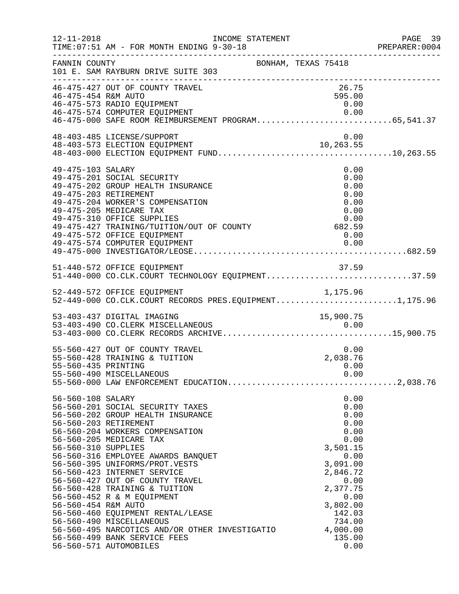| $12 - 11 - 2018$                                                | INCOME STATEMENT<br>TIME: 07:51 AM - FOR MONTH ENDING 9-30-18                                                                                                                                                                                                                                                                                                                                                                                                                                                                                      | ____________________________________                                                                                                                                               | PAGE 39<br>PREPARER:0004 |
|-----------------------------------------------------------------|----------------------------------------------------------------------------------------------------------------------------------------------------------------------------------------------------------------------------------------------------------------------------------------------------------------------------------------------------------------------------------------------------------------------------------------------------------------------------------------------------------------------------------------------------|------------------------------------------------------------------------------------------------------------------------------------------------------------------------------------|--------------------------|
| FANNIN COUNTY                                                   | 101 E. SAM RAYBURN DRIVE SUITE 303                                                                                                                                                                                                                                                                                                                                                                                                                                                                                                                 | BONHAM, TEXAS 75418                                                                                                                                                                |                          |
| 46-475-454 R&M AUTO                                             | 46-475-427 OUT OF COUNTY TRAVEL<br>46-475-573 RADIO EQUIPMENT                                                                                                                                                                                                                                                                                                                                                                                                                                                                                      | 26.75<br>595.00<br>0.00                                                                                                                                                            |                          |
|                                                                 | 48-403-485 LICENSE/SUPPORT<br>48-403-573 ELECTION EQUIPMENT                                                                                                                                                                                                                                                                                                                                                                                                                                                                                        | 0.00<br>10,263.55                                                                                                                                                                  |                          |
| 49-475-103 SALARY                                               | 49-475-201 SOCIAL SECURITY<br>49-475-202 GROUP HEALTH INSURANCE<br>49-475-203 RETIREMENT<br>49-475-204 WORKER'S COMPENSATION<br>49-475-205 MEDICARE TAX<br>0.00<br>49-475-427 TRAINING/TUITION/OUT OF COUNTY 682.59<br>49-475-572 OFFICE FOULDMENT<br>49-475-572 OFFICE EQUIPMENT<br>49-475-574 COMPUTER EQUIPMENT                                                                                                                                                                                                                                 | 0.00<br>0.00<br>0.00<br>0.00<br>0.00<br>0.00<br>0.00<br>0.00                                                                                                                       |                          |
|                                                                 | 51-440-572 OFFICE EQUIPMENT<br>51-440-000 CO.CLK.COURT TECHNOLOGY EQUIPMENT37.59                                                                                                                                                                                                                                                                                                                                                                                                                                                                   |                                                                                                                                                                                    |                          |
|                                                                 | 52-449-572 OFFICE EQUIPMENT<br>52-449-000 CO.CLK.COURT RECORDS PRES.EQUIPMENT1,175.96                                                                                                                                                                                                                                                                                                                                                                                                                                                              |                                                                                                                                                                                    |                          |
|                                                                 | 53-403-437 DIGITAL IMAGING                                                                                                                                                                                                                                                                                                                                                                                                                                                                                                                         | 15,900.75                                                                                                                                                                          |                          |
| 55-560-435 PRINTING                                             | 55-560-427 OUT OF COUNTY TRAVEL<br>55-560-428 TRAINING & TUITION<br>55-560-490 MISCELLANEOUS                                                                                                                                                                                                                                                                                                                                                                                                                                                       | 0.00<br>2,038.76<br>0.00<br>0.00                                                                                                                                                   |                          |
| 56-560-108 SALARY<br>56-560-310 SUPPLIES<br>56-560-454 R&M AUTO | 56-560-201 SOCIAL SECURITY TAXES<br>56-560-202 GROUP HEALTH INSURANCE<br>56-560-203 RETIREMENT<br>56-560-204 WORKERS COMPENSATION<br>56-560-205 MEDICARE TAX<br>56-560-316 EMPLOYEE AWARDS BANQUET<br>56-560-395 UNIFORMS/PROT.VESTS<br>56-560-423 INTERNET SERVICE<br>56-560-427 OUT OF COUNTY TRAVEL<br>56-560-428 TRAINING & TUITION<br>56-560-452 R & M EQUIPMENT<br>56-560-460 EQUIPMENT RENTAL/LEASE<br>56-560-490 MISCELLANEOUS<br>56-560-495 NARCOTICS AND/OR OTHER INVESTIGATIO<br>56-560-499 BANK SERVICE FEES<br>56-560-571 AUTOMOBILES | 0.00<br>0.00<br>0.00<br>0.00<br>0.00<br>0.00<br>3,501.15<br>0.00<br>3,091.00<br>2,846.72<br>0.00<br>2,377.75<br>0.00<br>3,802.00<br>142.03<br>734.00<br>4,000.00<br>135.00<br>0.00 |                          |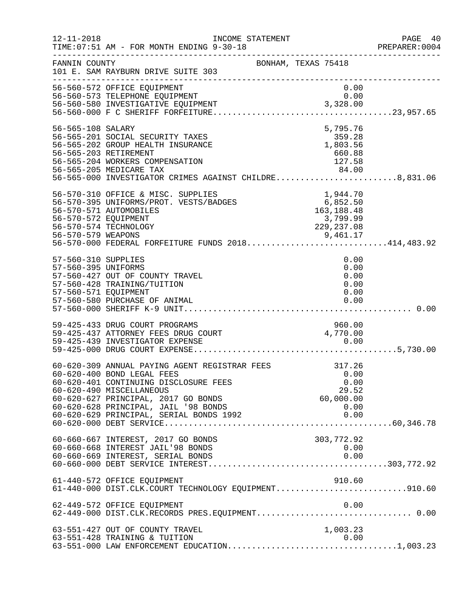| $12 - 11 - 2018$                                                   | INCOME STATEMENT<br>TIME: 07:51 AM - FOR MONTH ENDING 9-30-18<br>-------------------------------------                                                                                                                                                                                                    |                                                              | PAGE 40<br>PREPARER: 0004 |
|--------------------------------------------------------------------|-----------------------------------------------------------------------------------------------------------------------------------------------------------------------------------------------------------------------------------------------------------------------------------------------------------|--------------------------------------------------------------|---------------------------|
| FANNIN COUNTY                                                      | 101 E. SAM RAYBURN DRIVE SUITE 303                                                                                                                                                                                                                                                                        | BONHAM, TEXAS 75418                                          |                           |
|                                                                    | 56-560-572 OFFICE EQUIPMENT<br>Ju-Jou-573 TELEPHONE EQUIPMENT<br>56-560-580 INVESTIGATIVE EQUIPMENT<br>56-560-000 F C SUPRIER FOLFI                                                                                                                                                                       | 0.00<br>0.00                                                 |                           |
| 56-565-108 SALARY                                                  | 56-565-201 SOCIAL SECURITY TAXES<br>56-565-202 GROUP HEALTH INSURANCE<br>56-565-203 RETIREMENT<br>56-565-204 WORKERS COMPENSATION<br>56-565-205 MEDICARE TAX 84.00<br>56-565-000 INVESTIGATOR CRIMES AGAINST CHILDRE8,831.06                                                                              | 5,795.76<br>$1,803.56$<br>560.88<br>50.88<br>127.58          |                           |
| 56-570-572 EQUIPMENT                                               | 56-570-310 OFFICE & MISC. SUPPLIES<br>56-570-395 UNIFORMS/PROT. VESTS/BADGES<br>56-570-571 AUTOMOBILES<br>56-570-571 AUTOMOBILES<br>56-570-571 AUTOMOBILES<br>56-570-571 AUTOMOBILES<br>56-570-571 AUTOMOBILES<br>56-570-574 TECHNOLOGY<br>9,461.17<br>56-570-000 FEDERAL FORFEITURE FUNDS 2018414,483.92 | 3,799.99<br>229, 237.08                                      |                           |
| 57-560-310 SUPPLIES<br>57-560-395 UNIFORMS<br>57-560-571 EQUIPMENT | 57-560-427 OUT OF COUNTY TRAVEL<br>57-560-428 TRAINING/TUITION<br>57-560-580 PURCHASE OF ANIMAL                                                                                                                                                                                                           | 0.00<br>0.00<br>0.00<br>0.00<br>0.00<br>0.00                 |                           |
|                                                                    | 59-425-433 DRUG COURT PROGRAMS<br>59-425-437 ATTORNEY FEES DRUG COURT<br>59-425-439 INVESTIGATOR EXPENSE                                                                                                                                                                                                  | 960.00<br>4,770.00<br>0.00                                   |                           |
|                                                                    | 60-620-309 ANNUAL PAYING AGENT REGISTRAR FEES<br>60-620-400 BOND LEGAL FEES<br>60-620-401 CONTINUING DISCLOSURE FEES<br>60-620-490 MISCELLANEOUS<br>60-620-627 PRINCIPAL, 2017 GO BONDS<br>60-620-628 PRINCIPAL, JAIL '98 BONDS<br>60-620-629 PRINCIPAL, SERIAL BONDS 1992                                | 317.26<br>0.00<br>0.00<br>29.52<br>60,000.00<br>0.00<br>0.00 |                           |
|                                                                    | 60-660-667 INTEREST, 2017 GO BONDS<br>60-660-668 INTEREST JAIL'98 BONDS<br>60-660-669 INTEREST, SERIAL BONDS                                                                                                                                                                                              | 303,772.92<br>0.00<br>0.00                                   |                           |
|                                                                    | 61-440-572 OFFICE EQUIPMENT<br>61-440-000 DIST.CLK.COURT TECHNOLOGY EQUIPMENT910.60                                                                                                                                                                                                                       | 910.60                                                       |                           |
|                                                                    | 62-449-572 OFFICE EQUIPMENT                                                                                                                                                                                                                                                                               | 0.00                                                         |                           |
|                                                                    | 63-551-427 OUT OF COUNTY TRAVEL<br>63-551-428 TRAINING & TUITION                                                                                                                                                                                                                                          | 1,003.23<br>0.00                                             |                           |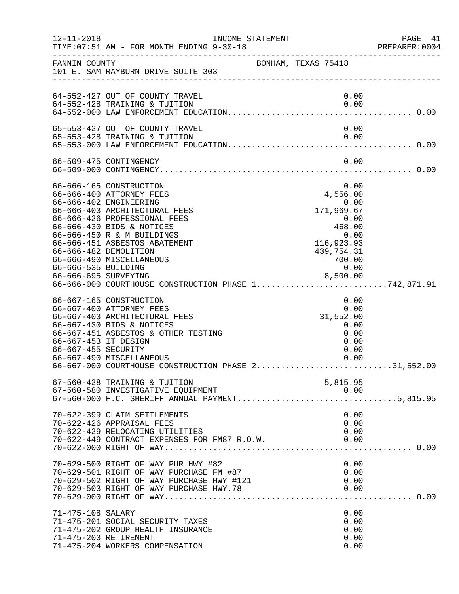| $12 - 11 - 2018$                            | TIME: 07:51 AM - FOR MONTH ENDING 9-30-18                                                                                                                                                                                                                                                                                                                                       | INCOME STATEMENT |                                                                                                                | PAGE<br>- 41<br>PREPARER: 0004 |
|---------------------------------------------|---------------------------------------------------------------------------------------------------------------------------------------------------------------------------------------------------------------------------------------------------------------------------------------------------------------------------------------------------------------------------------|------------------|----------------------------------------------------------------------------------------------------------------|--------------------------------|
| FANNIN COUNTY                               | 101 E. SAM RAYBURN DRIVE SUITE 303                                                                                                                                                                                                                                                                                                                                              |                  | BONHAM, TEXAS 75418                                                                                            |                                |
|                                             | 64-552-427 OUT OF COUNTY TRAVEL<br>64-552-428 TRAINING & TUITION                                                                                                                                                                                                                                                                                                                |                  | 0.00<br>0.00                                                                                                   |                                |
|                                             | 65-553-427 OUT OF COUNTY TRAVEL<br>65-553-428 TRAINING & TUITION                                                                                                                                                                                                                                                                                                                |                  | 0.00<br>0.00                                                                                                   |                                |
|                                             | 66-509-475 CONTINGENCY                                                                                                                                                                                                                                                                                                                                                          |                  | 0.00                                                                                                           |                                |
| 66-666-535 BUILDING                         | 66-666-165 CONSTRUCTION<br>66-666-400 ATTORNEY FEES<br>66-666-402 ENGINEERING<br>66-666-403 ARCHITECTURAL FEES<br>66-666-426 PROFESSIONAL FEES<br>66-666-430 BIDS & NOTICES<br>66-666-450 R & M BUILDINGS<br>66-666-451 ASBESTOS ABATEMENT<br>66-666-482 DEMOLITION<br>66-666-490 MISCELLANEOUS<br>66-666-695 SURVEYING<br>66-666-600 COURTHOUSE CONSTRUCTION PHASE 1742,871.91 |                  | 0.00<br>4,556.00<br>0.00<br>171,969.67<br>0.00<br>468.00<br>0.00<br>116,923.93<br>439,754.31<br>700.00<br>0.00 |                                |
| 66-667-453 IT DESIGN<br>66-667-455 SECURITY | 66-667-165 CONSTRUCTION<br>66-667-400 ATTORNEY FEES<br>66-667-403 ARCHITECTURAL FEES<br>66-667-430 BIDS & NOTICES<br>66-667-451 ASBESTOS & OTHER TESTING<br>66-667-490 MISCELLANEOUS<br>66-667-000 COURTHOUSE CONSTRUCTION PHASE 231,552.00                                                                                                                                     |                  | 0.00<br>0.00<br>31,552.00<br>0.00<br>0.00<br>0.00<br>0.00<br>0.00                                              |                                |
|                                             | 67-560-428 TRAINING & TUITION<br>67-560-580 INVESTIGATIVE EQUIPMENT<br>67-560-580 INVESTIGATIVE EQUIPMENT<br>67-560-000 F.C. SHERIFF ANNUAL PAYMENT5,815.95                                                                                                                                                                                                                     |                  | 5,815.95<br>0.00                                                                                               |                                |
|                                             | 70-622-399 CLAIM SETTLEMENTS<br>70-622-426 APPRAISAL FEES<br>70-622-429 RELOCATING UTILITIES<br>70-622-449 CONTRACT EXPENSES FOR FM87 R.O.W.                                                                                                                                                                                                                                    |                  | 0.00<br>0.00<br>0.00<br>0.00                                                                                   |                                |
|                                             | 70-629-500 RIGHT OF WAY PUR HWY #82<br>70-629-501 RIGHT OF WAY PURCHASE FM #87<br>70-629-502 RIGHT OF WAY PURCHASE HWY #121<br>70-629-503 RIGHT OF WAY PURCHASE HWY.78                                                                                                                                                                                                          |                  | 0.00<br>0.00<br>0.00<br>0.00                                                                                   |                                |
| 71-475-108 SALARY                           | 71-475-201 SOCIAL SECURITY TAXES<br>71-475-202 GROUP HEALTH INSURANCE<br>71-475-203 RETIREMENT<br>71-475-204 WORKERS COMPENSATION                                                                                                                                                                                                                                               |                  | 0.00<br>0.00<br>0.00<br>0.00<br>0.00                                                                           |                                |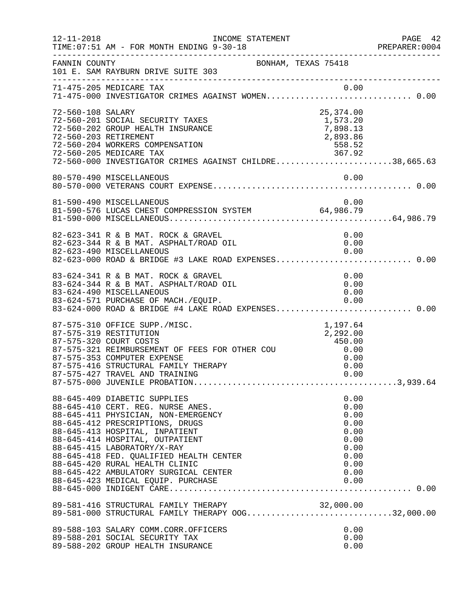| $12 - 11 - 2018$  | INCOME STATEMENT<br>TIME: 07:51 AM - FOR MONTH ENDING 9-30-18                                                                                                                                                                                                                                                                                                         |                                                                              | PAGE 42<br>PREPARER:0004 |
|-------------------|-----------------------------------------------------------------------------------------------------------------------------------------------------------------------------------------------------------------------------------------------------------------------------------------------------------------------------------------------------------------------|------------------------------------------------------------------------------|--------------------------|
| FANNIN COUNTY     | BONHAM, TEXAS 75418<br>101 E. SAM RAYBURN DRIVE SUITE 303                                                                                                                                                                                                                                                                                                             |                                                                              |                          |
|                   | 71-475-205 MEDICARE TAX 0.00<br>71-475-000 INVESTIGATOR CRIMES AGAINST WOMEN0.00                                                                                                                                                                                                                                                                                      |                                                                              |                          |
| 72-560-108 SALARY | 72-560-201 SOCIAL SECURITY TAXES<br>72-560-202 GROUP HEALTH INSURANCE<br>72-560-202 GROUP HEALTH INSURANCE<br>72-560-203 RETIREMENT<br>72-560-204 WORKERS COMPENSATION<br>72-560-205 MEDICARE TAX<br>72-560-000 INVESTIGATOR CRIMES AGAINST CHILDRE38,665.63<br>72-560-000 INVESTIGATOR CR                                                                            | 25,374.00<br>1,573.20<br>7,898.13<br>2,893.86                                |                          |
|                   |                                                                                                                                                                                                                                                                                                                                                                       |                                                                              |                          |
|                   | 81-590-490 MISCELLANEOUS<br>81-590-576 LUCAS CHEST COMPRESSION SYSTEM 64,986.79                                                                                                                                                                                                                                                                                       | 0.00                                                                         |                          |
|                   | 82-623-341 R & B MAT. ROCK & GRAVEL<br>82-623-344 R & B MAT. ASPHALT/ROAD OIL<br>82-623-490 MISCELLANEOUS<br>82-623-490 MISCELLANEOUS<br>82-623-000 ROAD & BRIDGE #3 LAKE ROAD EXPENSES 0.00                                                                                                                                                                          | 0.00<br>0.00<br>0.00                                                         |                          |
|                   | 83-624-341 R & B MAT. ROCK & GRAVEL<br>83-624-344 R & B MAT. ASPHALT/ROAD OIL<br>83-624-490 MISCELLANEOUS<br>83-624-571 PURCHASE OF MACH./EQUIP. 0.00<br>83-624-000 ROAD & BRIDGE #4 LAKE ROAD EXPENSES0.00                                                                                                                                                           | 0.00<br>0.00<br>0.00                                                         |                          |
|                   | 87-575-310 OFFICE SUPP./MISC.<br>87-575-319 RESTITUTION<br>37-575-321 REIMBURSEMENT OF FEES FOR OTHER COU<br>87-575-321 REIMBURSEMENT OF FEES FOR OTHER COU<br>87-575-353 COMPUTER EXPENSE<br>87-575-416 STRUCTURAL FAMILY THERAPY<br>87-575-427 TRAVEL AND TRAINING<br>87-575-427 TRAVEL AND TRAINING                                                                | 1,197.64<br>2,292.00<br>0.00                                                 |                          |
|                   | 88-645-409 DIABETIC SUPPLIES<br>88-645-410 CERT. REG. NURSE ANES.<br>88-645-411 PHYSICIAN, NON-EMERGENCY<br>88-645-412 PRESCRIPTIONS, DRUGS<br>88-645-413 HOSPITAL, INPATIENT<br>88-645-414 HOSPITAL, OUTPATIENT<br>88-645-415 LABORATORY/X-RAY<br>88-645-418 FED. QUALIFIED HEALTH CENTER<br>88-645-420 RURAL HEALTH CLINIC<br>88-645-422 AMBULATORY SURGICAL CENTER | 0.00<br>0.00<br>0.00<br>0.00<br>0.00<br>0.00<br>0.00<br>0.00<br>0.00<br>0.00 |                          |
|                   | 89-581-416 STRUCTURAL FAMILY THERAPY<br>89-581-000 STRUCTURAL FAMILY THERAPY OOG32,000.00                                                                                                                                                                                                                                                                             |                                                                              |                          |
|                   | 89-588-103 SALARY COMM.CORR.OFFICERS<br>89-588-201 SOCIAL SECURITY TAX<br>89-588-202 GROUP HEALTH INSURANCE                                                                                                                                                                                                                                                           | 0.00<br>0.00<br>0.00                                                         |                          |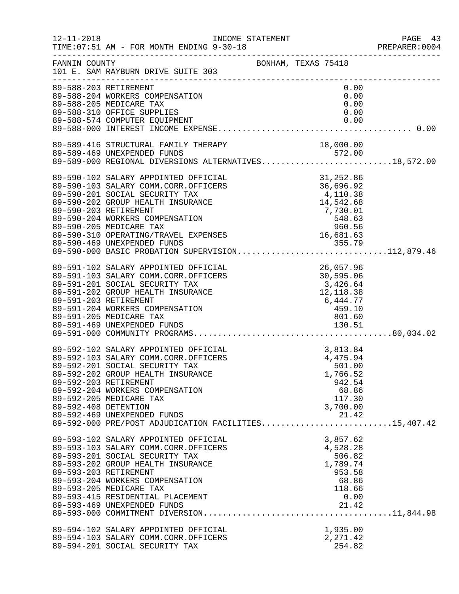| $12 - 11 - 2018$     | INCOME STATEMENT<br>TIME: 07:51 AM - FOR MONTH ENDING 9-30-18                                                                                                                                                                                                                                                                                                                                       |                                                                                          | PAGE 43<br>PREPARER: 0004 |
|----------------------|-----------------------------------------------------------------------------------------------------------------------------------------------------------------------------------------------------------------------------------------------------------------------------------------------------------------------------------------------------------------------------------------------------|------------------------------------------------------------------------------------------|---------------------------|
| FANNIN COUNTY        | BONHAM, TEXAS 75418<br>101 E. SAM RAYBURN DRIVE SUITE 303                                                                                                                                                                                                                                                                                                                                           |                                                                                          |                           |
|                      | 89-588-203 RETIREMENT<br>89-588-204 WORKERS COMPENSATION<br>89-588-205 MEDICARE TAX<br>89-588-310 OFFICE SUPPLIES<br>89-588-574 COMPUTER EQUIPMENT                                                                                                                                                                                                                                                  | 0.00<br>0.00<br>0.00<br>0.00<br>0.00                                                     |                           |
|                      |                                                                                                                                                                                                                                                                                                                                                                                                     |                                                                                          |                           |
|                      | 89-589-416 STRUCTURAL FAMILY THERAPY<br>89-589-469 UNEXPENDED FUNDS<br>89-589-416 STRUCTURAL FAMILY THERAPY 18,000.00<br>89-589-469 UNEXPENDED FUNDS 572.00<br>89-589-000 REGIONAL DIVERSIONS ALTERNATIVES18,572.00                                                                                                                                                                                 | 18,000.00                                                                                |                           |
|                      | 89-590-102 SALARY APPOINTED OFFICIAL<br>89-590-103 SALARY COMM.CORR.OFFICERS<br>89-590-201 SOCIAL SECURITY TAX<br>89-590-202 GROUP HEALTH INSURANCE<br>89-590-202 GROOF HEADIN INSURANCE<br>89-590-203 RETIREMENT<br>89-590-204 WORKERS COMPENSATION<br>89-590-205 MEDICARE TAX<br>89-590-310 OPERATING/TRAVEL EXPENSES<br>89-590-469 UNEXPENDED FUNDS<br>89-590-469 UNEXPENDED FUNDS<br>89-590-000 | $31, 252.86$<br>$36, 696.92$<br>$4, 110.38$<br>$14, 542.68$                              |                           |
|                      | 89-591-102 SALARY APPOINTED OFFICIAL<br>89-591-103 SALARY COMM.CORR.OFFICERS<br>89-591-201 SOCIAL SECURITY TAX<br>89-591-202 GROUP HEALTH INSURANCE<br>89-591-203 RETIREMENT<br>89-591-204 WORKERS COMPENSATION<br>89-591-205 MEDICARE TAX                                                                                                                                                          | 26,057.96<br>30,595.06<br>3,426.64<br>12,118.38<br>6,444.77<br>459.10<br>801.60          |                           |
| 89-592-408 DETENTION | 89-592-102 SALARY APPOINTED OFFICIAL<br>89-592-103 SALARY COMM.CORR.OFFICERS<br>89-592-201 SOCIAL SECURITY TAX<br>89-592-202 GROUP HEALTH INSURANCE<br>89-592-203 RETIREMENT<br>89-592-204 WORKERS COMPENSATION<br>89-592-205 MEDICARE TAX<br>89-592-469 UNEXPENDED FUNDS<br>89-592-000 PRE/POST ADJUDICATION FACILITIES15,407.42                                                                   | 3,813.84<br>4,475.94<br>501.00<br>1,766.52<br>942.54<br>68.86<br>117.30<br>3,700.00      |                           |
|                      | 89-593-102 SALARY APPOINTED OFFICIAL<br>89-593-103 SALARY COMM.CORR.OFFICERS<br>89-593-201 SOCIAL SECURITY TAX<br>89-593-202 GROUP HEALTH INSURANCE<br>89-593-203 RETIREMENT<br>89-593-204 WORKERS COMPENSATION<br>89-593-205 MEDICARE TAX<br>89-593-415 RESIDENTIAL PLACEMENT<br>89-593-469 UNEXPENDED FUNDS                                                                                       | 3,857.62<br>4,528.28<br>506.82<br>1,789.74<br>953.58<br>68.86<br>118.66<br>0.00<br>21.42 |                           |
|                      | 89-594-102 SALARY APPOINTED OFFICIAL<br>89-594-103 SALARY COMM.CORR.OFFICERS<br>89-594-201 SOCIAL SECURITY TAX                                                                                                                                                                                                                                                                                      | 1,935.00<br>2, 271.42<br>254.82                                                          |                           |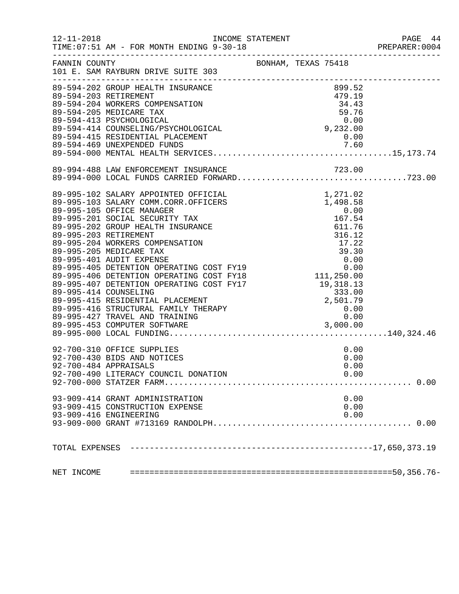| $12 - 11 - 2018$ | TIME: 07:51 AM - FOR MONTH ENDING 9-30-18                                                                                                                                                                                          | INCOME STATEMENT    | PAGE 44<br>PREPARER: 0004 |
|------------------|------------------------------------------------------------------------------------------------------------------------------------------------------------------------------------------------------------------------------------|---------------------|---------------------------|
| FANNIN COUNTY    | 101 E. SAM RAYBURN DRIVE SUITE 303                                                                                                                                                                                                 | BONHAM, TEXAS 75418 |                           |
|                  | 89-594-202 GROUP HEALTH INSURANCE                                                                                                                                                                                                  | 899.52              |                           |
|                  | 89-594-203 RETIREMENT<br>89-594-204 WORKERS COMPENSATION                                                                                                                                                                           | 479.19              |                           |
|                  |                                                                                                                                                                                                                                    | 34.43               |                           |
|                  |                                                                                                                                                                                                                                    |                     |                           |
|                  |                                                                                                                                                                                                                                    |                     |                           |
|                  |                                                                                                                                                                                                                                    |                     |                           |
|                  |                                                                                                                                                                                                                                    |                     |                           |
|                  | 89-594-205 MEDICARE TAX<br>89-594-413 PSYCHOLOGICAL 0.00<br>89-594-414 COUNSELING/PSYCHOLOGICAL 9,232.00<br>89-594-415 RESIDENTIAL PLACEMENT 0.00<br>89-594-469 UNEXPENDED FUNDS 7.60<br>89-594-000 MENTAL HEALTH SERVICES         |                     |                           |
|                  |                                                                                                                                                                                                                                    |                     |                           |
|                  |                                                                                                                                                                                                                                    |                     |                           |
|                  |                                                                                                                                                                                                                                    |                     |                           |
|                  |                                                                                                                                                                                                                                    |                     |                           |
|                  |                                                                                                                                                                                                                                    |                     |                           |
|                  |                                                                                                                                                                                                                                    |                     |                           |
|                  |                                                                                                                                                                                                                                    |                     |                           |
|                  |                                                                                                                                                                                                                                    |                     |                           |
|                  |                                                                                                                                                                                                                                    |                     |                           |
|                  |                                                                                                                                                                                                                                    |                     |                           |
|                  |                                                                                                                                                                                                                                    |                     |                           |
|                  |                                                                                                                                                                                                                                    |                     |                           |
|                  |                                                                                                                                                                                                                                    |                     |                           |
|                  | 89-995-407 DETENTION OPERATING COST FILE (1995-995-414 COUNSELING)<br>89-995-414 COUNSELING (1996-995-415 RESIDENTIAL PLACEMENT (1996-995-415 RESIDENTIAL PLACEMENT (1996)<br>89-995-416 STRUCTURAL FAMILY THERAPY (1996-995-416 S |                     |                           |
|                  |                                                                                                                                                                                                                                    |                     |                           |
|                  |                                                                                                                                                                                                                                    |                     |                           |
|                  |                                                                                                                                                                                                                                    |                     |                           |
|                  |                                                                                                                                                                                                                                    |                     |                           |
|                  | 92-700-310 OFFICE SUPPLIES                                                                                                                                                                                                         | 0.00                |                           |
|                  | 92-700-430 BIDS AND NOTICES                                                                                                                                                                                                        | 0.00                |                           |
|                  | 92-700-484 APPRAISALS                                                                                                                                                                                                              | 0.00                |                           |
|                  | 92-700-490 LITERACY COUNCIL DONATION                                                                                                                                                                                               | 0.00                |                           |
|                  |                                                                                                                                                                                                                                    |                     |                           |
|                  | 93-909-414 GRANT ADMINISTRATION                                                                                                                                                                                                    | 0.00                |                           |
|                  | 93-909-415 CONSTRUCTION EXPENSE                                                                                                                                                                                                    | 0.00                |                           |
|                  | 93-909-416 ENGINEERING                                                                                                                                                                                                             | 0.00                |                           |
|                  |                                                                                                                                                                                                                                    |                     |                           |
|                  |                                                                                                                                                                                                                                    |                     |                           |
| NET INCOME       |                                                                                                                                                                                                                                    |                     |                           |
|                  |                                                                                                                                                                                                                                    |                     |                           |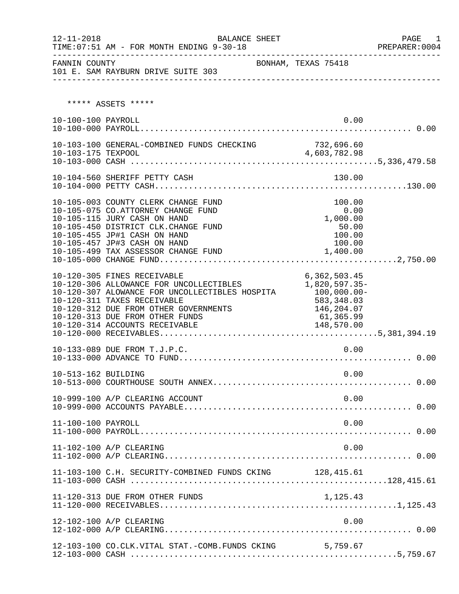| $12 - 11 - 2018$    | <b>BALANCE SHEET</b><br>TIME: 07:51 AM - FOR MONTH ENDING 9-30-18                                                                                                                                                                                                                 |                                                                                        | PAGE 1<br>PREPARER: 0004 |
|---------------------|-----------------------------------------------------------------------------------------------------------------------------------------------------------------------------------------------------------------------------------------------------------------------------------|----------------------------------------------------------------------------------------|--------------------------|
| FANNIN COUNTY       | 101 E. SAM RAYBURN DRIVE SUITE 303                                                                                                                                                                                                                                                | BONHAM, TEXAS 75418                                                                    |                          |
|                     |                                                                                                                                                                                                                                                                                   |                                                                                        |                          |
|                     | ***** ASSETS *****                                                                                                                                                                                                                                                                |                                                                                        |                          |
| 10-100-100 PAYROLL  |                                                                                                                                                                                                                                                                                   | 0.00                                                                                   |                          |
|                     |                                                                                                                                                                                                                                                                                   |                                                                                        |                          |
|                     | 10-104-560 SHERIFF PETTY CASH                                                                                                                                                                                                                                                     | 130.00                                                                                 |                          |
|                     | 10-105-003 COUNTY CLERK CHANGE FUND<br>10-105-075 CO.ATTORNEY CHANGE FUND<br>10-105-115 JURY CASH ON HAND<br>10-105-450 DISTRICT CLK. CHANGE FUND<br>10-105-455 JP#1 CASH ON HAND<br>10-105-457 JP#3 CASH ON HAND<br>10-105-499 TAX ASSESSOR CHANGE FUND                          | 100.00<br>0.00<br>1,000.00<br>50.00<br>100.00<br>100.00<br>1,400.00                    |                          |
|                     | 10-120-305 FINES RECEIVABLE<br>10-120-306 ALLOWANCE FOR UNCOLLECTIBLES<br>10-120-307 ALOWANCE FOR UNCOLLECTIBLES HOSPITA 100,000.00-<br>10-120-311 TAXES RECEIVABLE<br>10-120-312 DUE FROM OTHER GOVERNMENTS<br>10-120-313 DUE FROM OTHER FUNDS<br>10-120-314 ACCOUNTS RECEIVABLE | 6, 362, 503.45<br>1,820,597.35-<br>583,348.03<br>146,204.07<br>61,365.99<br>148,570.00 |                          |
|                     | 10-133-089 DUE FROM T.J.P.C.                                                                                                                                                                                                                                                      | 0.00                                                                                   |                          |
| 10-513-162 BUILDING |                                                                                                                                                                                                                                                                                   | 0.00                                                                                   |                          |
|                     | 10-999-100 A/P CLEARING ACCOUNT                                                                                                                                                                                                                                                   | 0.00                                                                                   |                          |
| 11-100-100 PAYROLL  |                                                                                                                                                                                                                                                                                   | 0.00                                                                                   |                          |
|                     | 11-102-100 A/P CLEARING                                                                                                                                                                                                                                                           | 0.00                                                                                   |                          |
|                     | 11-103-100 C.H. SECURITY-COMBINED FUNDS CKING 128, 415.61                                                                                                                                                                                                                         |                                                                                        |                          |
|                     | 11-120-313 DUE FROM OTHER FUNDS                                                                                                                                                                                                                                                   | 1,125.43                                                                               |                          |
|                     | 12-102-100 A/P CLEARING                                                                                                                                                                                                                                                           | 0.00                                                                                   |                          |
|                     | 12-103-100 CO.CLK.VITAL STAT.-COMB.FUNDS CKING                                                                                                                                                                                                                                    | 5,759.67                                                                               |                          |

12-103-000 CASH .......................................................5,759.67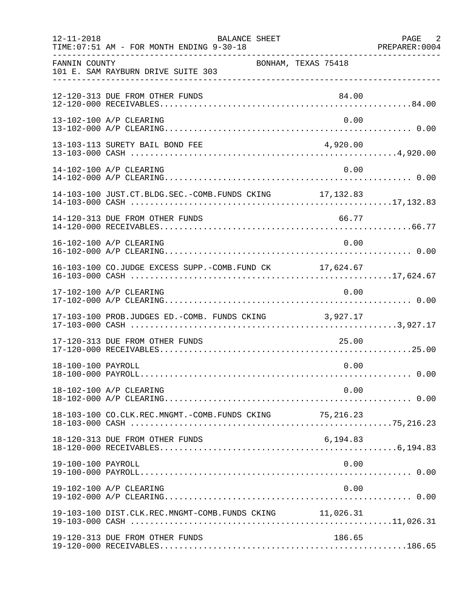| $12 - 11 - 2018$   | BALANCE SHEET<br>TIME: 07:51 AM - FOR MONTH ENDING 9-30-18 |                     | PAGE 2<br>PREPARER: 0004 |
|--------------------|------------------------------------------------------------|---------------------|--------------------------|
| FANNIN COUNTY      | 101 E. SAM RAYBURN DRIVE SUITE 303                         | BONHAM, TEXAS 75418 |                          |
|                    | 12-120-313 DUE FROM OTHER FUNDS                            | 84.00               |                          |
|                    | 13-102-100 A/P CLEARING                                    | 0.00                |                          |
|                    | 13-103-113 SURETY BAIL BOND FEE                            | 4,920.00            |                          |
|                    | 14-102-100 A/P CLEARING                                    | 0.00                |                          |
|                    | 14-103-100 JUST.CT.BLDG.SEC.-COMB.FUNDS CKING 17,132.83    |                     |                          |
|                    | 14-120-313 DUE FROM OTHER FUNDS                            | 66.77               |                          |
|                    | 16-102-100 A/P CLEARING                                    | 0.00                |                          |
|                    | 16-103-100 CO.JUDGE EXCESS SUPP.-COMB.FUND CK 17,624.67    |                     |                          |
|                    | 17-102-100 A/P CLEARING                                    | 0.00                |                          |
|                    | 17-103-100 PROB.JUDGES ED.-COMB. FUNDS CKING 3,927.17      |                     |                          |
|                    | 17-120-313 DUE FROM OTHER FUNDS                            | 25.00               |                          |
| 18-100-100 PAYROLL |                                                            | 0.00                |                          |
|                    | 18-102-100 A/P CLEARING                                    | 0.00                |                          |
|                    |                                                            |                     |                          |
|                    | 18-120-313 DUE FROM OTHER FUNDS                            | 6,194.83            |                          |
| 19-100-100 PAYROLL |                                                            | 0.00                |                          |
|                    | 19-102-100 A/P CLEARING                                    | 0.00                |                          |
|                    | 19-103-100 DIST.CLK.REC.MNGMT-COMB.FUNDS CKING 11,026.31   |                     |                          |
|                    | 19-120-313 DUE FROM OTHER FUNDS                            | 186.65              |                          |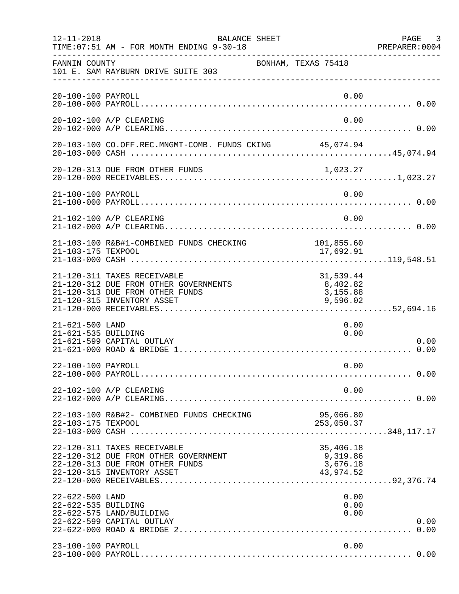| $12 - 11 - 2018$                       | BALANCE SHEET<br>TIME: 07:51 AM - FOR MONTH ENDING 9-30-18                                                                            |                                                | PAGE 3<br>PREPARER:0004 |
|----------------------------------------|---------------------------------------------------------------------------------------------------------------------------------------|------------------------------------------------|-------------------------|
| FANNIN COUNTY                          | BONHAM, TEXAS 75418<br>101 E. SAM RAYBURN DRIVE SUITE 303                                                                             |                                                |                         |
| 20-100-100 PAYROLL                     |                                                                                                                                       | 0.00                                           |                         |
|                                        | 20-102-100 A/P CLEARING                                                                                                               | 0.00                                           |                         |
|                                        | 20-103-100 CO.OFF.REC.MNGMT-COMB. FUNDS CKING 45,074.94                                                                               |                                                |                         |
|                                        |                                                                                                                                       |                                                |                         |
| 21-100-100 PAYROLL                     |                                                                                                                                       | 0.00                                           |                         |
|                                        | 21-102-100 A/P CLEARING                                                                                                               | 0.00                                           |                         |
| 21-103-175 TEXPOOL                     | 21-103-100 R&B#1-COMBINED FUNDS CHECKING                                                                                              | 101,855.60<br>17,692.91                        |                         |
|                                        | 21-120-311 TAXES RECEIVABLE<br>21-120-312 DUE FROM OTHER GOVERNMENTS<br>21-120-313 DUE FROM OTHER FUNDS<br>21-120-315 INVENTORY ASSET | 31,539.44<br>8,402.82<br>3,155.88<br>9,596.02  |                         |
| 21-621-500 LAND<br>21-621-535 BUILDING | 21-621-599 CAPITAL OUTLAY                                                                                                             | 0.00<br>0.00                                   | 0.00                    |
| 22-100-100 PAYROLL                     |                                                                                                                                       | 0.00                                           |                         |
|                                        | 22-102-100 A/P CLEARING                                                                                                               | 0.00                                           |                         |
| 22-103-175 TEXPOOL                     | 22-103-100 R&B#2- COMBINED FUNDS CHECKING                                                                                             | 95,066.80<br>253,050.37                        |                         |
|                                        | 22-120-311 TAXES RECEIVABLE<br>22-120-312 DUE FROM OTHER GOVERNMENT<br>22-120-313 DUE FROM OTHER FUNDS<br>22-120-315 INVENTORY ASSET  | 35,406.18<br>9,319.86<br>3,676.18<br>43,974.52 |                         |
| 22-622-500 LAND<br>22-622-535 BUILDING | 22-622-575 LAND/BUILDING<br>22-622-599 CAPITAL OUTLAY                                                                                 | 0.00<br>0.00<br>0.00                           | 0.00<br>0.00            |
| 23-100-100 PAYROLL                     |                                                                                                                                       | 0.00                                           |                         |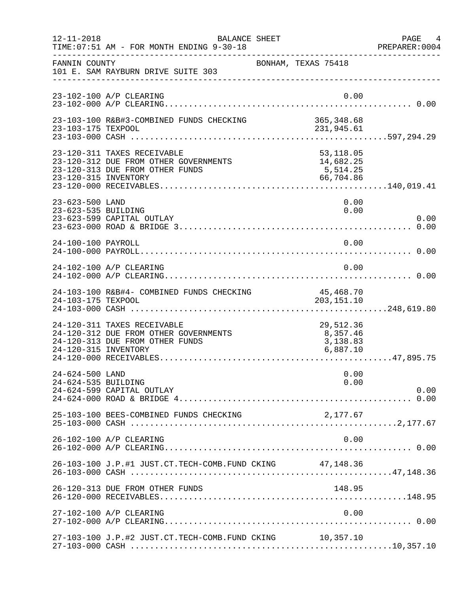| $12 - 11 - 2018$                       | BALANCE SHEET<br>TIME: 07:51 AM - FOR MONTH ENDING 9-30-18                                                                      |                                               | PAGE 4<br>PREPARER: 0004 |
|----------------------------------------|---------------------------------------------------------------------------------------------------------------------------------|-----------------------------------------------|--------------------------|
| FANNIN COUNTY                          | 101 E. SAM RAYBURN DRIVE SUITE 303                                                                                              | BONHAM, TEXAS 75418                           |                          |
|                                        | 23-102-100 A/P CLEARING                                                                                                         | 0.00                                          |                          |
| 23-103-175 TEXPOOL                     | 23-103-100 R&B#3-COMBINED FUNDS CHECKING                                                                                        | 365,348.68<br>231,945.61                      |                          |
|                                        | 23-120-311 TAXES RECEIVABLE<br>23-120-312 DUE FROM OTHER GOVERNMENTS<br>23-120-313 DUE FROM OTHER FUNDS<br>23-120-315 INVENTORY | 53,118.05<br>$1,082.25$<br>5,514.25<br>66,704 |                          |
| 23-623-500 LAND<br>23-623-535 BUILDING | 23-623-599 CAPITAL OUTLAY                                                                                                       | 0.00<br>0.00                                  | 0.00                     |
| 24-100-100 PAYROLL                     |                                                                                                                                 | 0.00                                          |                          |
|                                        | 24-102-100 A/P CLEARING                                                                                                         | 0.00                                          |                          |
| 24-103-175 TEXPOOL                     | 24-103-100 R&B#4- COMBINED FUNDS CHECKING                                                                                       | 45,468.70<br>203, 151. 10                     |                          |
| 24-120-315 INVENTORY                   | 24-120-311 TAXES RECEIVABLE<br>24-120-312 DUE FROM OTHER GOVERNMENTS<br>24-120-313 DUE FROM OTHER FUNDS                         | 29,512.36<br>8,357.46<br>3,138.83<br>6,887.10 |                          |
| 24-624-500 LAND<br>24-624-535 BUILDING | 24-624-599 CAPITAL OUTLAY                                                                                                       | 0.00<br>0.00                                  | 0.00                     |
|                                        | 25-103-100 BEES-COMBINED FUNDS CHECKING                                                                                         | 2,177.67                                      |                          |
|                                        | 26-102-100 A/P CLEARING                                                                                                         | 0.00                                          |                          |
|                                        | 26-103-100 J.P.#1 JUST.CT.TECH-COMB.FUND CKING 47,148.36                                                                        |                                               |                          |
|                                        | 26-120-313 DUE FROM OTHER FUNDS                                                                                                 | 148.95                                        |                          |
|                                        | 27-102-100 A/P CLEARING                                                                                                         | 0.00                                          |                          |
|                                        | 27-103-100 J.P.#2 JUST.CT.TECH-COMB.FUND CKING 10,357.10                                                                        |                                               |                          |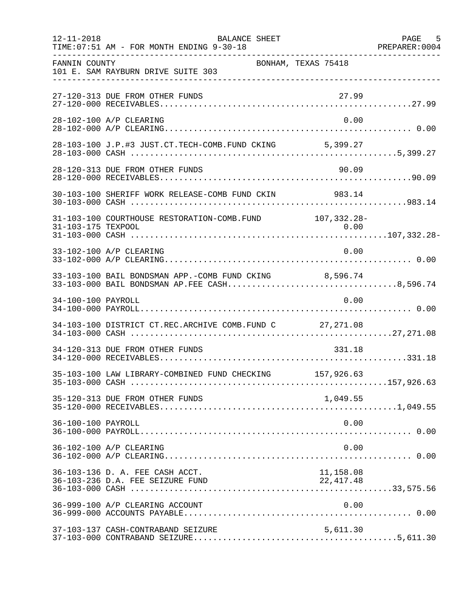| $12 - 11 - 2018$   | BALANCE SHEET<br>TIME: 07:51 AM - FOR MONTH ENDING 9-30-18 |                     | PAGE 5 |
|--------------------|------------------------------------------------------------|---------------------|--------|
| FANNIN COUNTY      | 101 E. SAM RAYBURN DRIVE SUITE 303                         | BONHAM, TEXAS 75418 |        |
|                    | 27-120-313 DUE FROM OTHER FUNDS                            | 27.99               |        |
|                    | 28-102-100 A/P CLEARING                                    | 0.00                |        |
|                    | 28-103-100 J.P.#3 JUST.CT.TECH-COMB.FUND CKING 5,399.27    |                     |        |
|                    | 28-120-313 DUE FROM OTHER FUNDS                            | 90.09               |        |
|                    | 30-103-100 SHERIFF WORK RELEASE-COMB FUND CKIN 983.14      |                     |        |
|                    | 31-103-100 COURTHOUSE RESTORATION-COMB. FUND 107,332.28-   |                     |        |
|                    | 33-102-100 A/P CLEARING                                    | 0.00                |        |
|                    | 33-103-100 BAIL BONDSMAN APP.-COMB FUND CKING 8,596.74     |                     |        |
| 34-100-100 PAYROLL |                                                            | 0.00                |        |
|                    | 34-103-100 DISTRICT CT.REC.ARCHIVE COMB.FUND C 27,271.08   |                     |        |
|                    | 34-120-313 DUE FROM OTHER FUNDS                            | 331.18              |        |
|                    | 35-103-100 LAW LIBRARY-COMBINED FUND CHECKING 157,926.63   |                     |        |
|                    | 35-120-313 DUE FROM OTHER FUNDS                            | 1,049.55            |        |
| 36-100-100 PAYROLL |                                                            | 0.00                |        |
|                    | 36-102-100 A/P CLEARING                                    | 0.00                |        |
|                    | 36-103-136 D. A. FEE CASH ACCT.                            | 11,158.08           |        |
|                    | 36-999-100 A/P CLEARING ACCOUNT                            | 0.00                |        |
|                    | 37-103-137 CASH-CONTRABAND SEIZURE                         | 5,611.30            |        |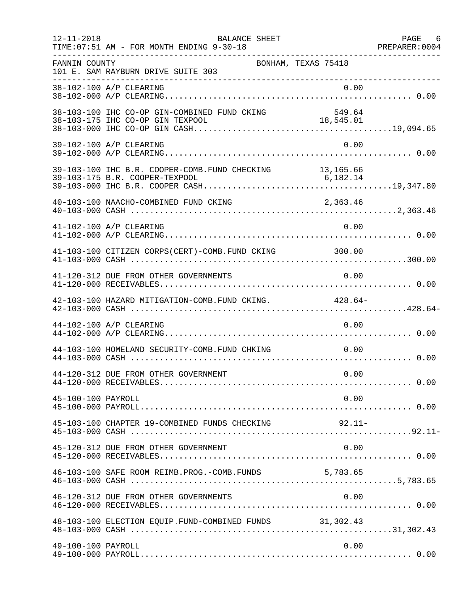| $12 - 11 - 2018$   | BALANCE SHEET<br>TIME: 07:51 AM - FOR MONTH ENDING 9-30-18                |                     | PAGE 6<br>PREPARER: 0004 |
|--------------------|---------------------------------------------------------------------------|---------------------|--------------------------|
| FANNIN COUNTY      | 101 E. SAM RAYBURN DRIVE SUITE 303<br>___________________________________ | BONHAM, TEXAS 75418 |                          |
|                    | 38-102-100 A/P CLEARING                                                   | 0.00                |                          |
|                    | 38-103-100 IHC CO-OP GIN-COMBINED FUND CKING                              | 549.64              |                          |
|                    | 39-102-100 A/P CLEARING                                                   | 0.00                |                          |
|                    | 39-103-100 IHC B.R. COOPER-COMB. FUND CHECKING 13,165.66                  |                     |                          |
|                    | 40-103-100 NAACHO-COMBINED FUND CKING                                     | 2,363.46            |                          |
|                    | 41-102-100 A/P CLEARING                                                   | 0.00                |                          |
|                    | 41-103-100 CITIZEN CORPS(CERT)-COMB. FUND CKING 300.00                    |                     |                          |
|                    | 41-120-312 DUE FROM OTHER GOVERNMENTS                                     | 0.00                |                          |
|                    | 42-103-100 HAZARD MITIGATION-COMB. FUND CKING. 428.64-                    |                     |                          |
|                    | 44-102-100 A/P CLEARING                                                   | 0.00                |                          |
|                    | 44-103-100 HOMELAND SECURITY-COMB.FUND CHKING                             | 0.00                |                          |
|                    | 44-120-312 DUE FROM OTHER GOVERNMENT                                      | 0.00                |                          |
| 45-100-100 PAYROLL |                                                                           | 0.00                |                          |
|                    | 45-103-100 CHAPTER 19-COMBINED FUNDS CHECKING                             | $92.11-$            |                          |
|                    | 45-120-312 DUE FROM OTHER GOVERNMENT                                      | 0.00                |                          |
|                    | 46-103-100 SAFE ROOM REIMB. PROG. - COMB. FUNDS 5,783.65                  |                     |                          |
|                    | 46-120-312 DUE FROM OTHER GOVERNMENTS                                     | 0.00                |                          |
|                    | 48-103-100 ELECTION EQUIP. FUND-COMBINED FUNDS 31,302.43                  |                     |                          |
| 49-100-100 PAYROLL |                                                                           | 0.00                |                          |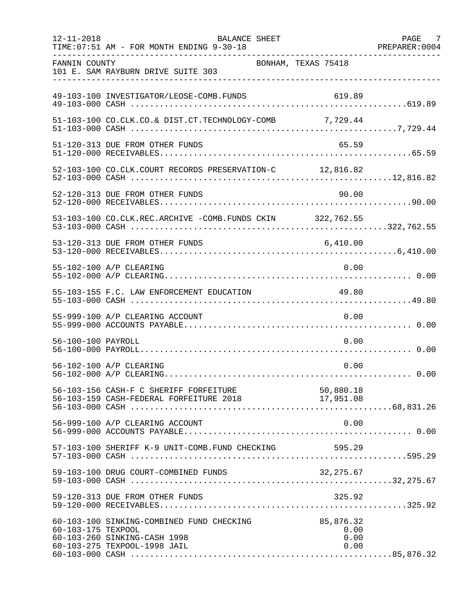| $12 - 11 - 2018$   | BALANCE SHEET<br>TIME: 07:51 AM - FOR MONTH ENDING 9-30-18                                                |                                   | PAGE 7<br>PREPARER: 0004 |
|--------------------|-----------------------------------------------------------------------------------------------------------|-----------------------------------|--------------------------|
| FANNIN COUNTY      | 101 E. SAM RAYBURN DRIVE SUITE 303                                                                        | BONHAM, TEXAS 75418               |                          |
|                    | 49-103-100 INVESTIGATOR/LEOSE-COMB.FUNDS                                                                  | 619.89                            |                          |
|                    | 51-103-100 CO.CLK.CO.& DIST.CT.TECHNOLOGY-COMB 7,729.44                                                   |                                   |                          |
|                    | 51-120-313 DUE FROM OTHER FUNDS                                                                           | 65.59                             |                          |
|                    | 52-103-100 CO.CLK.COURT RECORDS PRESERVATION-C 12,816.82                                                  |                                   |                          |
|                    | 52-120-313 DUE FROM OTHER FUNDS                                                                           | 90.00                             |                          |
|                    | 53-103-100 CO.CLK.REC.ARCHIVE -COMB.FUNDS CKIN 322,762.55                                                 |                                   |                          |
|                    | 53-120-313 DUE FROM OTHER FUNDS                                                                           | 6,410.00                          |                          |
|                    | 55-102-100 A/P CLEARING                                                                                   | 0.00                              |                          |
|                    | 55-103-155 F.C. LAW ENFORCEMENT EDUCATION                                                                 | 49.80                             |                          |
|                    | 55-999-100 A/P CLEARING ACCOUNT                                                                           | 0.00                              |                          |
| 56-100-100 PAYROLL |                                                                                                           | 0.00                              |                          |
|                    | 56-102-100 A/P CLEARING                                                                                   | 0.00                              |                          |
|                    | 56-103-156 CASH-F C SHERIFF FORFEITURE 56-103-159 CASH-FEDERAL FORFEITURE 2018 17,951.08                  |                                   |                          |
|                    | 56-999-100 A/P CLEARING ACCOUNT                                                                           | 0.00                              |                          |
|                    | 57-103-100 SHERIFF K-9 UNIT-COMB.FUND CHECKING                                                            | 595.29                            |                          |
|                    | 59-103-100 DRUG COURT-COMBINED FUNDS                                                                      | 32, 275.67                        |                          |
|                    | 59-120-313 DUE FROM OTHER FUNDS                                                                           | 325.92                            |                          |
| 60-103-175 TEXPOOL | 60-103-100 SINKING-COMBINED FUND CHECKING<br>60-103-260 SINKING-CASH 1998<br>60-103-275 TEXPOOL-1998 JAIL | 85,876.32<br>0.00<br>0.00<br>0.00 |                          |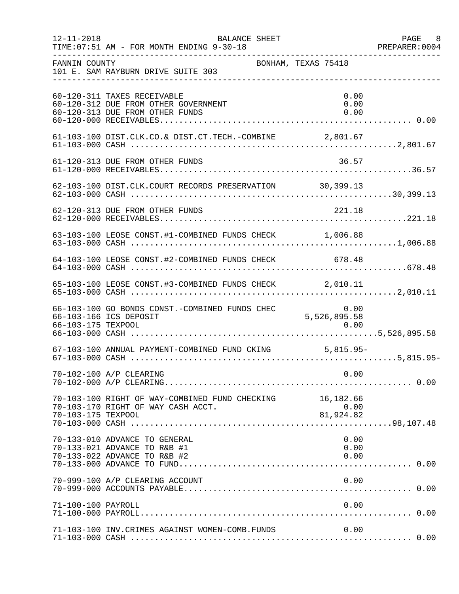| $12 - 11 - 2018$   | BALANCE SHEET<br>TIME: 07:51 AM - FOR MONTH ENDING 9-30-18                                             |                      | PAGE 8<br>PREPARER: 0004 |
|--------------------|--------------------------------------------------------------------------------------------------------|----------------------|--------------------------|
| FANNIN COUNTY      | BONHAM, TEXAS 75418<br>101 E. SAM RAYBURN DRIVE SUITE 303                                              |                      |                          |
|                    | 60-120-311 TAXES RECEIVABLE<br>60-120-312 DUE FROM OTHER GOVERNMENT<br>60-120-313 DUE FROM OTHER FUNDS | 0.00<br>0.00<br>0.00 |                          |
|                    | 61-103-100 DIST.CLK.CO.& DIST.CT.TECH.-COMBINE 2,801.67                                                |                      |                          |
|                    | 61-120-313 DUE FROM OTHER FUNDS                                                                        | 36.57                |                          |
|                    | 62-103-100 DIST.CLK.COURT RECORDS PRESERVATION 30,399.13                                               |                      |                          |
|                    | 62-120-313 DUE FROM OTHER FUNDS                                                                        | 221.18               |                          |
|                    | 63-103-100 LEOSE CONST.#1-COMBINED FUNDS CHECK 1,006.88                                                |                      |                          |
|                    | 64-103-100 LEOSE CONST.#2-COMBINED FUNDS CHECK 678.48                                                  |                      |                          |
|                    | 65-103-100 LEOSE CONST.#3-COMBINED FUNDS CHECK 2,010.11                                                |                      |                          |
|                    | 66-103-100 GO BONDS CONST.-COMBINED FUNDS CHEC 0.00<br>66-103-166 ICS DEPOSIT 5,526,895.58             |                      |                          |
|                    | 67-103-100 ANNUAL PAYMENT-COMBINED FUND CKING 5,815.95-                                                |                      |                          |
|                    | 70-102-100 A/P CLEARING                                                                                | 0.00                 |                          |
| 70-103-175 TEXPOOL | 70-103-100 RIGHT OF WAY-COMBINED FUND CHECKING 16,182.66<br>70-103-170 RIGHT OF WAY CASH ACCT.         | 0.00<br>81,924.82    |                          |
|                    | 70-133-010 ADVANCE TO GENERAL<br>70-133-021 ADVANCE TO R&B #1<br>70-133-022 ADVANCE TO R&B #2          | 0.00<br>0.00<br>0.00 |                          |
|                    | 70-999-100 A/P CLEARING ACCOUNT                                                                        | 0.00                 |                          |
| 71-100-100 PAYROLL |                                                                                                        | 0.00                 |                          |
|                    | 71-103-100 INV. CRIMES AGAINST WOMEN-COMB. FUNDS                                                       | 0.00                 |                          |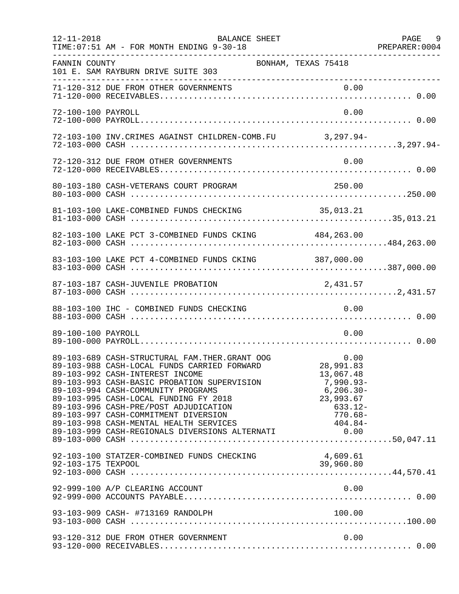| $12 - 11 - 2018$   | BALANCE SHEET<br>TIME: 07:51 AM - FOR MONTH ENDING 9-30-18                                                                                                                                                                                                                                                                                                                                                                                                    |                                                                                                                        | PAGE 9<br>PREPARER: 0004 |
|--------------------|---------------------------------------------------------------------------------------------------------------------------------------------------------------------------------------------------------------------------------------------------------------------------------------------------------------------------------------------------------------------------------------------------------------------------------------------------------------|------------------------------------------------------------------------------------------------------------------------|--------------------------|
| FANNIN COUNTY      | 101 E. SAM RAYBURN DRIVE SUITE 303                                                                                                                                                                                                                                                                                                                                                                                                                            | BONHAM, TEXAS 75418                                                                                                    |                          |
|                    | 71-120-312 DUE FROM OTHER GOVERNMENTS                                                                                                                                                                                                                                                                                                                                                                                                                         |                                                                                                                        |                          |
| 72-100-100 PAYROLL |                                                                                                                                                                                                                                                                                                                                                                                                                                                               | 0.00                                                                                                                   |                          |
|                    | 72-103-100 INV. CRIMES AGAINST CHILDREN-COMB. FU 3, 297.94-                                                                                                                                                                                                                                                                                                                                                                                                   |                                                                                                                        |                          |
|                    | 72-120-312 DUE FROM OTHER GOVERNMENTS                                                                                                                                                                                                                                                                                                                                                                                                                         | 0.00                                                                                                                   |                          |
|                    |                                                                                                                                                                                                                                                                                                                                                                                                                                                               |                                                                                                                        |                          |
|                    |                                                                                                                                                                                                                                                                                                                                                                                                                                                               |                                                                                                                        |                          |
|                    | 82-103-100 LAKE PCT 3-COMBINED FUNDS CKING 484,263.00                                                                                                                                                                                                                                                                                                                                                                                                         |                                                                                                                        |                          |
|                    | 83-103-100 LAKE PCT 4-COMBINED FUNDS CKING 387,000.00                                                                                                                                                                                                                                                                                                                                                                                                         |                                                                                                                        |                          |
|                    | 87-103-187 CASH-JUVENILE PROBATION                                                                                                                                                                                                                                                                                                                                                                                                                            | 2,431.57                                                                                                               |                          |
|                    | 88-103-100 IHC - COMBINED FUNDS CHECKING                                                                                                                                                                                                                                                                                                                                                                                                                      | 0.00                                                                                                                   |                          |
| 89-100-100 PAYROLL |                                                                                                                                                                                                                                                                                                                                                                                                                                                               | 0.00                                                                                                                   |                          |
|                    | 0.00 0.00 CASH-SIRUCTURAL FAM.THER.GRANT OOG 0.00<br>89-103-988 CASH-LOCAL FUNDS CARRIED FORWARD 28.991.83<br>89-103-992 CASH-INTEREST INCOME<br>89-103-993 CASH-BASIC PROBATION SUPERVISION<br>89-103-994 CASH-COMMUNITY PROGRAMS<br>89-103-995 CASH-LOCAL FUNDING FY 2018<br>89-103-996 CASH-PRE/POST ADJUDICATION<br>89-103-997 CASH-COMMITMENT DIVERSION<br>89-103-998 CASH-MENTAL HEALTH SERVICES<br>89-103-999 CASH-REGIONALS DIVERSIONS ALTERNATI 0.00 | 13,067.48<br>$\begin{array}{r} -7,990.93 - \ 6,206.30 - \ 23,993.67 \end{array}$<br>$633.12 -$<br>770.68-<br>$404.84-$ |                          |
|                    | 92-103-100 STATZER-COMBINED FUNDS CHECKING                                                                                                                                                                                                                                                                                                                                                                                                                    | 4,609.61<br>39,960.80                                                                                                  |                          |
|                    | 92-999-100 A/P CLEARING ACCOUNT                                                                                                                                                                                                                                                                                                                                                                                                                               | 0.00                                                                                                                   |                          |
|                    |                                                                                                                                                                                                                                                                                                                                                                                                                                                               |                                                                                                                        |                          |
|                    | 93-120-312 DUE FROM OTHER GOVERNMENT                                                                                                                                                                                                                                                                                                                                                                                                                          | 0.00                                                                                                                   |                          |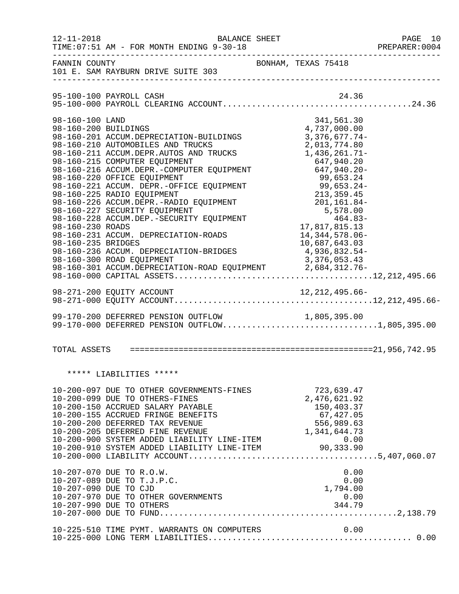| $12 - 11 - 2018$                                                                  | BALANCE SHEET<br>TIME: 07:51 AM - FOR MONTH ENDING 9-30-18                                                                                                                                                                                                                                                                                                                                                                                                                                                                                                                                                                                                                                |                                                                                                                                                                       | PAGE 10<br>PREPARER: 0004 |
|-----------------------------------------------------------------------------------|-------------------------------------------------------------------------------------------------------------------------------------------------------------------------------------------------------------------------------------------------------------------------------------------------------------------------------------------------------------------------------------------------------------------------------------------------------------------------------------------------------------------------------------------------------------------------------------------------------------------------------------------------------------------------------------------|-----------------------------------------------------------------------------------------------------------------------------------------------------------------------|---------------------------|
| FANNIN COUNTY                                                                     | 101 E. SAM RAYBURN DRIVE SUITE 303                                                                                                                                                                                                                                                                                                                                                                                                                                                                                                                                                                                                                                                        | BONHAM, TEXAS 75418                                                                                                                                                   |                           |
|                                                                                   |                                                                                                                                                                                                                                                                                                                                                                                                                                                                                                                                                                                                                                                                                           |                                                                                                                                                                       |                           |
| 98-160-100 LAND<br>98-160-200 BUILDINGS<br>98-160-230 ROADS<br>98-160-235 BRIDGES | 98-160-201 ACCUM.DEPRECIATION-BUILDINGS<br>98-160-210 AUTOMOBILES AND TRUCKS<br>98-160-211 ACCUM.DEPR.AUTOS AND TRUCKS<br>98-160-215 COMPUTER EQUIPMENT<br>98-160-215 COMPUTER EQUIPMENT 647,940.20<br>98-160-216 ACCUM.DEPR.-COMPUTER EQUIPMENT 647,940.20-<br>98-160-220 OFFICE EQUIPMENT<br>98-160-221 ACCUM. DEPR.-OFFICE EQUIPMENT<br>99,653.24-<br>98-160-225 RADIO EQUIPMENT<br>98-160-225 RADIO EQUIPMENT<br>98-160-226 ACCUM.DEPR.-RADIO EQUIPMENT<br>98-160-227 SECURITY EQUIPMENT<br>98-160-227 S<br>98-160-231 ACCUM. DEPRECIATION-ROADS<br>98-160-236 ACCUM. DEPRECIATION-BRIDGES<br>98-160-300 ROAD EQUIPMENT<br>98-160-301 ACCUM.DEPRECIATION-ROAD EQUIPMENT 2,684,312.76- | 341,561.30<br>4,737,000.00<br>$3,376,677.74-$<br>2,013,774.80<br>1,436,261.71-<br>17,817,815.13<br>14, 344, 578.06-<br>10,687,643.03<br>4,936,832.54-<br>3,376,053.43 |                           |
|                                                                                   |                                                                                                                                                                                                                                                                                                                                                                                                                                                                                                                                                                                                                                                                                           |                                                                                                                                                                       |                           |
|                                                                                   | 99-170-200 DEFERRED PENSION OUTFLOW<br>99-170-200 DEFERRED PENSION OUTFLOW 1,805,395.00<br>99-170-000 DEFERRED PENSION OUTFLOW1,805,395.00                                                                                                                                                                                                                                                                                                                                                                                                                                                                                                                                                |                                                                                                                                                                       |                           |
|                                                                                   |                                                                                                                                                                                                                                                                                                                                                                                                                                                                                                                                                                                                                                                                                           |                                                                                                                                                                       |                           |
|                                                                                   | ***** LIABILITIES *****                                                                                                                                                                                                                                                                                                                                                                                                                                                                                                                                                                                                                                                                   |                                                                                                                                                                       |                           |
|                                                                                   |                                                                                                                                                                                                                                                                                                                                                                                                                                                                                                                                                                                                                                                                                           |                                                                                                                                                                       |                           |
|                                                                                   | 10-207-070 DUE TO R.O.W.<br>10-207-089 DUE TO T.J.P.C.<br>10-207-090 DUE TO CJD<br>10-207-970 DUE TO OTHER GOVERNMENTS<br>10-207-990 DUE TO OTHERS                                                                                                                                                                                                                                                                                                                                                                                                                                                                                                                                        | 0.00<br>0.00<br>∪0.∪<br>1,794.00<br>0.00<br>344.79                                                                                                                    |                           |
|                                                                                   | 10-225-510 TIME PYMT. WARRANTS ON COMPUTERS                                                                                                                                                                                                                                                                                                                                                                                                                                                                                                                                                                                                                                               | 0.00                                                                                                                                                                  |                           |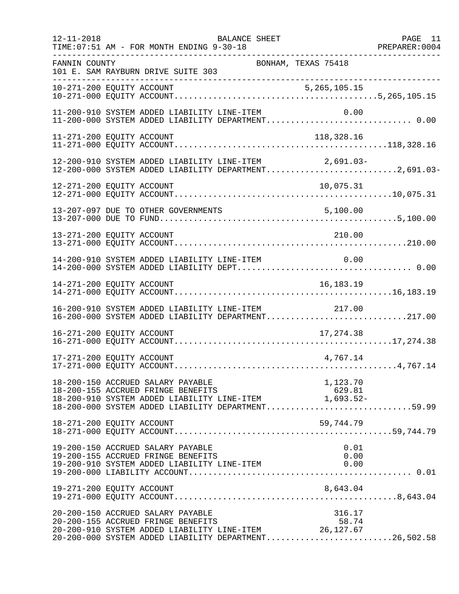| $12 - 11 - 2018$ | BALANCE SHEET<br>TIME: 07:51 AM - FOR MONTH ENDING 9-30-18                                                                                                                                                   | PAGE 11<br>PREPARER: 0004 |
|------------------|--------------------------------------------------------------------------------------------------------------------------------------------------------------------------------------------------------------|---------------------------|
| FANNIN COUNTY    | BONHAM, TEXAS 75418<br>101 E. SAM RAYBURN DRIVE SUITE 303<br>----------------------------------                                                                                                              |                           |
|                  |                                                                                                                                                                                                              |                           |
|                  | 11-200-910 SYSTEM ADDED LIABILITY LINE-ITEM<br>0.00                                                                                                                                                          |                           |
|                  | 11-271-200 EQUITY ACCOUNT<br>118,328.16                                                                                                                                                                      |                           |
|                  | 12-200-910 SYSTEM ADDED LIABILITY LINE-ITEM 2,691.03-<br>12-200-000 SYSTEM ADDED LIABILITY DEPARTMENT2,691.03-                                                                                               |                           |
|                  | 12-271-200 EQUITY ACCOUNT<br>10,075.31                                                                                                                                                                       |                           |
|                  |                                                                                                                                                                                                              |                           |
|                  | 13-271-200 EQUITY ACCOUNT<br>210.00                                                                                                                                                                          |                           |
|                  | 14-200-910 SYSTEM ADDED LIABILITY LINE-ITEM<br>0.00                                                                                                                                                          |                           |
|                  | 14-271-200 EQUITY ACCOUNT<br>16, 183. 19                                                                                                                                                                     |                           |
|                  | 16-200-910 SYSTEM ADDED LIABILITY LINE-ITEM<br>217.00<br>16-200-000 SYSTEM ADDED LIABILITY DEPARTMENT217.00                                                                                                  |                           |
|                  | 16-271-200 EQUITY ACCOUNT<br>17,274.38                                                                                                                                                                       |                           |
|                  | 17-271-200 EQUITY ACCOUNT<br>4,767.14                                                                                                                                                                        |                           |
|                  | 18-200-150 ACCRUED SALARY PAYABLE<br>1,123.70<br>18-200-155 ACCRUED FRINGE BENEFITS<br>18-200-910 SYSTEM ADDED LIABILITY LINE-ITEM 1,693.52-<br>18-200-000 SYSTEM ADDED LIABILITY DEPARTMENT59.99            |                           |
|                  | 18-271-200 EQUITY ACCOUNT<br>59,744.79                                                                                                                                                                       |                           |
|                  | 19-200-150 ACCRUED SALARY PAYABLE<br>0.01<br>19-200-155 ACCRUED FRINGE BENEFITS<br>0.00<br>19-200-910 SYSTEM ADDED LIABILITY LINE-ITEM<br>0.00                                                               |                           |
|                  | 8,643.04<br>19-271-200 EQUITY ACCOUNT                                                                                                                                                                        |                           |
|                  | 20-200-150 ACCRUED SALARY PAYABLE<br>316.17<br>58.74<br>20-200-155 ACCRUED FRINGE BENEFITS<br>20-200-910 SYSTEM ADDED LIABILITY LINE-ITEM 26,127.67<br>20-200-000 SYSTEM ADDED LIABILITY DEPARTMENT26,502.58 |                           |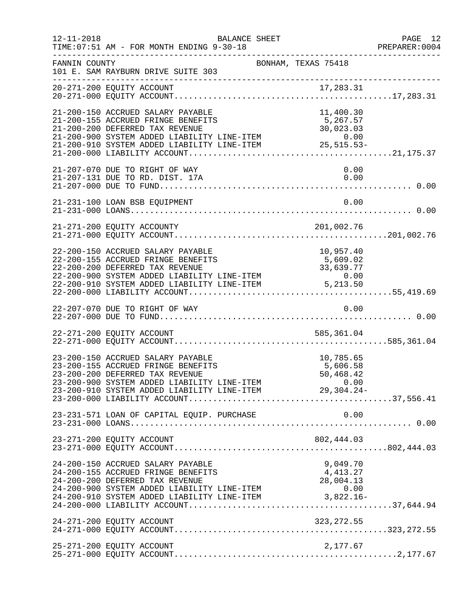| $12 - 11 - 2018$ | TIME: 07:51 AM - FOR MONTH ENDING 9-30-18                                                                                                                                                                                                                  | BALANCE SHEET       |                                            | PAGE 12<br>PREPARER:0004 |
|------------------|------------------------------------------------------------------------------------------------------------------------------------------------------------------------------------------------------------------------------------------------------------|---------------------|--------------------------------------------|--------------------------|
| FANNIN COUNTY    | 101 E. SAM RAYBURN DRIVE SUITE 303                                                                                                                                                                                                                         | BONHAM, TEXAS 75418 |                                            |                          |
|                  |                                                                                                                                                                                                                                                            |                     |                                            |                          |
|                  | 21-200-150 ACCRUED SALARY PAYABLE<br>21-200-155 ACCRUED FRINGE BENEFITS<br>21-200-200 DEFERRED TAX REVENUE                                                                                                                                                 |                     | 11,400.30<br>5,267.57<br>30,023.03         |                          |
|                  | 21-207-070 DUE TO RIGHT OF WAY<br>21-207-131 DUE TO RD. DIST. 17A                                                                                                                                                                                          |                     | 0.00<br>0.00                               |                          |
|                  | 21-231-100 LOAN BSB EQUIPMENT                                                                                                                                                                                                                              |                     | 0.00                                       |                          |
|                  | 21-271-200 EQUITY ACCOUNTY                                                                                                                                                                                                                                 |                     | 201,002.76                                 |                          |
|                  | 22-200-150 ACCRUED SALARY PAYABLE<br>22-200-155 ACCRUED FRINGE BENEFITS<br>22-200-200 DEFERRED TAX REVENUE<br>22-200-900 SYSTEM ADDED LIABILITY LINE-ITEM 0.00<br>22-200-910 SYSTEM ADDED LIABILITY LINE-ITEM 5,213.50                                     |                     | 10,957.40<br>5,609.02                      |                          |
|                  | 22-207-070 DUE TO RIGHT OF WAY                                                                                                                                                                                                                             |                     | 0.00                                       |                          |
|                  | 22-271-200 EQUITY ACCOUNT                                                                                                                                                                                                                                  |                     | 585,361.04                                 |                          |
|                  | 23-200-150 ACCRUED SALARY PAYABLE<br>23-200-155 ACCRUED FRINGE BENEFITS<br>23-200-200 DEFERRED TAX REVENUE<br>23-200-900 SYSTEM ADDED LIABILITY LINE-ITEM                                                                                                  |                     | 10,785.65<br>5,606.58<br>50,468.42<br>0.00 |                          |
|                  | 23-231-571 LOAN OF CAPITAL EQUIP. PURCHASE                                                                                                                                                                                                                 |                     | 0.00                                       |                          |
|                  | 23-271-200 EQUITY ACCOUNT                                                                                                                                                                                                                                  |                     |                                            |                          |
|                  | 24-200-150 ACCRUED SALARY PAYABLE<br>24-200-155 ACCRUED FRINGE BENEFITS<br>24-200-200 DEFERRED TAX REVENUE<br>24-200-200 DEFERRED TAX REVENUE<br>24-200-900 SYSTEM ADDED LIABILITY LINE-ITEM 0.00<br>24-200-910 SYSTEM ADDED LIABILITY LINE-ITEM 3,822.16- |                     | 9,049.70<br>4, 413.27<br>28,004.13         |                          |
|                  |                                                                                                                                                                                                                                                            |                     |                                            |                          |
|                  | 25-271-200 EQUITY ACCOUNT                                                                                                                                                                                                                                  |                     | 2,177.67                                   |                          |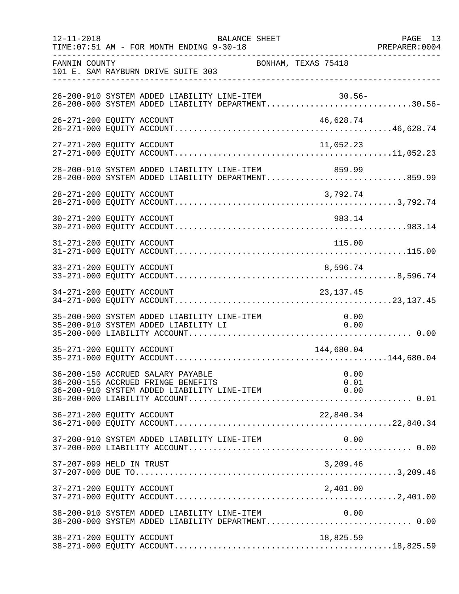| $12 - 11 - 2018$ | <b>BALANCE SHEET</b><br>TIME: 07:51 AM - FOR MONTH ENDING 9-30-18                                                                                       |                     | PAGE 13<br>PREPARER: 0004 |
|------------------|---------------------------------------------------------------------------------------------------------------------------------------------------------|---------------------|---------------------------|
| FANNIN COUNTY    | 101 E. SAM RAYBURN DRIVE SUITE 303                                                                                                                      | BONHAM, TEXAS 75418 |                           |
|                  | 26-200-910 SYSTEM ADDED LIABILITY LINE-ITEM<br>26-200-910 SYSTEM ADDED LIABILITY LINE-ITEM 30.56-<br>26-200-000 SYSTEM ADDED LIABILITY DEPARTMENT30.56- | 30.56-              |                           |
|                  | 26-271-200 EQUITY ACCOUNT                                                                                                                               | 46,628.74           |                           |
|                  | 27-271-200 EQUITY ACCOUNT                                                                                                                               | 11,052.23           |                           |
|                  | 28-200-910 SYSTEM ADDED LIABILITY LINE-ITEM 859.99<br>28-200-000 SYSTEM ADDED LIABILITY DEPARTMENT859.99                                                |                     |                           |
|                  | 28-271-200 EQUITY ACCOUNT                                                                                                                               | 3,792.74            |                           |
|                  | 30-271-200 EQUITY ACCOUNT                                                                                                                               | 983.14              |                           |
|                  | 31-271-200 EQUITY ACCOUNT                                                                                                                               | 115.00              |                           |
|                  | 33-271-200 EQUITY ACCOUNT                                                                                                                               | 8,596.74            |                           |
|                  | 34-271-200 EQUITY ACCOUNT                                                                                                                               | 23,137.45           |                           |
|                  | 35-200-900 SYSTEM ADDED LIABILITY LINE-ITEM<br>35-200-910 SYSTEM ADDED LIABILITY LI                                                                     | 0.00<br>0.00        |                           |
|                  | 35-271-200 EQUITY ACCOUNT                                                                                                                               | 144,680.04          |                           |
|                  | 36-200-150 ACCRUED SALARY PAYABLE<br>36-200-155 ACCRUED FRINGE BENEFITS                                                                                 | 0.00<br>0.01        |                           |
|                  | 36-271-200 EQUITY ACCOUNT                                                                                                                               | 22,840.34           |                           |
|                  | 37-200-910 SYSTEM ADDED LIABILITY LINE-ITEM                                                                                                             | 0.00                |                           |
|                  | 37-207-099 HELD IN TRUST                                                                                                                                | 3,209.46            |                           |
|                  | 37-271-200 EQUITY ACCOUNT                                                                                                                               | 2,401.00            |                           |
|                  | 38-200-910 SYSTEM ADDED LIABILITY LINE-ITEM<br>38-200-000 SYSTEM ADDED LIABILITY DEPARTMENT 0.00                                                        | 0.00                |                           |
|                  | 38-271-200 EQUITY ACCOUNT                                                                                                                               | 18,825.59           |                           |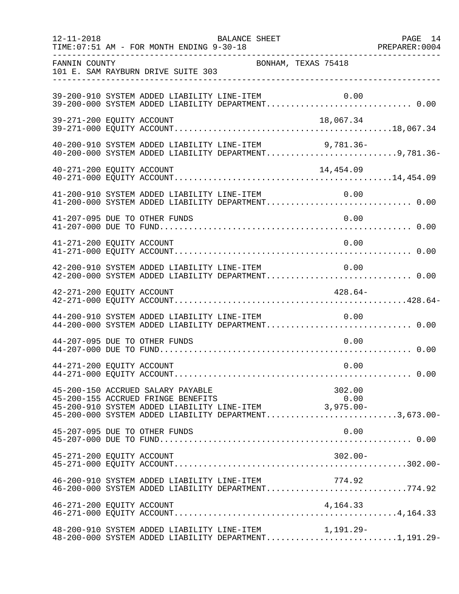| $12 - 11 - 2018$          | TIME: 07:51 AM - FOR MONTH ENDING 9-30-18 | BALANCE SHEET                                                                                                                                                |            | PAGE 14 |
|---------------------------|-------------------------------------------|--------------------------------------------------------------------------------------------------------------------------------------------------------------|------------|---------|
| FANNIN COUNTY             | 101 E. SAM RAYBURN DRIVE SUITE 303        | BONHAM, TEXAS 75418                                                                                                                                          |            |         |
|                           |                                           | 39-200-910 SYSTEM ADDED LIABILITY LINE-ITEM<br>39-200-910 SYSTEM ADDED LIABILITY LINE-ITEM         0.00<br>39-200-000 SYSTEM ADDED LIABILITY DEPARTMENT 0.00 | 0.00       |         |
| 39-271-200 EQUITY ACCOUNT |                                           |                                                                                                                                                              | 18,067.34  |         |
|                           |                                           | 40-200-910 SYSTEM ADDED LIABILITY LINE-ITEM 9,781.36-<br>40-200-000 SYSTEM ADDED LIABILITY DEPARTMENT9,781.36-                                               |            |         |
| 40-271-200 EQUITY ACCOUNT |                                           |                                                                                                                                                              | 14,454.09  |         |
|                           |                                           | 41-200-910 SYSTEM ADDED LIABILITY LINE-ITEM<br>41-200-910 SYSTEM ADDED LIABILITY LINE-ITEM $0.00$<br>41-200-000 SYSTEM ADDED LIABILITY DEPARTMENT0.00        |            |         |
|                           | 41-207-095 DUE TO OTHER FUNDS             |                                                                                                                                                              | 0.00       |         |
| 41-271-200 EQUITY ACCOUNT |                                           |                                                                                                                                                              | 0.00       |         |
|                           |                                           | 42-200-910 SYSTEM ADDED LIABILITY LINE-ITEM 0.00<br>42-200-000 SYSTEM ADDED LIABILITY DEPARTMENT 0.00                                                        |            |         |
| 42-271-200 EQUITY ACCOUNT |                                           |                                                                                                                                                              | $428.64-$  |         |
|                           |                                           | 44-200-910 SYSTEM ADDED LIABILITY LINE-ITEM<br>44-200-000 SYSTEM ADDED LIABILITY DEPARTMENT 0.00                                                             | 0.00       |         |
|                           | 44-207-095 DUE TO OTHER FUNDS             |                                                                                                                                                              | 0.00       |         |
| 44-271-200 EQUITY ACCOUNT |                                           |                                                                                                                                                              | 0.00       |         |
|                           | 45-200-150 ACCRUED SALARY PAYABLE         | 45-200-155 ACCRUED FRINGE BENEFITS (0.00<br>45-200-910 SYSTEM ADDED LIABILITY LINE-ITEM (3,975.00-<br>45-200-000 SYSTEM ADDED LIABILITY DEPARTMENT3,673.00-  | 302.00     |         |
|                           | 45-207-095 DUE TO OTHER FUNDS             |                                                                                                                                                              | 0.00       |         |
| 45-271-200 EQUITY ACCOUNT |                                           |                                                                                                                                                              | $302.00 -$ |         |
|                           |                                           | 46-200-910 SYSTEM ADDED LIABILITY LINE-ITEM 774.92<br>46-200-000 SYSTEM ADDED LIABILITY DEPARTMENT774.92                                                     |            |         |
| 46-271-200 EQUITY ACCOUNT |                                           |                                                                                                                                                              | 4,164.33   |         |
|                           |                                           | $48-200-910$ SYSTEM ADDED LIABILITY LINE-ITEM $1,191.29-$<br>$48-200-000$ SYSTEM ADDED LIABILITY DEPARTMENT1,191.29-                                         |            |         |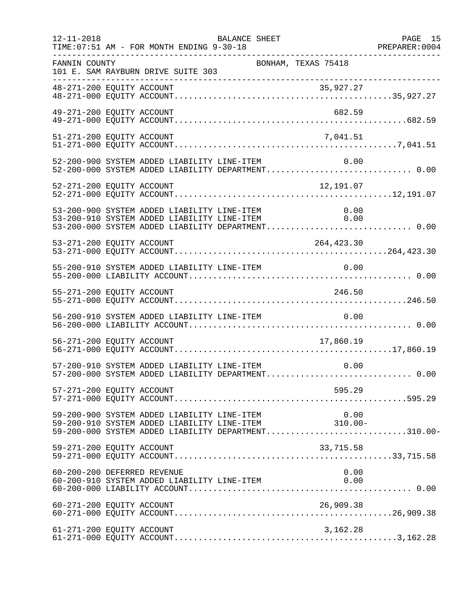| $12 - 11 - 2018$ | BALANCE SHEET<br>TIME: 07:51 AM - FOR MONTH ENDING 9-30-18                                                                                                                                                 | PAGE 15<br>PREPARER: 0004 |
|------------------|------------------------------------------------------------------------------------------------------------------------------------------------------------------------------------------------------------|---------------------------|
| FANNIN COUNTY    | BONHAM, TEXAS 75418<br>101 E. SAM RAYBURN DRIVE SUITE 303                                                                                                                                                  |                           |
|                  | __________________________________                                                                                                                                                                         |                           |
|                  | 49-271-200 EQUITY ACCOUNT<br>682.59                                                                                                                                                                        |                           |
|                  | 51-271-200 EQUITY ACCOUNT<br>7,041.51                                                                                                                                                                      |                           |
|                  | 52-200-900 SYSTEM ADDED LIABILITY LINE-ITEM<br>0.00<br>52-200-000 SYSTEM ADDED LIABILITY DEPARTMENT 0.00                                                                                                   |                           |
|                  | 12,191.07<br>52-271-200 EQUITY ACCOUNT                                                                                                                                                                     |                           |
|                  | 53-200-900 SYSTEM ADDED LIABILITY LINE-ITEM<br>$\begin{array}{c} 0\, .\, 00 \\ 0\, .\, 00 \end{array}$<br>53-200-910 SYSTEM ADDED LIABILITY LINE-ITEM<br>53-200-000 SYSTEM ADDED LIABILITY DEPARTMENT 0.00 |                           |
|                  | 53-271-200 EQUITY ACCOUNT<br>264,423.30                                                                                                                                                                    |                           |
|                  | 55-200-910 SYSTEM ADDED LIABILITY LINE-ITEM<br>0.00                                                                                                                                                        |                           |
|                  | 55-271-200 EQUITY ACCOUNT<br>246.50                                                                                                                                                                        |                           |
|                  | 56-200-910 SYSTEM ADDED LIABILITY LINE-ITEM<br>0.00                                                                                                                                                        |                           |
|                  | 56-271-200 EQUITY ACCOUNT<br>17,860.19                                                                                                                                                                     |                           |
|                  | 57-200-910 SYSTEM ADDED LIABILITY LINE-ITEM<br>0.00<br>57-200-000 SYSTEM ADDED LIABILITY DEPARTMENT 0.00                                                                                                   |                           |
|                  | 595.29<br>57-271-200 EQUITY ACCOUNT                                                                                                                                                                        |                           |
|                  | 99-200-900 SYSTEM ADDED LIABILITY LINE-ITEM 0.00<br>10.00-910 SYSTEM ADDED LIABILITY LINE-ITEM 310.00-<br>10.00-000 SYSTEM ADDED LIABILITY DEPARTMENT310.00-                                               |                           |
|                  | 59-271-200 EQUITY ACCOUNT<br>33,715.58                                                                                                                                                                     |                           |
|                  | 60-200-200 DEFERRED REVENUE<br>0.00<br>60-200-910 SYSTEM ADDED LIABILITY LINE-ITEM<br>0.00                                                                                                                 |                           |
|                  | 60-271-200 EQUITY ACCOUNT<br>26,909.38                                                                                                                                                                     |                           |
|                  | 61-271-200 EQUITY ACCOUNT<br>3,162.28                                                                                                                                                                      |                           |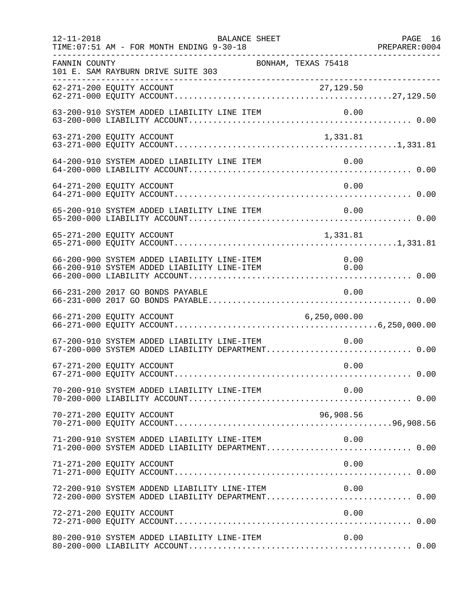| $12 - 11 - 2018$ | BALANCE SHEET<br>TIME: 07:51 AM - FOR MONTH ENDING 9-30-18                                             |                     | PAGE 16 |
|------------------|--------------------------------------------------------------------------------------------------------|---------------------|---------|
| FANNIN COUNTY    | BONHAM, TEXAS 75418<br>101 E. SAM RAYBURN DRIVE SUITE 303                                              |                     |         |
|                  |                                                                                                        |                     |         |
|                  |                                                                                                        |                     |         |
|                  | 63-271-200 EQUITY ACCOUNT                                                                              | 1,331.81            |         |
|                  | 64-200-910 SYSTEM ADDED LIABILITY LINE ITEM                                                            | 0.00                |         |
|                  | 64-271-200 EQUITY ACCOUNT                                                                              | 0.00                |         |
|                  | 65-200-910 SYSTEM ADDED LIABILITY LINE ITEM                                                            | 0.00                |         |
|                  | 65-271-200 EQUITY ACCOUNT                                                                              | 1,331.81            |         |
|                  | 66-200-900 SYSTEM ADDED LIABILITY LINE-ITEM<br>66-200-910 SYSTEM ADDED LIABILITY LINE-ITEM             | 0.00<br>$\sim$ 0.00 |         |
|                  | 66-231-200 2017 GO BONDS PAYABLE                                                                       | 0.00                |         |
|                  | 66-271-200 EQUITY ACCOUNT                                                                              | 6, 250, 000.00      |         |
|                  | 67-200-910 SYSTEM ADDED LIABILITY LINE-ITEM<br>67-200-000 SYSTEM ADDED LIABILITY DEPARTMENT 0.00       | 0.00                |         |
|                  | 67-271-200 EQUITY ACCOUNT                                                                              | 0.00                |         |
|                  |                                                                                                        |                     |         |
|                  | 70-271-200 EQUITY ACCOUNT                                                                              | 96,908.56           |         |
|                  | 71-200-910 SYSTEM ADDED LIABILITY LINE-ITEM<br>71-200-000 SYSTEM ADDED LIABILITY DEPARTMENT 0.00       | 0.00                |         |
|                  | 71-271-200 EQUITY ACCOUNT                                                                              | 0.00                |         |
|                  | 72-200-910 SYSTEM ADDEND LIABILITY LINE-ITEM 0.00<br>72-200-000 SYSTEM ADDED LIABILITY DEPARTMENT 0.00 |                     |         |
|                  | 72-271-200 EQUITY ACCOUNT                                                                              | 0.00                |         |
|                  | 80-200-910 SYSTEM ADDED LIABILITY LINE-ITEM                                                            | 0.00                |         |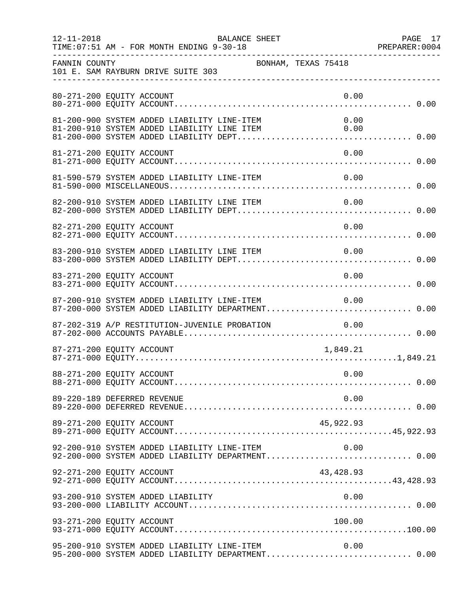| $12 - 11 - 2018$ | TIME: 07:51 AM - FOR MONTH ENDING 9-30-18                                                                                                 | <b>BALANCE SHEET</b> |                  | PAGE 17<br>PREPARER: 0004 |
|------------------|-------------------------------------------------------------------------------------------------------------------------------------------|----------------------|------------------|---------------------------|
| FANNIN COUNTY    | 101 E. SAM RAYBURN DRIVE SUITE 303                                                                                                        | BONHAM, TEXAS 75418  |                  |                           |
|                  | 80-271-200 EQUITY ACCOUNT                                                                                                                 |                      | 0.00             |                           |
|                  | 81-200-900 SYSTEM ADDED LIABILITY LINE-ITEM<br>81-200-900 SYSTEM ADDED LIABILITY LINE-ITEM<br>81-200-910 SYSTEM ADDED LIABILITY LINE ITEM |                      | 0.00<br>0.00     |                           |
|                  | 81-271-200 EQUITY ACCOUNT                                                                                                                 |                      | 0.00             |                           |
|                  | 81-590-579 SYSTEM ADDED LIABILITY LINE-ITEM                                                                                               |                      | 0.00             |                           |
|                  | 82-200-910 SYSTEM ADDED LIABILITY LINE ITEM                                                                                               |                      | 0.00             |                           |
|                  | 82-271-200 EQUITY ACCOUNT                                                                                                                 |                      | 0.00             |                           |
|                  | 83-200-910 SYSTEM ADDED LIABILITY LINE ITEM                                                                                               |                      | 0.00             |                           |
|                  | 83-271-200 EQUITY ACCOUNT                                                                                                                 |                      | 0.00             |                           |
|                  | 87-200-910 SYSTEM ADDED LIABILITY LINE-ITEM<br>87-200-000 SYSTEM ADDED LIABILITY DEPARTMENT 0.00                                          |                      | 0.00             |                           |
|                  | 87-202-319 A/P RESTITUTION-JUVENILE PROBATION                                                                                             |                      | 0.00             |                           |
|                  | 87-271-200 EQUITY ACCOUNT                                                                                                                 |                      | 1,849.21<br>0.00 |                           |
|                  | 88-271-200 EQUITY ACCOUNT<br>89-220-189 DEFERRED REVENUE                                                                                  |                      | 0.00             |                           |
|                  | 89-271-200 EQUITY ACCOUNT                                                                                                                 |                      | 45,922.93        |                           |
|                  | 92-200-910 SYSTEM ADDED LIABILITY LINE-ITEM                                                                                               |                      | 0.00             |                           |
|                  | 92-200-000 SYSTEM ADDED LIABILITY DEPARTMENT 0.00<br>92-271-200 EQUITY ACCOUNT                                                            |                      | 43, 428.93       |                           |
|                  |                                                                                                                                           |                      |                  |                           |
|                  | 93-271-200 EQUITY ACCOUNT                                                                                                                 |                      | 100.00           |                           |
|                  | 95-200-910 SYSTEM ADDED LIABILITY LINE-ITEM<br>95-200-000 SYSTEM ADDED LIABILITY DEPARTMENT 0.00                                          |                      | 0.00             |                           |